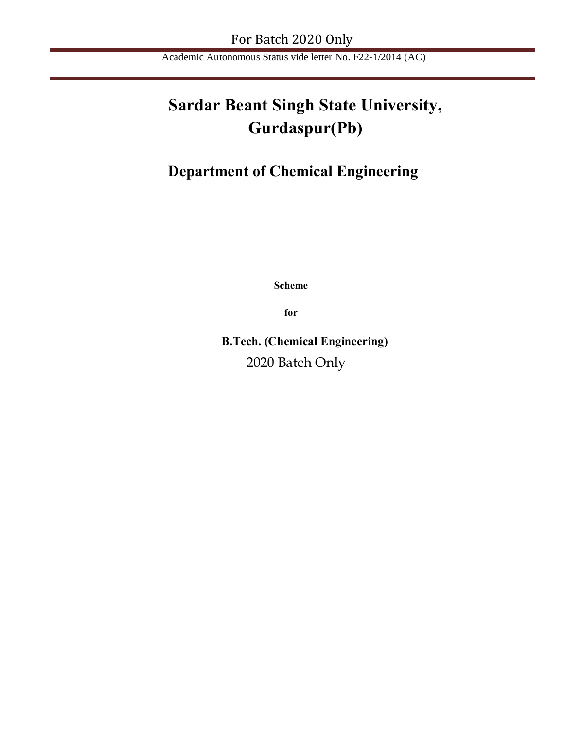# **Sardar Beant Singh State University, Gurdaspur(Pb)**

# **Department of Chemical Engineering**

**Scheme** 

**for** 

**B.Tech. (Chemical Engineering)** 2020 Batch Only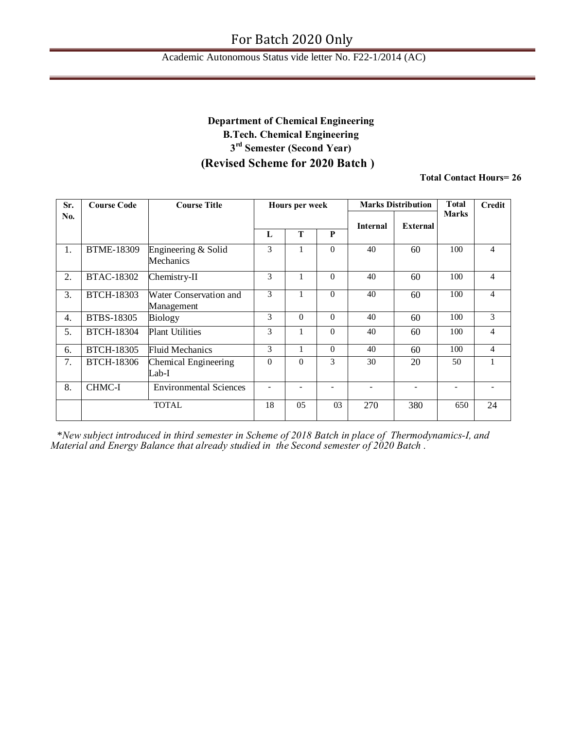### Academic Autonomous Status vide letter No. F22-1/2014 (AC)

## **Department of Chemical Engineering B.Tech. Chemical Engineering 3rd Semester (Second Year) (Revised Scheme for 2020 Batch )**

**Total Contact Hours= 26**

| Sr. | <b>Course Code</b> | <b>Course Title</b>                  |                          | <b>Hours per week</b> |          |                 | <b>Marks Distribution</b> | <b>T</b> otal            | <b>Credit</b>  |
|-----|--------------------|--------------------------------------|--------------------------|-----------------------|----------|-----------------|---------------------------|--------------------------|----------------|
| No. |                    |                                      |                          |                       |          |                 |                           | <b>Marks</b>             |                |
|     |                    |                                      | $\mathbf{L}$             | T                     | P        | <b>Internal</b> | <b>External</b>           |                          |                |
| 1.  | <b>BTME-18309</b>  | Engineering & Solid<br>Mechanics     | 3                        | 1                     | $\Omega$ | 40              | 60                        | 100                      | $\overline{4}$ |
| 2.  | <b>BTAC-18302</b>  | Chemistry-II                         | 3                        | 1                     | $\Omega$ | 40              | 60                        | 100                      | $\overline{4}$ |
| 3.  | <b>BTCH-18303</b>  | Water Conservation and<br>Management | 3                        | 1                     | $\theta$ | 40              | 60                        | 100                      | $\overline{4}$ |
| 4.  | BTBS-18305         | <b>Biology</b>                       | 3                        | $\theta$              | $\Omega$ | 40              | 60                        | 100                      | 3              |
| 5.  | <b>BTCH-18304</b>  | <b>Plant Utilities</b>               | 3                        | 1                     | $\theta$ | 40              | 60                        | 100                      | $\overline{4}$ |
| 6.  | <b>BTCH-18305</b>  | <b>Fluid Mechanics</b>               | 3                        | 1                     | $\theta$ | 40              | 60                        | 100                      | $\overline{4}$ |
| 7.  | <b>BTCH-18306</b>  | Chemical Engineering<br>Lab-I        | $\theta$                 | $\Omega$              | 3        | 30              | 20                        | 50                       |                |
| 8.  | CHMC-I             | <b>Environmental Sciences</b>        | $\overline{\phantom{a}}$ |                       | ۰        |                 | $\overline{\phantom{a}}$  | $\overline{\phantom{a}}$ |                |
|     |                    | <b>TOTAL</b>                         | 18                       | 05                    | 03       | 270             | 380                       | 650                      | 24             |

\**New subject introduced in third semester in Scheme of 2018 Batch in place of Thermodynamics-I, and Material and Energy Balance that already studied in the Second semester of 2020 Batch .*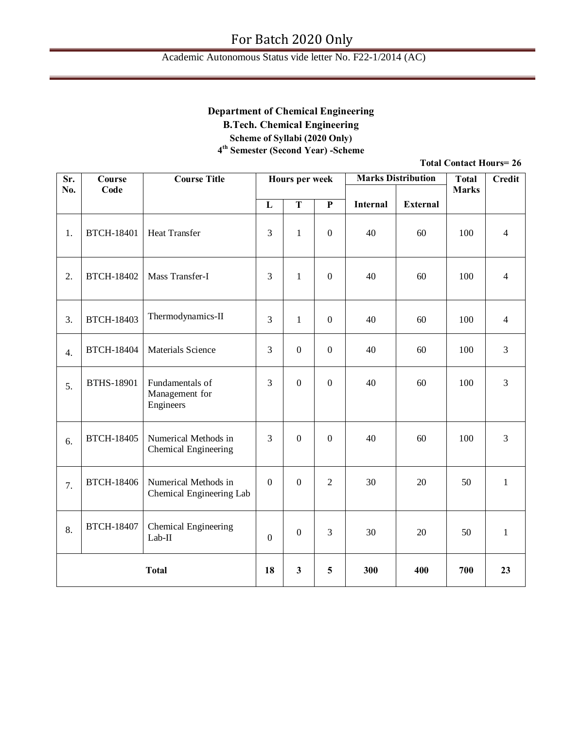## **Department of Chemical Engineering**

**B.Tech. Chemical Engineering**

**Scheme of Syllabi (2020 Only)**

**4th Semester (Second Year) -Scheme**

| Sr.<br>No.   | Course<br>Code    | <b>Course Title</b>                              |                  | Hours per week          |                  |                 | <b>Marks Distribution</b> | <b>Total</b><br><b>Marks</b> | <b>Credit</b>  |
|--------------|-------------------|--------------------------------------------------|------------------|-------------------------|------------------|-----------------|---------------------------|------------------------------|----------------|
|              |                   |                                                  | ${\bf L}$        | $\overline{\mathbf{T}}$ | $\overline{P}$   | <b>Internal</b> | <b>External</b>           |                              |                |
| 1.           | <b>BTCH-18401</b> | <b>Heat Transfer</b>                             | $\overline{3}$   | $\mathbf{1}$            | $\overline{0}$   | 40              | 60                        | 100                          | $\overline{4}$ |
| 2.           | <b>BTCH-18402</b> | Mass Transfer-I                                  | $\overline{3}$   | $\mathbf{1}$            | $\overline{0}$   | 40              | 60                        | 100                          | $\overline{4}$ |
| 3.           | <b>BTCH-18403</b> | Thermodynamics-II                                | $\overline{3}$   | $\,1$                   | $\boldsymbol{0}$ | 40              | 60                        | 100                          | $\overline{4}$ |
| 4.           | <b>BTCH-18404</b> | <b>Materials Science</b>                         | $\overline{3}$   | $\overline{0}$          | $\boldsymbol{0}$ | 40              | 60                        | 100                          | 3              |
| 5.           | <b>BTHS-18901</b> | Fundamentals of<br>Management for<br>Engineers   | $\overline{3}$   | $\overline{0}$          | $\boldsymbol{0}$ | 40              | 60                        | 100                          | $\overline{3}$ |
| 6.           | <b>BTCH-18405</b> | Numerical Methods in<br>Chemical Engineering     | 3                | $\mathbf{0}$            | $\overline{0}$   | 40              | 60                        | 100                          | 3              |
| 7.           | <b>BTCH-18406</b> | Numerical Methods in<br>Chemical Engineering Lab | $\boldsymbol{0}$ | $\mathbf{0}$            | $\overline{2}$   | 30              | 20                        | 50                           | $\mathbf{1}$   |
| 8.           | <b>BTCH-18407</b> | Chemical Engineering<br>$Lab-II$                 | $\boldsymbol{0}$ | $\mathbf{0}$            | 3                | 30              | 20                        | 50                           | $\mathbf{1}$   |
| <b>Total</b> |                   | 18                                               | $\mathbf{3}$     | 5                       | 300              | 400             | 700                       | 23                           |                |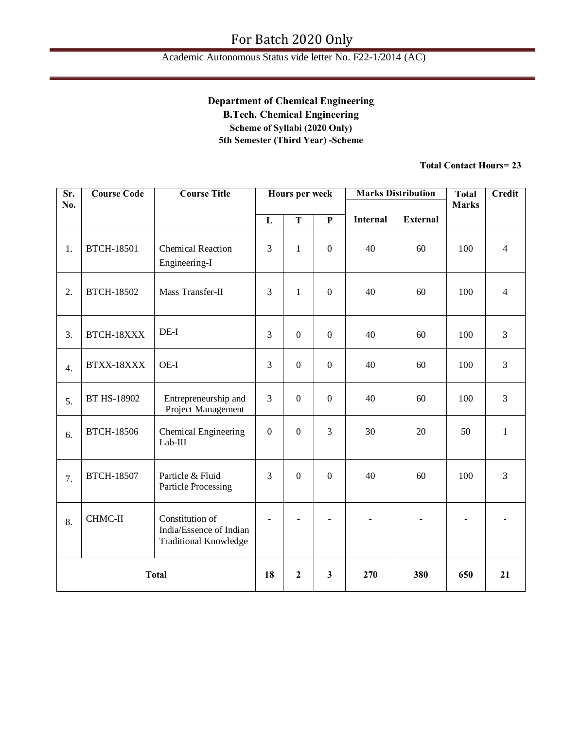## **Department of Chemical Engineering B.Tech. Chemical Engineering Scheme of Syllabi (2020 Only) 5th Semester (Third Year) -Scheme**

| Sr.              | <b>Course Code</b> | <b>Course Title</b>                                                        |                          | Hours per week   |                |                 | <b>Marks Distribution</b> | <b>Total</b>   | <b>Credit</b>            |
|------------------|--------------------|----------------------------------------------------------------------------|--------------------------|------------------|----------------|-----------------|---------------------------|----------------|--------------------------|
| No.              |                    |                                                                            |                          |                  |                |                 |                           | <b>Marks</b>   |                          |
|                  |                    |                                                                            | L                        | T                | $\mathbf{P}$   | <b>Internal</b> | <b>External</b>           |                |                          |
| 1.               | <b>BTCH-18501</b>  | <b>Chemical Reaction</b><br>Engineering-I                                  | 3                        | $\mathbf{1}$     | $\mathbf{0}$   | 40              | 60                        | 100            | $\overline{4}$           |
| 2.               | <b>BTCH-18502</b>  | Mass Transfer-II                                                           | 3                        | $\mathbf{1}$     | $\overline{0}$ | 40              | 60                        | 100            | $\overline{4}$           |
| 3.               | BTCH-18XXX         | $DE-I$                                                                     | 3                        | $\mathbf{0}$     | $\mathbf{0}$   | 40              | 60                        | 100            | $\overline{3}$           |
| $\overline{4}$ . | BTXX-18XXX         | OE-I                                                                       | 3                        | $\overline{0}$   | $\mathbf{0}$   | 40              | 60                        | 100            | 3                        |
| 5.               | BT HS-18902        | Entrepreneurship and<br>Project Management                                 | $\overline{3}$           | $\boldsymbol{0}$ | $\overline{0}$ | 40              | 60                        | 100            | $\overline{3}$           |
| 6.               | <b>BTCH-18506</b>  | Chemical Engineering<br>$Lab-III$                                          | $\overline{0}$           | $\overline{0}$   | $\overline{3}$ | 30              | 20                        | 50             | $\mathbf{1}$             |
| 7.               | <b>BTCH-18507</b>  | Particle & Fluid<br><b>Particle Processing</b>                             | 3                        | $\mathbf{0}$     | $\mathbf{0}$   | 40              | 60                        | 100            | $\overline{3}$           |
| 8.               | CHMC-II            | Constitution of<br>India/Essence of Indian<br><b>Traditional Knowledge</b> | $\overline{\phantom{a}}$ | $\blacksquare$   | $\overline{a}$ |                 | $\overline{a}$            | $\blacksquare$ | $\overline{\phantom{0}}$ |
| <b>Total</b>     |                    | 18                                                                         | $\mathbf{2}$             | 3                | 270            | 380             | 650                       | 21             |                          |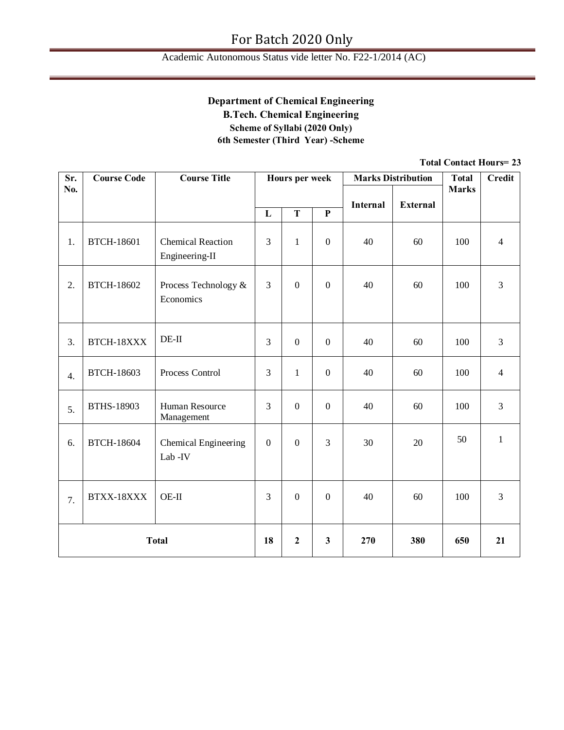## **Department of Chemical Engineering B.Tech. Chemical Engineering Scheme of Syllabi (2020 Only) 6th Semester (Third Year) -Scheme**

| Sr.          | <b>Course Code</b> | <b>Course Title</b>                        |                  | <b>Hours per week</b> |                  |          | <b>Marks Distribution</b> | <b>Total</b> | <b>Credit</b>  |
|--------------|--------------------|--------------------------------------------|------------------|-----------------------|------------------|----------|---------------------------|--------------|----------------|
| No.          |                    |                                            |                  |                       |                  | Internal | <b>External</b>           | <b>Marks</b> |                |
|              |                    |                                            | L                | T                     | $\mathbf{P}$     |          |                           |              |                |
| 1.           | <b>BTCH-18601</b>  | <b>Chemical Reaction</b><br>Engineering-II | 3                | $\mathbf{1}$          | $\overline{0}$   | 40       | 60                        | 100          | $\overline{4}$ |
| 2.           | <b>BTCH-18602</b>  | Process Technology &<br>Economics          | 3                | $\boldsymbol{0}$      | $\mathbf{0}$     | 40       | 60                        | 100          | $\overline{3}$ |
| 3.           | BTCH-18XXX         | $DE-II$                                    | 3                | $\boldsymbol{0}$      | $\boldsymbol{0}$ | 40       | 60                        | 100          | $\overline{3}$ |
| 4.           | <b>BTCH-18603</b>  | Process Control                            | $\overline{3}$   | $\mathbf{1}$          | $\overline{0}$   | 40       | 60                        | 100          | $\overline{4}$ |
| 5.           | <b>BTHS-18903</b>  | <b>Human Resource</b><br>Management        | $\overline{3}$   | $\boldsymbol{0}$      | $\overline{0}$   | 40       | 60                        | 100          | $\overline{3}$ |
| 6.           | <b>BTCH-18604</b>  | Chemical Engineering<br>Lab -IV            | $\boldsymbol{0}$ | $\boldsymbol{0}$      | $\overline{3}$   | 30       | 20                        | 50           | $\mathbf{1}$   |
| 7.           | BTXX-18XXX         | OE-II                                      | $\overline{3}$   | $\overline{0}$        | $\overline{0}$   | 40       | 60                        | 100          | $\overline{3}$ |
| <b>Total</b> |                    |                                            | 18               | $\boldsymbol{2}$      | $\mathbf{3}$     | 270      | 380                       | 650          | 21             |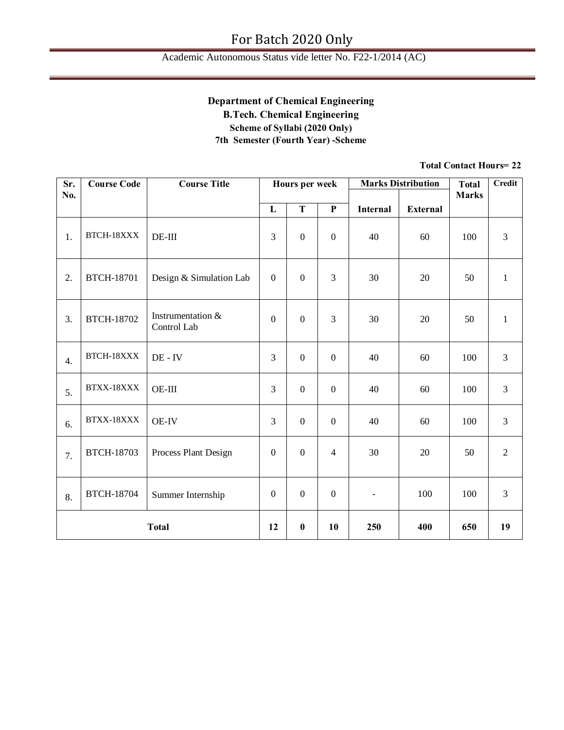## **Department of Chemical Engineering B.Tech. Chemical Engineering Scheme of Syllabi (2020 Only) 7th Semester (Fourth Year) -Scheme**

| Sr.              | <b>Course Code</b> | <b>Course Title</b>              |                  | Hours per week   |                  |                 | <b>Marks Distribution</b> | <b>Total</b> | <b>Credit</b>  |
|------------------|--------------------|----------------------------------|------------------|------------------|------------------|-----------------|---------------------------|--------------|----------------|
| No.              |                    |                                  | $\mathbf{L}$     | T                | $\mathbf{P}$     | <b>Internal</b> | <b>External</b>           | <b>Marks</b> |                |
|                  |                    |                                  |                  |                  |                  |                 |                           |              |                |
| 1.               | BTCH-18XXX         | $DE-III$                         | 3                | $\boldsymbol{0}$ | $\boldsymbol{0}$ | 40              | 60                        | 100          | 3              |
| 2.               | <b>BTCH-18701</b>  | Design & Simulation Lab          | $\overline{0}$   | $\mathbf{0}$     | 3                | 30              | 20                        | 50           | $\mathbf{1}$   |
| 3.               | <b>BTCH-18702</b>  | Instrumentation &<br>Control Lab | $\boldsymbol{0}$ | $\boldsymbol{0}$ | 3                | 30              | 20                        | 50           | $\mathbf{1}$   |
| $\overline{4}$ . | BTCH-18XXX         | $DE - IV$                        | 3                | $\boldsymbol{0}$ | $\boldsymbol{0}$ | 40              | 60                        | 100          | $\mathfrak{Z}$ |
| 5.               | BTXX-18XXX         | $OE-III$                         | 3                | $\mathbf{0}$     | $\boldsymbol{0}$ | 40              | 60                        | 100          | $\overline{3}$ |
| 6.               | BTXX-18XXX         | <b>OE-IV</b>                     | 3                | $\mathbf{0}$     | $\overline{0}$   | 40              | 60                        | 100          | 3              |
| 7.               | <b>BTCH-18703</b>  | Process Plant Design             | $\boldsymbol{0}$ | $\mathbf{0}$     | $\overline{4}$   | 30              | 20                        | 50           | $\sqrt{2}$     |
| 8.               | <b>BTCH-18704</b>  | Summer Internship                | $\mathbf{0}$     | $\mathbf{0}$     | $\overline{0}$   | $\blacksquare$  | 100                       | 100          | 3              |
| <b>Total</b>     |                    |                                  | 12               | $\bf{0}$         | 10               | 250             | 400                       | 650          | 19             |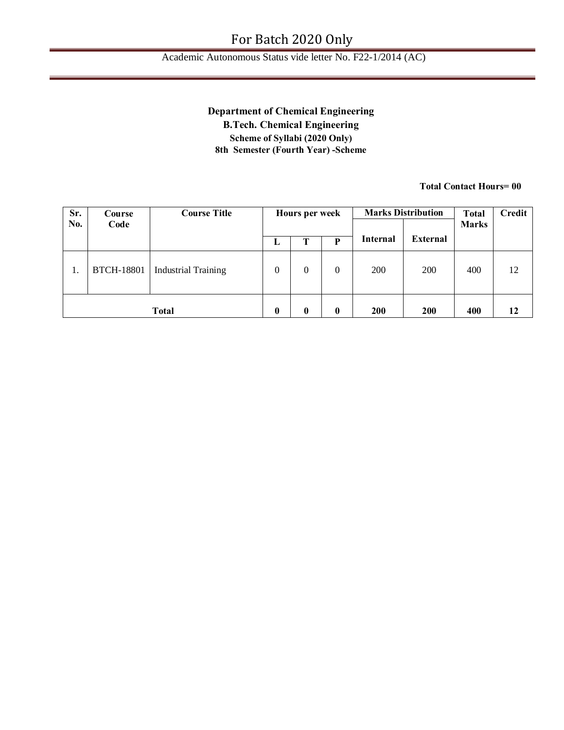## Academic Autonomous Status vide letter No. F22-1/2014 (AC)

## **Department of Chemical Engineering**

**B.Tech. Chemical Engineering Scheme of Syllabi (2020 Only) 8th Semester (Fourth Year) -Scheme**

| Sr. | Course            | <b>Course Title</b>        | Hours per week   |                  |                | <b>Marks Distribution</b> | <b>Total</b>    | Credit       |    |
|-----|-------------------|----------------------------|------------------|------------------|----------------|---------------------------|-----------------|--------------|----|
| No. | Code              |                            |                  |                  |                |                           |                 | <b>Marks</b> |    |
|     |                   |                            | L                | Ί                | P              | <b>Internal</b>           | <b>External</b> |              |    |
| 1.  | <b>BTCH-18801</b> | <b>Industrial Training</b> | $\overline{0}$   | $\overline{0}$   | $\overline{0}$ | 200                       | 200             | 400          | 12 |
|     |                   | <b>Total</b>               | $\boldsymbol{0}$ | $\boldsymbol{0}$ | $\bf{0}$       | <b>200</b>                | <b>200</b>      | 400          | 12 |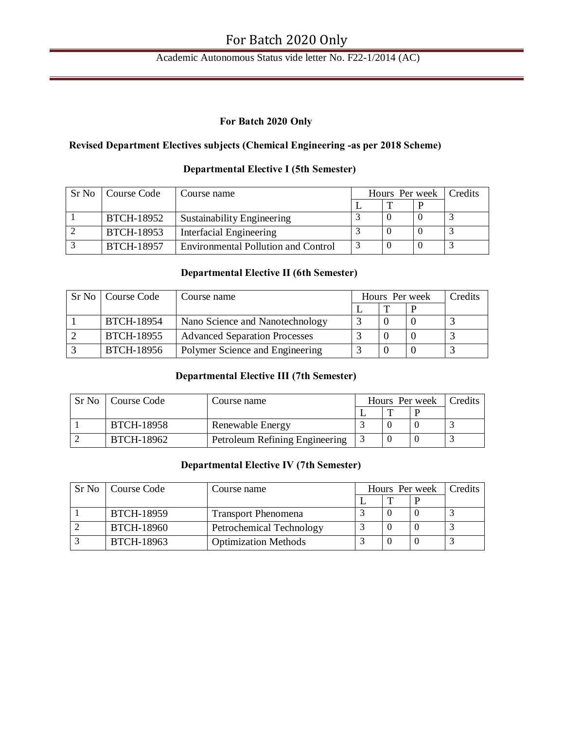## Academic Autonomous Status vide letter No. F22-1/2014 (AC)

## **For Batch 2020 Only**

## **Revised Department Electives subjects (Chemical Engineering -as per 2018 Scheme)**

| Sr No | Course Code       | Course name                                | Hours Per week | <b>Credits</b> |
|-------|-------------------|--------------------------------------------|----------------|----------------|
|       |                   |                                            |                |                |
|       | <b>BTCH-18952</b> | <b>Sustainability Engineering</b>          |                |                |
|       | <b>BTCH-18953</b> | Interfacial Engineering                    |                |                |
|       | <b>BTCH-18957</b> | <b>Environmental Pollution and Control</b> |                |                |

## **Departmental Elective I (5th Semester)**

## **Departmental Elective II (6th Semester)**

| Sr No   Course Code | Course name                          | Hours Per week | Credits |
|---------------------|--------------------------------------|----------------|---------|
|                     |                                      |                |         |
| <b>BTCH-18954</b>   | Nano Science and Nanotechnology      |                |         |
| <b>BTCH-18955</b>   | <b>Advanced Separation Processes</b> |                |         |
| BTCH-18956          | Polymer Science and Engineering      |                |         |

## **Departmental Elective III (7th Semester)**

| Sr No   Course Code | Course name                    |   | Hours Per week | Credits |
|---------------------|--------------------------------|---|----------------|---------|
|                     |                                | m |                |         |
| <b>BTCH-18958</b>   | Renewable Energy               |   |                |         |
| BTCH-18962          | Petroleum Refining Engineering |   |                |         |

## **Departmental Elective IV (7th Semester)**

| Sr No   Course Code | Course name                 |  | Hours Per week | Credits |
|---------------------|-----------------------------|--|----------------|---------|
|                     |                             |  |                |         |
| <b>BTCH-18959</b>   | <b>Transport Phenomena</b>  |  |                |         |
| <b>BTCH-18960</b>   | Petrochemical Technology    |  |                |         |
| <b>BTCH-18963</b>   | <b>Optimization Methods</b> |  |                |         |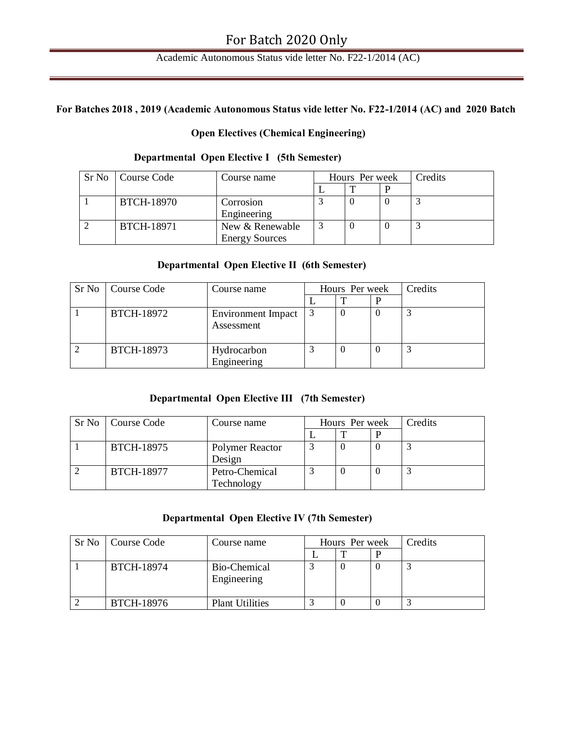## Academic Autonomous Status vide letter No. F22-1/2014 (AC)

## **For Batches 2018 , 2019 (Academic Autonomous Status vide letter No. F22-1/2014 (AC) and 2020 Batch**

## **Open Electives (Chemical Engineering)**

#### **Departmental Open Elective I (5th Semester)**

| Sr No Course Code | Course name           | Hours Per week | <b>Credits</b> |
|-------------------|-----------------------|----------------|----------------|
|                   |                       |                |                |
| <b>BTCH-18970</b> | Corrosion             |                |                |
|                   | Engineering           |                |                |
| <b>BTCH-18971</b> | New & Renewable       |                |                |
|                   | <b>Energy Sources</b> |                |                |

#### **Departmental Open Elective II (6th Semester)**

| Sr No   Course Code | Course name                             | Hours Per week |  | Credits |
|---------------------|-----------------------------------------|----------------|--|---------|
|                     |                                         |                |  |         |
| <b>BTCH-18972</b>   | <b>Environment Impact</b><br>Assessment |                |  |         |
| <b>BTCH-18973</b>   | Hydrocarbon<br>Engineering              |                |  |         |

## **Departmental Open Elective III (7th Semester)**

| Sr No   Course Code | Course name     | Hours Per week |  | Credits |
|---------------------|-----------------|----------------|--|---------|
|                     |                 |                |  |         |
| <b>BTCH-18975</b>   | Polymer Reactor |                |  |         |
|                     | Design          |                |  |         |
| <b>BTCH-18977</b>   | Petro-Chemical  |                |  |         |
|                     | Technology      |                |  |         |

## **Departmental Open Elective IV (7th Semester)**

| Sr No   Course Code | Course name                 | Hours Per week |  | Credits |
|---------------------|-----------------------------|----------------|--|---------|
|                     |                             |                |  |         |
| <b>BTCH-18974</b>   | Bio-Chemical<br>Engineering |                |  |         |
| <b>BTCH-18976</b>   | <b>Plant Utilities</b>      |                |  |         |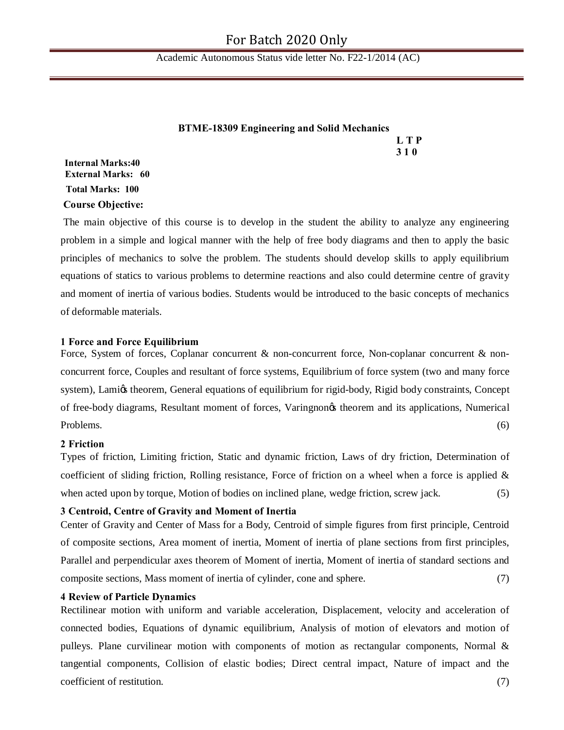Academic Autonomous Status vide letter No. F22-1/2014 (AC)

|                            | <b>BTME-18309 Engineering and Solid Mechanics</b> |            |
|----------------------------|---------------------------------------------------|------------|
|                            |                                                   | L T P      |
|                            |                                                   | <b>310</b> |
| $\sqrt{1111}$ $\sqrt{111}$ |                                                   |            |

## **Internal Marks:40 External Marks: 60 Total Marks: 100 Course Objective:**

The main objective of this course is to develop in the student the ability to analyze any engineering problem in a simple and logical manner with the help of free body diagrams and then to apply the basic principles of mechanics to solve the problem. The students should develop skills to apply equilibrium equations of statics to various problems to determine reactions and also could determine centre of gravity and moment of inertia of various bodies. Students would be introduced to the basic concepts of mechanics of deformable materials.

#### **1 Force and Force Equilibrium**

Force, System of forces, Coplanar concurrent & non-concurrent force, Non-coplanar concurrent & nonconcurrent force, Couples and resultant of force systems, Equilibrium of force system (two and many force system), Lamigs theorem, General equations of equilibrium for rigid-body, Rigid body constraints, Concept of free-body diagrams, Resultant moment of forces, Varingnon's theorem and its applications, Numerical Problems. (6)

#### **2 Friction**

Types of friction, Limiting friction, Static and dynamic friction, Laws of dry friction, Determination of coefficient of sliding friction, Rolling resistance, Force of friction on a wheel when a force is applied & when acted upon by torque, Motion of bodies on inclined plane, wedge friction, screw jack. (5)

#### **3 Centroid, Centre of Gravity and Moment of Inertia**

Center of Gravity and Center of Mass for a Body, Centroid of simple figures from first principle, Centroid of composite sections, Area moment of inertia, Moment of inertia of plane sections from first principles, Parallel and perpendicular axes theorem of Moment of inertia, Moment of inertia of standard sections and composite sections, Mass moment of inertia of cylinder, cone and sphere. (7)

#### **4 Review of Particle Dynamics**

Rectilinear motion with uniform and variable acceleration, Displacement, velocity and acceleration of connected bodies, Equations of dynamic equilibrium, Analysis of motion of elevators and motion of pulleys. Plane curvilinear motion with components of motion as rectangular components, Normal & tangential components, Collision of elastic bodies; Direct central impact, Nature of impact and the coefficient of restitution. (7)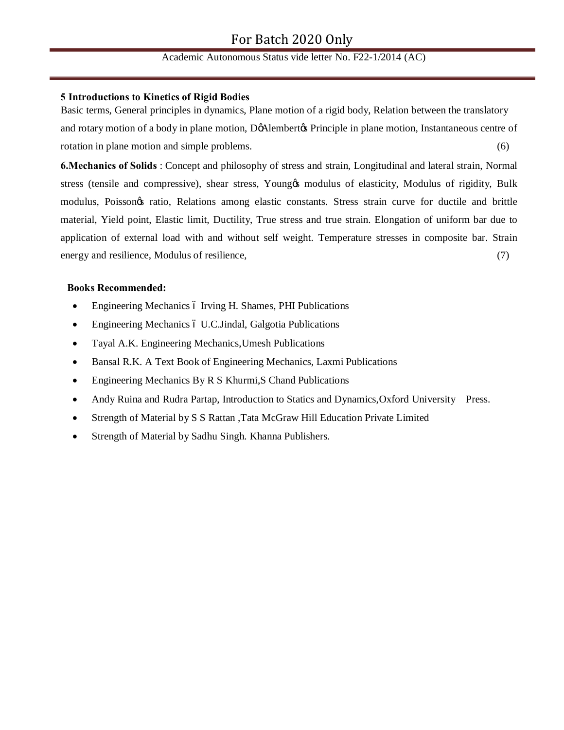#### **5 Introductions to Kinetics of Rigid Bodies**

Basic terms, General principles in dynamics, Plane motion of a rigid body, Relation between the translatory and rotary motion of a body in plane motion, DøAlembertøs Principle in plane motion, Instantaneous centre of rotation in plane motion and simple problems. (6)

**6.Mechanics of Solids** : Concept and philosophy of stress and strain, Longitudinal and lateral strain, Normal stress (tensile and compressive), shear stress, Youngos modulus of elasticity, Modulus of rigidity, Bulk modulus, Poisson's ratio, Relations among elastic constants. Stress strain curve for ductile and brittle material, Yield point, Elastic limit, Ductility, True stress and true strain. Elongation of uniform bar due to application of external load with and without self weight. Temperature stresses in composite bar. Strain energy and resilience, Modulus of resilience, (7)

#### **Books Recommended:**

- Engineering Mechanics 6 Irving H. Shames, PHI Publications
- Engineering Mechanics ó U.C.Jindal, Galgotia Publications
- · Tayal A.K. Engineering Mechanics,Umesh Publications
- · Bansal R.K. A Text Book of Engineering Mechanics, Laxmi Publications
- Engineering Mechanics By R S Khurmi, S Chand Publications
- · Andy Ruina and Rudra Partap, Introduction to Statics and Dynamics,Oxford University Press.
- · Strength of Material by S S Rattan ,Tata McGraw Hill Education Private Limited
- Strength of Material by Sadhu Singh. Khanna Publishers.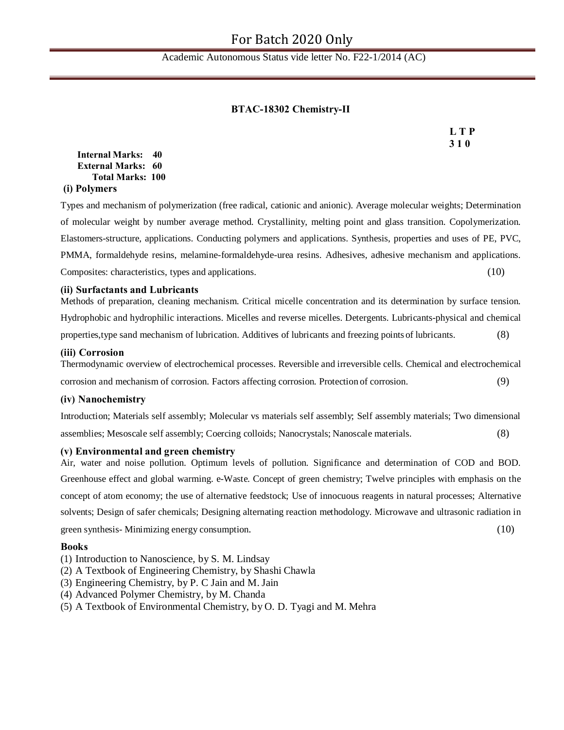### **BTAC-18302 Chemistry-II**

**L T P 3 1 0**

**Internal Marks: 40 External Marks: 60 Total Marks: 100 (i) Polymers**

Types and mechanism of polymerization (free radical, cationic and anionic). Average molecular weights; Determination of molecular weight by number average method. Crystallinity, melting point and glass transition. Copolymerization. Elastomers-structure, applications. Conducting polymers and applications. Synthesis, properties and uses of PE, PVC, PMMA, formaldehyde resins, melamine-formaldehyde-urea resins. Adhesives, adhesive mechanism and applications. Composites: characteristics, types and applications. (10)

#### **(ii) Surfactants and Lubricants**

Methods of preparation, cleaning mechanism. Critical micelle concentration and its determination by surface tension. Hydrophobic and hydrophilic interactions. Micelles and reverse micelles. Detergents. Lubricants-physical and chemical properties,type sand mechanism of lubrication. Additives of lubricants and freezing points of lubricants. (8)

#### **(iii) Corrosion**

Thermodynamic overview of electrochemical processes. Reversible and irreversible cells. Chemical and electrochemical corrosion and mechanism of corrosion. Factors affecting corrosion. Protection of corrosion. (9)

#### **(iv) Nanochemistry**

Introduction; Materials self assembly; Molecular vs materials self assembly; Self assembly materials; Two dimensional assemblies; Mesoscale self assembly; Coercing colloids; Nanocrystals; Nanoscale materials. (8)

#### **(v) Environmental and green chemistry**

Air, water and noise pollution. Optimum levels of pollution. Significance and determination of COD and BOD. Greenhouse effect and global warming. e-Waste. Concept of green chemistry; Twelve principles with emphasis on the concept of atom economy; the use of alternative feedstock; Use of innocuous reagents in natural processes; Alternative solvents; Design of safer chemicals; Designing alternating reaction methodology. Microwave and ultrasonic radiation in green synthesis- Minimizing energy consumption. (10)

#### **Books**

- (1) Introduction to Nanoscience, by S. M. Lindsay
- (2) A Textbook of Engineering Chemistry, by Shashi Chawla
- (3) Engineering Chemistry, by P. C Jain and M. Jain
- (4) Advanced Polymer Chemistry, by M. Chanda
- (5) A Textbook of Environmental Chemistry, by O. D. Tyagi and M. Mehra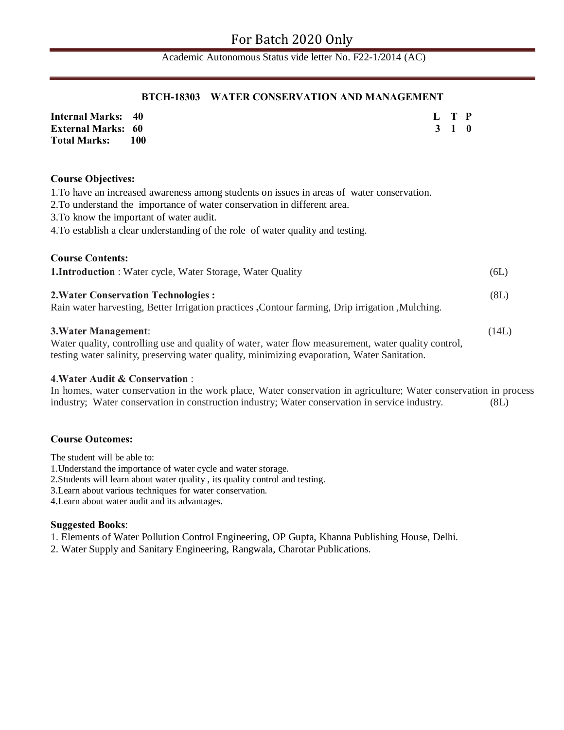#### **BTCH-18303 WATER CONSERVATION AND MANAGEMENT**

| <b>Internal Marks: 40</b> |       |  | L T P |  |
|---------------------------|-------|--|-------|--|
| <b>External Marks: 60</b> |       |  | 3 1 0 |  |
| Total Marks:              | - 100 |  |       |  |

#### **Course Objectives:**

1.To have an increased awareness among students on issues in areas of water conservation.

2.To understand the importance of water conservation in different area.

3.To know the important of water audit.

4.To establish a clear understanding of the role of water quality and testing.

| <b>Course Contents:</b>                                                                                                                                                                                                           |       |
|-----------------------------------------------------------------------------------------------------------------------------------------------------------------------------------------------------------------------------------|-------|
| <b>1.Introduction</b> : Water cycle, Water Storage, Water Quality                                                                                                                                                                 | (6L)  |
| <b>2. Water Conservation Technologies:</b><br>Rain water harvesting, Better Irrigation practices, Contour farming, Drip irrigation, Mulching.                                                                                     | (8L)  |
| <b>3. Water Management:</b><br>Water quality, controlling use and quality of water, water flow measurement, water quality control,<br>testing water salinity, preserving water quality, minimizing evaporation, Water Sanitation. | (14L) |

#### **4**.**Water Audit & Conservation** :

In homes, water conservation in the work place, Water conservation in agriculture; Water conservation in process industry; Water conservation in construction industry; Water conservation in service industry. (8L)

#### **Course Outcomes:**

The student will be able to:

1.Understand the importance of water cycle and water storage.

2.Students will learn about water quality , its quality control and testing.

3.Learn about various techniques for water conservation.

4.Learn about water audit and its advantages.

#### **Suggested Books**:

1. Elements of Water Pollution Control Engineering, OP Gupta, Khanna Publishing House, Delhi.

2. Water Supply and Sanitary Engineering, Rangwala, Charotar Publications.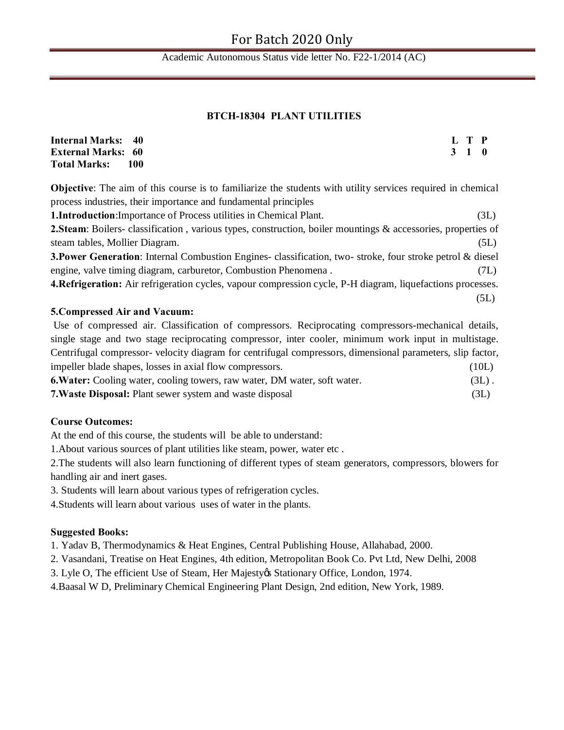#### **BTCH-18304 PLANT UTILITIES**

| <b>Internal Marks: 40</b> |     |  | L T P |  |
|---------------------------|-----|--|-------|--|
| <b>External Marks: 60</b> |     |  | 3 1 0 |  |
| <b>Total Marks:</b>       | 100 |  |       |  |

**Objective**: The aim of this course is to familiarize the students with utility services required in chemical process industries, their importance and fundamental principles

**1.Introduction**:Importance of Process utilities in Chemical Plant. (3L)

**2.Steam**: Boilers- classification , various types, construction, boiler mountings & accessories, properties of steam tables, Mollier Diagram. (5L)

**3.Power Generation**: Internal Combustion Engines- classification, two- stroke, four stroke petrol & diesel engine, valve timing diagram, carburetor, Combustion Phenomena . (7L)

**4.Refrigeration:** Air refrigeration cycles, vapour compression cycle, P-H diagram, liquefactions processes. (5L)

#### **5.Compressed Air and Vacuum:**

Use of compressed air. Classification of compressors. Reciprocating compressors-mechanical details, single stage and two stage reciprocating compressor, inter cooler, minimum work input in multistage. Centrifugal compressor- velocity diagram for centrifugal compressors, dimensional parameters, slip factor, impeller blade shapes, losses in axial flow compressors. (10L) **6.Water:** Cooling water, cooling towers, raw water, DM water, soft water. (3L) . **7.Waste Disposal:** Plant sewer system and waste disposal (3L)

## **Course Outcomes:**

At the end of this course, the students will be able to understand:

1.About various sources of plant utilities like steam, power, water etc .

2.The students will also learn functioning of different types of steam generators, compressors, blowers for handling air and inert gases.

3. Students will learn about various types of refrigeration cycles.

4.Students will learn about various uses of water in the plants.

### **Suggested Books:**

1. Yadav B, Thermodynamics & Heat Engines, Central Publishing House, Allahabad, 2000.

2. Vasandani, Treatise on Heat Engines, 4th edition, Metropolitan Book Co. Pvt Ltd, New Delhi, 2008

3. Lyle O, The efficient Use of Steam, Her Majestyøs Stationary Office, London, 1974.

4.Baasal W D, Preliminary Chemical Engineering Plant Design, 2nd edition, New York, 1989.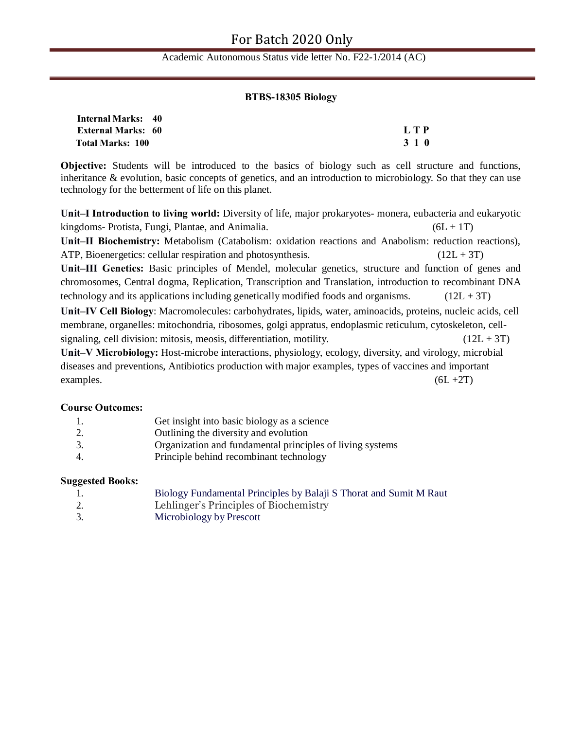#### **BTBS-18305 Biology**

| <b>Internal Marks: 40</b> |       |
|---------------------------|-------|
| <b>External Marks: 60</b> | LTP   |
| <b>Total Marks: 100</b>   | 3 1 0 |

**Objective:** Students will be introduced to the basics of biology such as cell structure and functions, inheritance & evolution, basic concepts of genetics, and an introduction to microbiology. So that they can use technology for the betterment of life on this planet.

**Unit–I Introduction to living world:** Diversity of life, major prokaryotes- monera, eubacteria and eukaryotic kingdoms- Protista, Fungi, Plantae, and Animalia. (6L + 1T) **Unit–II Biochemistry:** Metabolism (Catabolism: oxidation reactions and Anabolism: reduction reactions), ATP, Bioenergetics: cellular respiration and photosynthesis.  $(12L + 3T)$ 

**Unit–III Genetics:** Basic principles of Mendel, molecular genetics, structure and function of genes and chromosomes, Central dogma, Replication, Transcription and Translation, introduction to recombinant DNA technology and its applications including genetically modified foods and organisms.  $(12L + 3T)$ 

**Unit–IV Cell Biology**: Macromolecules: carbohydrates, lipids, water, aminoacids, proteins, nucleic acids, cell membrane, organelles: mitochondria, ribosomes, golgi appratus, endoplasmic reticulum, cytoskeleton, cellsignaling, cell division: mitosis, meosis, differentiation, motility.  $(12L + 3T)$ 

**Unit–V Microbiology:** Host-microbe interactions, physiology, ecology, diversity, and virology, microbial diseases and preventions, Antibiotics production with major examples, types of vaccines and important examples.  $(6L + 2T)$ 

#### **Course Outcomes:**

| 1. | Get insight into basic biology as a science               |
|----|-----------------------------------------------------------|
| 2. | Outlining the diversity and evolution                     |
| 3. | Organization and fundamental principles of living systems |
| 4. | Principle behind recombinant technology                   |

#### **Suggested Books:**

| --- | Biology Fundamental Principles by Balaji S Thorat and Sumit M Raut |
|-----|--------------------------------------------------------------------|
| 2.  | Lehlinger's Principles of Biochemistry                             |
|     | Microbiology by Prescott                                           |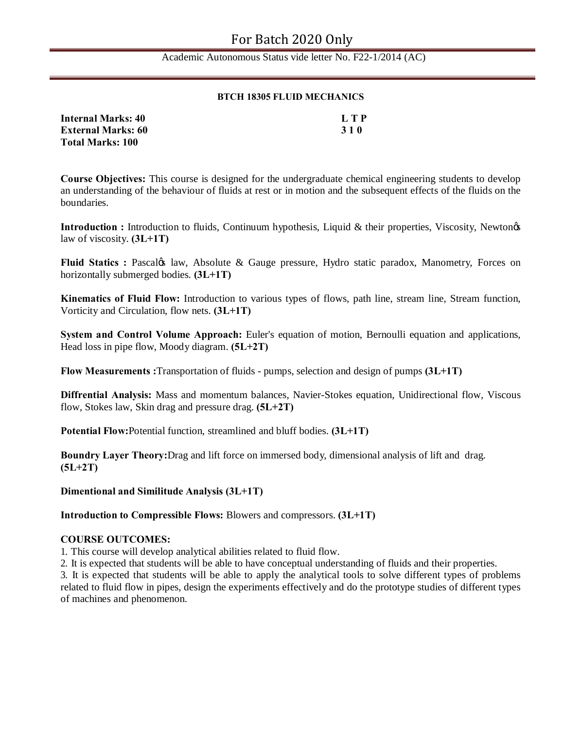#### **BTCH 18305 FLUID MECHANICS**

| <b>Internal Marks: 40</b> | L T P      |
|---------------------------|------------|
| <b>External Marks: 60</b> | <b>310</b> |
| <b>Total Marks: 100</b>   |            |

**Course Objectives:** This course is designed for the undergraduate chemical engineering students to develop an understanding of the behaviour of fluids at rest or in motion and the subsequent effects of the fluids on the boundaries.

**Introduction :** Introduction to fluids, Continuum hypothesis, Liquid & their properties, Viscosity, Newtongs law of viscosity. **(3L+1T)**

**Fluid Statics : Pascalgs law, Absolute & Gauge pressure, Hydro static paradox, Manometry, Forces on** horizontally submerged bodies. **(3L+1T)**

**Kinematics of Fluid Flow:** Introduction to various types of flows, path line, stream line, Stream function, Vorticity and Circulation, flow nets. **(3L+1T)**

**System and Control Volume Approach:** Euler's equation of motion, Bernoulli equation and applications, Head loss in pipe flow, Moody diagram. **(5L+2T)**

**Flow Measurements :**Transportation of fluids - pumps, selection and design of pumps **(3L+1T)**

**Diffrential Analysis:** Mass and momentum balances, Navier-Stokes equation, Unidirectional flow, Viscous flow, Stokes law, Skin drag and pressure drag. **(5L+2T)**

**Potential Flow:**Potential function, streamlined and bluff bodies. **(3L+1T)**

**Boundry Layer Theory:**Drag and lift force on immersed body, dimensional analysis of lift and drag. **(5L+2T)**

**Dimentional and Similitude Analysis (3L+1T)**

**Introduction to Compressible Flows:** Blowers and compressors. **(3L+1T)** 

#### **COURSE OUTCOMES:**

1. This course will develop analytical abilities related to fluid flow.

2. It is expected that students will be able to have conceptual understanding of fluids and their properties.

3. It is expected that students will be able to apply the analytical tools to solve different types of problems related to fluid flow in pipes, design the experiments effectively and do the prototype studies of different types of machines and phenomenon.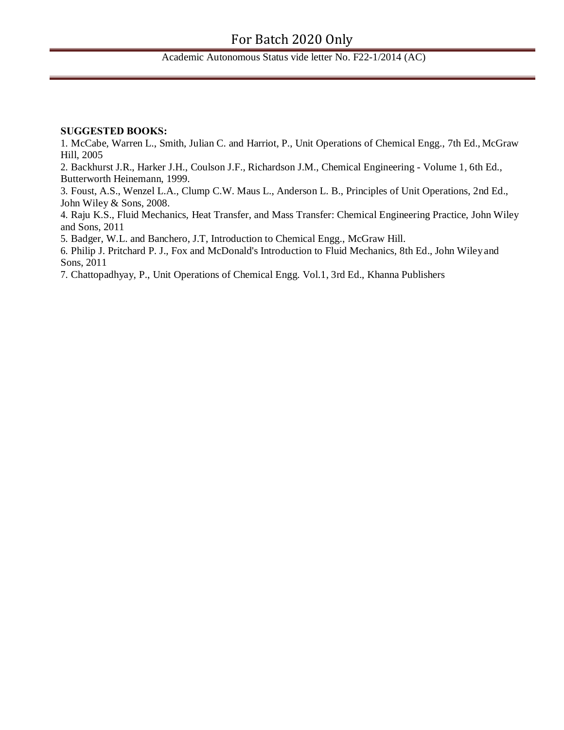## Academic Autonomous Status vide letter No. F22-1/2014 (AC)

#### **SUGGESTED BOOKS:**

1. McCabe, Warren L., Smith, Julian C. and Harriot, P., Unit Operations of Chemical Engg., 7th Ed., McGraw Hill, 2005

2. Backhurst J.R., Harker J.H., Coulson J.F., Richardson J.M., Chemical Engineering - Volume 1, 6th Ed., Butterworth Heinemann, 1999.

3. Foust, A.S., Wenzel L.A., Clump C.W. Maus L., Anderson L. B., Principles of Unit Operations, 2nd Ed., John Wiley & Sons, 2008.

4. Raju K.S., Fluid Mechanics, Heat Transfer, and Mass Transfer: Chemical Engineering Practice, John Wiley and Sons, 2011

5. Badger, W.L. and Banchero, J.T, Introduction to Chemical Engg., McGraw Hill.

6. Philip J. Pritchard P. J., Fox and McDonald's Introduction to Fluid Mechanics, 8th Ed., John Wileyand Sons, 2011

7. Chattopadhyay, P., Unit Operations of Chemical Engg. Vol.1, 3rd Ed., Khanna Publishers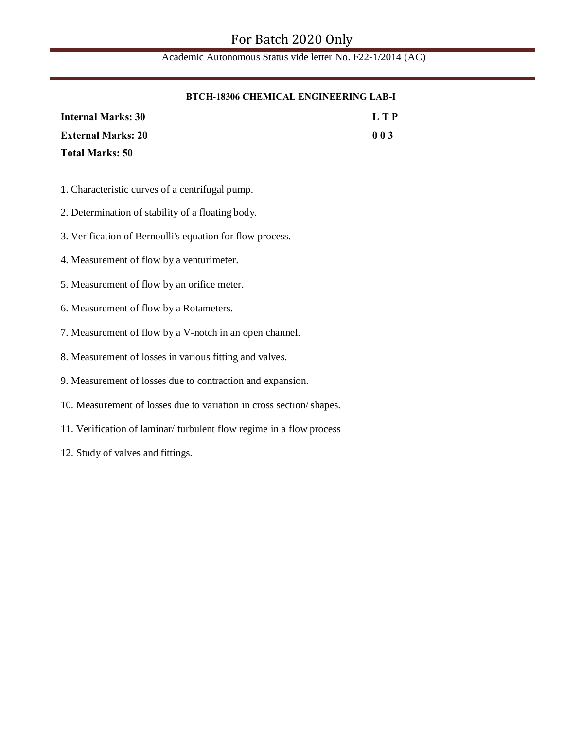#### **BTCH-18306 CHEMICAL ENGINEERING LAB-I**

| <b>Internal Marks: 30</b> | LTP |
|---------------------------|-----|
| <b>External Marks: 20</b> | 003 |
| <b>Total Marks: 50</b>    |     |

- 1. Characteristic curves of a centrifugal pump.
- 2. Determination of stability of a floating body.
- 3. Verification of Bernoulli's equation for flow process.
- 4. Measurement of flow by a venturimeter.
- 5. Measurement of flow by an orifice meter.
- 6. Measurement of flow by a Rotameters.
- 7. Measurement of flow by a V-notch in an open channel.
- 8. Measurement of losses in various fitting and valves.
- 9. Measurement of losses due to contraction and expansion.
- 10. Measurement of losses due to variation in cross section/shapes.
- 11. Verification of laminar/ turbulent flow regime in a flow process
- 12. Study of valves and fittings.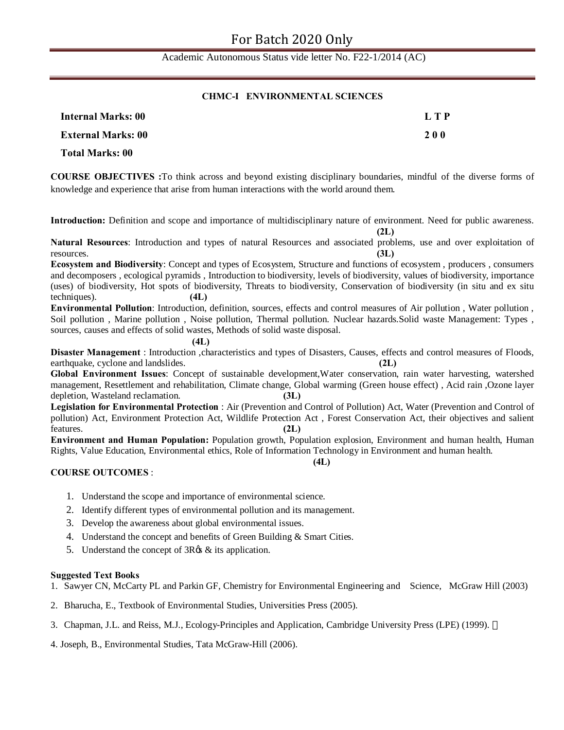#### **CHMC-I ENVIRONMENTAL SCIENCES**

| <b>Internal Marks: 00</b> | L T P      |
|---------------------------|------------|
| <b>External Marks: 00</b> | <b>200</b> |
| Total Marks: 00           |            |

**COURSE OBJECTIVES :**To think across and beyond existing disciplinary boundaries, mindful of the diverse forms of knowledge and experience that arise from human interactions with the world around them.

**Introduction:** Definition and scope and importance of multidisciplinary nature of environment. Need for public awareness.

 **(2L) Natural Resources**: Introduction and types of natural Resources and associated problems, use and over exploitation of resources. **(3L)**

**Ecosystem and Biodiversity**: Concept and types of Ecosystem, Structure and functions of ecosystem , producers , consumers and decomposers , ecological pyramids , Introduction to biodiversity, levels of biodiversity, values of biodiversity, importance (uses) of biodiversity, Hot spots of biodiversity, Threats to biodiversity, Conservation of biodiversity (in situ and ex situ techniques). **(4L)**

**Environmental Pollution**: Introduction, definition, sources, effects and control measures of Air pollution , Water pollution , Soil pollution , Marine pollution , Noise pollution, Thermal pollution. Nuclear hazards.Solid waste Management: Types , sources, causes and effects of solid wastes, Methods of solid waste disposal.

**(4L)**

**Disaster Management** : Introduction ,characteristics and types of Disasters, Causes, effects and control measures of Floods, earthquake, cyclone and landslides. **(2L)**

**Global Environment Issues**: Concept of sustainable development,Water conservation, rain water harvesting, watershed management, Resettlement and rehabilitation, Climate change, Global warming (Green house effect) , Acid rain ,Ozone layer depletion, Wasteland reclamation. **(3L)**

**Legislation for Environmental Protection** : Air (Prevention and Control of Pollution) Act, Water (Prevention and Control of pollution) Act, Environment Protection Act, Wildlife Protection Act , Forest Conservation Act, their objectives and salient features. **(2L)**

**Environment and Human Population:** Population growth, Population explosion, Environment and human health, Human Rights, Value Education, Environmental ethics, Role of Information Technology in Environment and human health.

**(4L)**

#### **COURSE OUTCOMES** :

- 1. Understand the scope and importance of environmental science.
- 2. Identify different types of environmental pollution and its management.
- 3. Develop the awareness about global environmental issues.
- 4. Understand the concept and benefits of Green Building & Smart Cities.
- 5. Understand the concept of  $3R\&$  its application.

#### **Suggested Text Books**

1. Sawyer CN, McCarty PL and Parkin GF, Chemistry for Environmental Engineering and Science, McGraw Hill (2003)

2. Bharucha, E., Textbook of Environmental Studies, Universities Press (2005).

- 3. Chapman, J.L. and Reiss, M.J., Ecology-Principles and Application, Cambridge University Press (LPE) (1999).
- 4. Joseph, B., Environmental Studies, Tata McGraw-Hill (2006).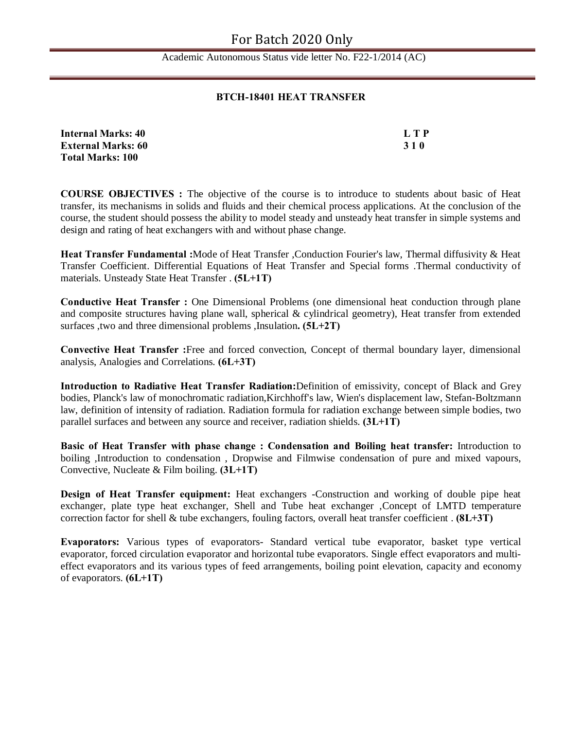#### **BTCH-18401 HEAT TRANSFER**

| <b>Internal Marks: 40</b> | LTP        |
|---------------------------|------------|
| <b>External Marks: 60</b> | <b>310</b> |
| <b>Total Marks: 100</b>   |            |

**COURSE OBJECTIVES :** The objective of the course is to introduce to students about basic of Heat transfer, its mechanisms in solids and fluids and their chemical process applications. At the conclusion of the course, the student should possess the ability to model steady and unsteady heat transfer in simple systems and design and rating of heat exchangers with and without phase change.

**Heat Transfer Fundamental :**Mode of Heat Transfer ,Conduction Fourier's law, Thermal diffusivity & Heat Transfer Coefficient. Differential Equations of Heat Transfer and Special forms .Thermal conductivity of materials. Unsteady State Heat Transfer . **(5L+1T)**

**Conductive Heat Transfer :** One Dimensional Problems (one dimensional heat conduction through plane and composite structures having plane wall, spherical  $\&$  cylindrical geometry), Heat transfer from extended surfaces ,two and three dimensional problems ,Insulation**. (5L+2T)**

**Convective Heat Transfer :**Free and forced convection, Concept of thermal boundary layer, dimensional analysis, Analogies and Correlations. **(6L+3T)**

**Introduction to Radiative Heat Transfer Radiation:**Definition of emissivity, concept of Black and Grey bodies, Planck's law of monochromatic radiation,Kirchhoff's law, Wien's displacement law, Stefan-Boltzmann law, definition of intensity of radiation. Radiation formula for radiation exchange between simple bodies, two parallel surfaces and between any source and receiver, radiation shields. **(3L+1T)**

**Basic of Heat Transfer with phase change : Condensation and Boiling heat transfer:** Introduction to boiling ,Introduction to condensation , Dropwise and Filmwise condensation of pure and mixed vapours, Convective, Nucleate & Film boiling. **(3L+1T)**

**Design of Heat Transfer equipment:** Heat exchangers -Construction and working of double pipe heat exchanger, plate type heat exchanger, Shell and Tube heat exchanger ,Concept of LMTD temperature correction factor for shell & tube exchangers, fouling factors, overall heat transfer coefficient . **(8L+3T)**

**Evaporators:** Various types of evaporators- Standard vertical tube evaporator, basket type vertical evaporator, forced circulation evaporator and horizontal tube evaporators. Single effect evaporators and multieffect evaporators and its various types of feed arrangements, boiling point elevation, capacity and economy of evaporators. **(6L+1T)**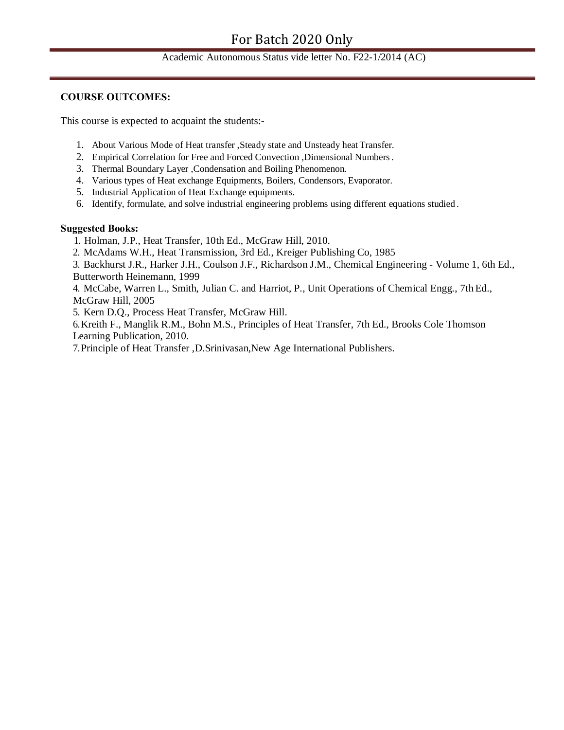#### **COURSE OUTCOMES:**

This course is expected to acquaint the students:-

- 1. About Various Mode of Heat transfer ,Steady state and Unsteady heat Transfer.
- 2. Empirical Correlation for Free and Forced Convection ,Dimensional Numbers.
- 3. Thermal Boundary Layer ,Condensation and Boiling Phenomenon.
- 4. Various types of Heat exchange Equipments, Boilers, Condensors, Evaporator.
- 5. Industrial Application of Heat Exchange equipments.
- 6. Identify, formulate, and solve industrial engineering problems using different equations studied .

#### **Suggested Books:**

- 1. Holman, J.P., Heat Transfer, 10th Ed., McGraw Hill, 2010.
- 2. McAdams W.H., Heat Transmission, 3rd Ed., Kreiger Publishing Co, 1985

3. Backhurst J.R., Harker J.H., Coulson J.F., Richardson J.M., Chemical Engineering - Volume 1, 6th Ed., Butterworth Heinemann, 1999

4. McCabe, Warren L., Smith, Julian C. and Harriot, P., Unit Operations of Chemical Engg., 7th Ed., McGraw Hill, 2005

5. Kern D.Q., Process Heat Transfer, McGraw Hill.

6.Kreith F., Manglik R.M., Bohn M.S., Principles of Heat Transfer, 7th Ed., Brooks Cole Thomson Learning Publication, 2010.

7.Principle of Heat Transfer ,D.Srinivasan,New Age International Publishers.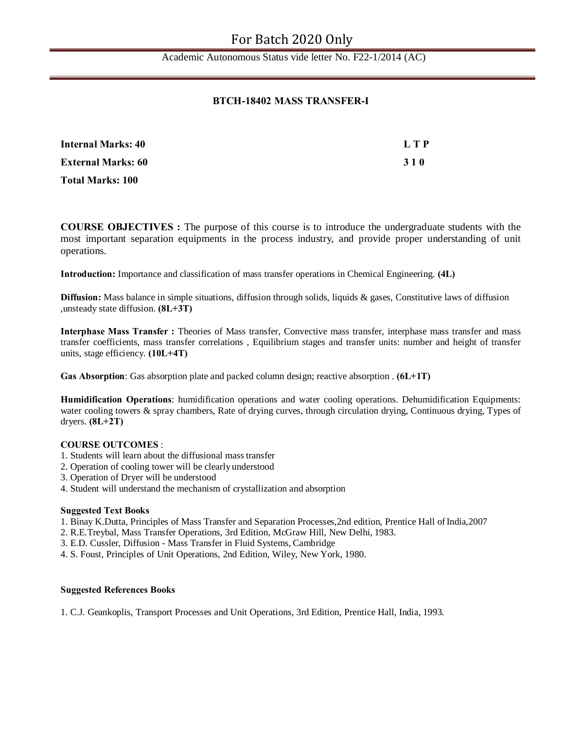#### **BTCH-18402 MASS TRANSFER-I**

| <b>Internal Marks: 40</b> | LTP        |
|---------------------------|------------|
| <b>External Marks: 60</b> | <b>310</b> |
| <b>Total Marks: 100</b>   |            |

**COURSE OBJECTIVES :** The purpose of this course is to introduce the undergraduate students with the most important separation equipments in the process industry, and provide proper understanding of unit operations.

**Introduction:** Importance and classification of mass transfer operations in Chemical Engineering. **(4L)**

**Diffusion:** Mass balance in simple situations, diffusion through solids, liquids & gases, Constitutive laws of diffusion ,unsteady state diffusion. **(8L+3T)**

**Interphase Mass Transfer :** Theories of Mass transfer, Convective mass transfer, interphase mass transfer and mass transfer coefficients, mass transfer correlations , Equilibrium stages and transfer units: number and height of transfer units, stage efficiency. **(10L+4T)**

**Gas Absorption**: Gas absorption plate and packed column design; reactive absorption . **(6L+1T)**

**Humidification Operations**: humidification operations and water cooling operations. Dehumidification Equipments: water cooling towers & spray chambers, Rate of drying curves, through circulation drying, Continuous drying, Types of dryers. **(8L+2T)**

#### **COURSE OUTCOMES** :

- 1. Students will learn about the diffusional masstransfer
- 2. Operation of cooling tower will be clearlyunderstood
- 3. Operation of Dryer will be understood
- 4. Student will understand the mechanism of crystallization and absorption

#### **Suggested Text Books**

- 1. Binay K.Dutta, Principles of Mass Transfer and Separation Processes,2nd edition, Prentice Hall ofIndia,2007
- 2. R.E.Treybal, Mass Transfer Operations, 3rd Edition, McGraw Hill, New Delhi, 1983.
- 3. E.D. Cussler, Diffusion Mass Transfer in Fluid Systems, Cambridge
- 4. S. Foust, Principles of Unit Operations, 2nd Edition, Wiley, New York, 1980.

#### **Suggested References Books**

1. C.J. Geankoplis, Transport Processes and Unit Operations, 3rd Edition, Prentice Hall, India, 1993.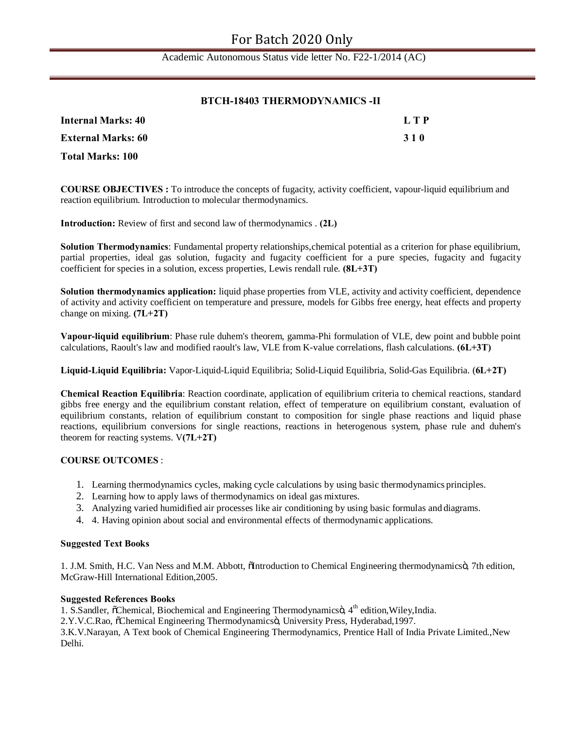#### **BTCH-18403 THERMODYNAMICS -II**

| Internal Marks: 40        | L T P |
|---------------------------|-------|
| <b>External Marks: 60</b> | 310   |
| <b>Total Marks: 100</b>   |       |

**COURSE OBJECTIVES :** To introduce the concepts of fugacity, activity coefficient, vapour-liquid equilibrium and reaction equilibrium. Introduction to molecular thermodynamics.

**Introduction:** Review of first and second law of thermodynamics . **(2L)**

**Solution Thermodynamics**: Fundamental property relationships,chemical potential as a criterion for phase equilibrium, partial properties, ideal gas solution, fugacity and fugacity coefficient for a pure species, fugacity and fugacity coefficient for species in a solution, excess properties, Lewis rendall rule. **(8L+3T)**

**Solution thermodynamics application:** liquid phase properties from VLE, activity and activity coefficient, dependence of activity and activity coefficient on temperature and pressure, models for Gibbs free energy, heat effects and property change on mixing. **(7L+2T)**

**Vapour-liquid equilibrium**: Phase rule duhem's theorem, gamma-Phi formulation of VLE, dew point and bubble point calculations, Raoult's law and modified raoult's law, VLE from K-value correlations, flash calculations. **(6L+3T)**

**Liquid-Liquid Equilibria:** Vapor-Liquid-Liquid Equilibria; Solid-Liquid Equilibria, Solid-Gas Equilibria. (**6L+2T)**

**Chemical Reaction Equilibria**: Reaction coordinate, application of equilibrium criteria to chemical reactions, standard gibbs free energy and the equilibrium constant relation, effect of temperature on equilibrium constant, evaluation of equilibrium constants, relation of equilibrium constant to composition for single phase reactions and liquid phase reactions, equilibrium conversions for single reactions, reactions in heterogenous system, phase rule and duhem's theorem for reacting systems. V**(7L+2T)**

#### **COURSE OUTCOMES** :

- 1. Learning thermodynamics cycles, making cycle calculations by using basic thermodynamics principles.
- 2. Learning how to apply laws of thermodynamics on ideal gas mixtures.
- 3. Analyzing varied humidified air processes like air conditioning by using basic formulas and diagrams.
- 4. 4. Having opinion about social and environmental effects of thermodynamic applications.

#### **Suggested Text Books**

1. J.M. Smith, H.C. Van Ness and M.M. Abbott,  $\delta$ Introduction to Chemical Engineering thermodynamics $\ddot{o}$ , 7th edition, McGraw-Hill International Edition,2005.

#### **Suggested References Books**

1. S.Sandler,  $\tilde{o}$ Chemical, Biochemical and Engineering Thermodynamics $\ddot{o}$ , 4<sup>th</sup> edition, Wiley, India.

2.Y.V.C.Rao,  $\tilde{C}$ chemical Engineering Thermodynamicsö, University Press, Hyderabad, 1997.

3.K.V.Narayan, A Text book of Chemical Engineering Thermodynamics, Prentice Hall of India Private Limited.,New Delhi.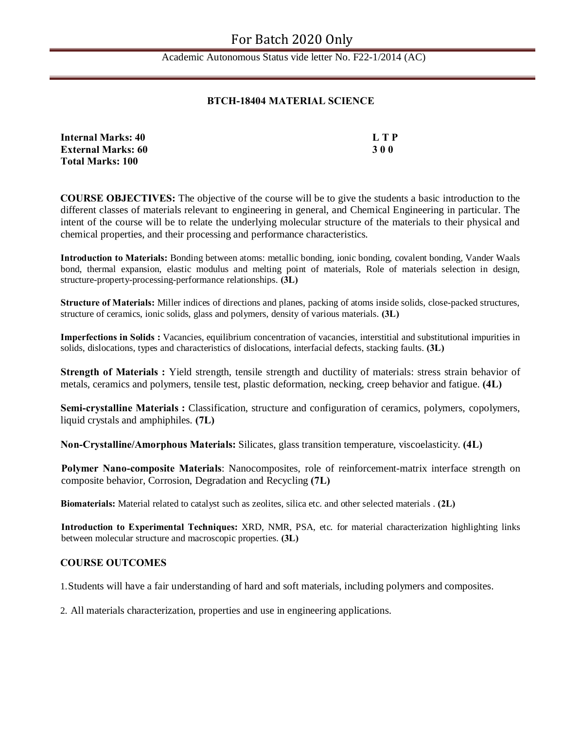#### **BTCH-18404 MATERIAL SCIENCE**

| <b>Internal Marks: 40</b> | L T P |
|---------------------------|-------|
| <b>External Marks: 60</b> | 300   |
| <b>Total Marks: 100</b>   |       |

**COURSE OBJECTIVES:** The objective of the course will be to give the students a basic introduction to the different classes of materials relevant to engineering in general, and Chemical Engineering in particular. The intent of the course will be to relate the underlying molecular structure of the materials to their physical and chemical properties, and their processing and performance characteristics.

**Introduction to Materials:** Bonding between atoms: metallic bonding, ionic bonding, covalent bonding, Vander Waals bond, thermal expansion, elastic modulus and melting point of materials, Role of materials selection in design, structure-property-processing-performance relationships. **(3L)**

**Structure of Materials:** Miller indices of directions and planes, packing of atoms inside solids, close-packed structures, structure of ceramics, ionic solids, glass and polymers, density of various materials. **(3L)**

**Imperfections in Solids :** Vacancies, equilibrium concentration of vacancies, interstitial and substitutional impurities in solids, dislocations, types and characteristics of dislocations, interfacial defects, stacking faults. **(3L)**

**Strength of Materials :** Yield strength, tensile strength and ductility of materials: stress strain behavior of metals, ceramics and polymers, tensile test, plastic deformation, necking, creep behavior and fatigue. **(4L)**

**Semi-crystalline Materials :** Classification, structure and configuration of ceramics, polymers, copolymers, liquid crystals and amphiphiles. **(7L)**

**Non-Crystalline/Amorphous Materials:** Silicates, glass transition temperature, viscoelasticity. **(4L)**

**Polymer Nano-composite Materials**: Nanocomposites, role of reinforcement-matrix interface strength on composite behavior, Corrosion, Degradation and Recycling **(7L)**

**Biomaterials:** Material related to catalyst such as zeolites, silica etc. and other selected materials . **(2L)**

**Introduction to Experimental Techniques:** XRD, NMR, PSA, etc. for material characterization highlighting links between molecular structure and macroscopic properties. **(3L)**

#### **COURSE OUTCOMES**

1.Students will have a fair understanding of hard and soft materials, including polymers and composites.

2. All materials characterization, properties and use in engineering applications.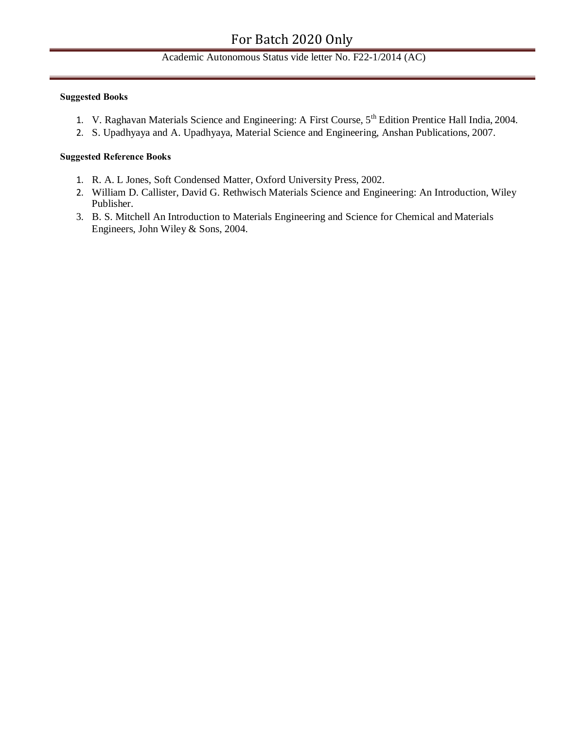#### **Suggested Books**

- 1. V. Raghavan Materials Science and Engineering: A First Course, 5<sup>th</sup> Edition Prentice Hall India, 2004.
- 2. S. Upadhyaya and A. Upadhyaya, Material Science and Engineering, Anshan Publications, 2007.

#### **Suggested Reference Books**

- 1. R. A. L Jones, Soft Condensed Matter, Oxford University Press, 2002.
- 2. William D. Callister, David G. Rethwisch Materials Science and Engineering: An Introduction, Wiley Publisher.
- 3. B. S. Mitchell An Introduction to Materials Engineering and Science for Chemical and Materials Engineers, John Wiley & Sons, 2004.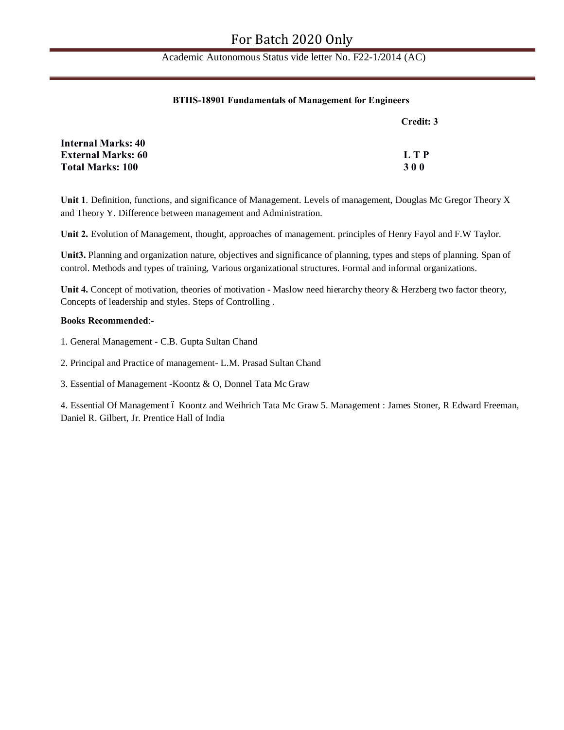#### **BTHS-18901 Fundamentals of Management for Engineers**

|                           | Credit: 3  |
|---------------------------|------------|
| <b>Internal Marks: 40</b> |            |
| <b>External Marks: 60</b> | LTP        |
| <b>Total Marks: 100</b>   | <b>300</b> |

**Unit 1**. Definition, functions, and significance of Management. Levels of management, Douglas Mc Gregor Theory X and Theory Y. Difference between management and Administration.

**Unit 2.** Evolution of Management, thought, approaches of management. principles of Henry Fayol and F.W Taylor.

**Unit3.** Planning and organization nature, objectives and significance of planning, types and steps of planning. Span of control. Methods and types of training, Various organizational structures. Formal and informal organizations.

Unit 4. Concept of motivation, theories of motivation - Maslow need hierarchy theory & Herzberg two factor theory, Concepts of leadership and styles. Steps of Controlling .

#### **Books Recommended**:-

- 1. General Management C.B. Gupta Sultan Chand
- 2. Principal and Practice of management- L.M. Prasad Sultan Chand
- 3. Essential of Management -Koontz & O, Donnel Tata Mc Graw

4. Essential Of Management ó Koontz and Weihrich Tata Mc Graw 5. Management : James Stoner, R Edward Freeman, Daniel R. Gilbert, Jr. Prentice Hall of India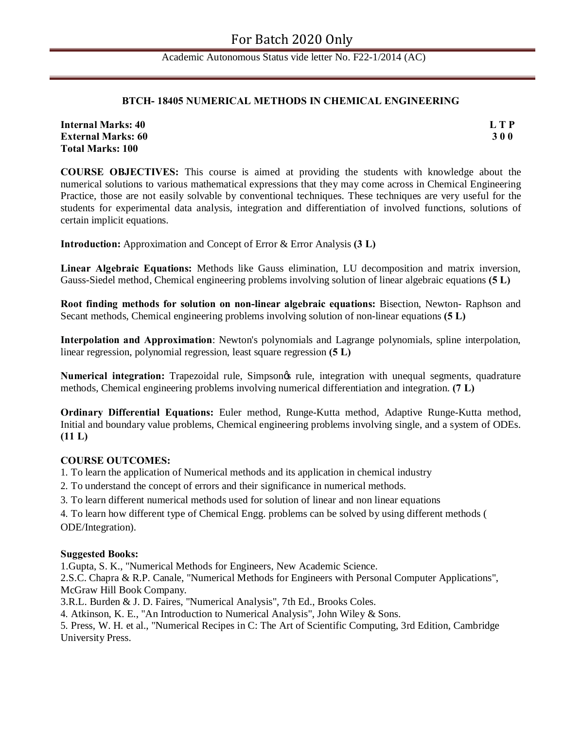#### **BTCH- 18405 NUMERICAL METHODS IN CHEMICAL ENGINEERING**

**Internal Marks: 40 L T P External Marks: 60 3 0 0 Total Marks: 100**

**COURSE OBJECTIVES:** This course is aimed at providing the students with knowledge about the numerical solutions to various mathematical expressions that they may come across in Chemical Engineering Practice, those are not easily solvable by conventional techniques. These techniques are very useful for the students for experimental data analysis, integration and differentiation of involved functions, solutions of certain implicit equations.

**Introduction:** Approximation and Concept of Error & Error Analysis **(3 L)**

**Linear Algebraic Equations:** Methods like Gauss elimination, LU decomposition and matrix inversion, Gauss-Siedel method, Chemical engineering problems involving solution of linear algebraic equations **(5 L)**

**Root finding methods for solution on non-linear algebraic equations:** Bisection, Newton- Raphson and Secant methods, Chemical engineering problems involving solution of non-linear equations **(5 L)**

**Interpolation and Approximation**: Newton's polynomials and Lagrange polynomials, spline interpolation, linear regression, polynomial regression, least square regression **(5 L)**

**Numerical integration:** Trapezoidal rule, Simpson $\alpha$  rule, integration with unequal segments, quadrature methods, Chemical engineering problems involving numerical differentiation and integration. **(7 L)**

**Ordinary Differential Equations:** Euler method, Runge-Kutta method, Adaptive Runge-Kutta method, Initial and boundary value problems, Chemical engineering problems involving single, and a system of ODEs. **(11 L)**

#### **COURSE OUTCOMES:**

1. To learn the application of Numerical methods and its application in chemical industry

2. To understand the concept of errors and their significance in numerical methods.

3. To learn different numerical methods used for solution of linear and non linear equations

4. To learn how different type of Chemical Engg. problems can be solved by using different methods ( ODE/Integration).

#### **Suggested Books:**

1.Gupta, S. K., "Numerical Methods for Engineers, New Academic Science.

2.S.C. Chapra & R.P. Canale, "Numerical Methods for Engineers with Personal Computer Applications", McGraw Hill Book Company.

3.R.L. Burden & J. D. Faires, "Numerical Analysis", 7th Ed., Brooks Coles.

4. Atkinson, K. E., "An Introduction to Numerical Analysis", John Wiley & Sons.

5. Press, W. H. et al., "Numerical Recipes in C: The Art of Scientific Computing, 3rd Edition, Cambridge University Press.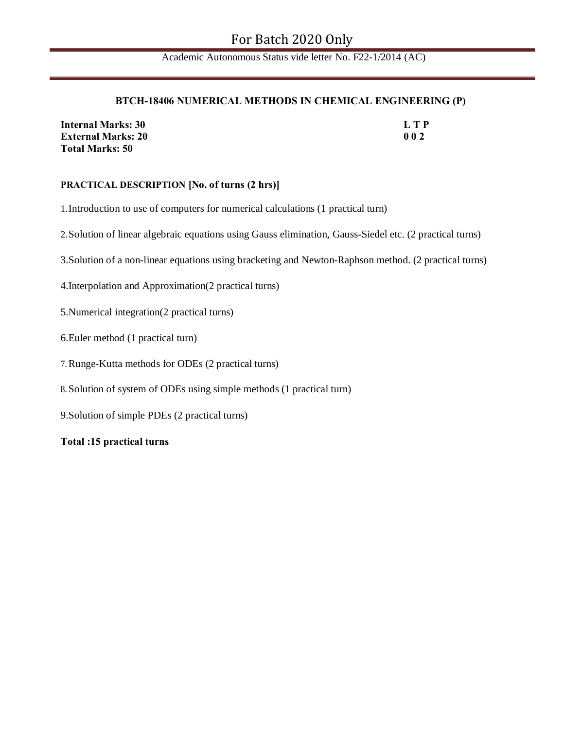#### **BTCH-18406 NUMERICAL METHODS IN CHEMICAL ENGINEERING (P)**

| <b>Internal Marks: 30</b> | L T P |
|---------------------------|-------|
| <b>External Marks: 20</b> | 002   |
| <b>Total Marks: 50</b>    |       |

#### **PRACTICAL DESCRIPTION [No. of turns (2 hrs)]**

1.Introduction to use of computers for numerical calculations (1 practical turn)

2.Solution of linear algebraic equations using Gauss elimination, Gauss-Siedel etc. (2 practical turns)

3.Solution of a non-linear equations using bracketing and Newton-Raphson method. (2 practical turns)

4.Interpolation and Approximation(2 practical turns)

- 5.Numerical integration(2 practical turns)
- 6.Euler method (1 practical turn)
- 7.Runge-Kutta methods for ODEs (2 practical turns)
- 8.Solution of system of ODEs using simple methods (1 practical turn)
- 9.Solution of simple PDEs (2 practical turns)

**Total :15 practical turns**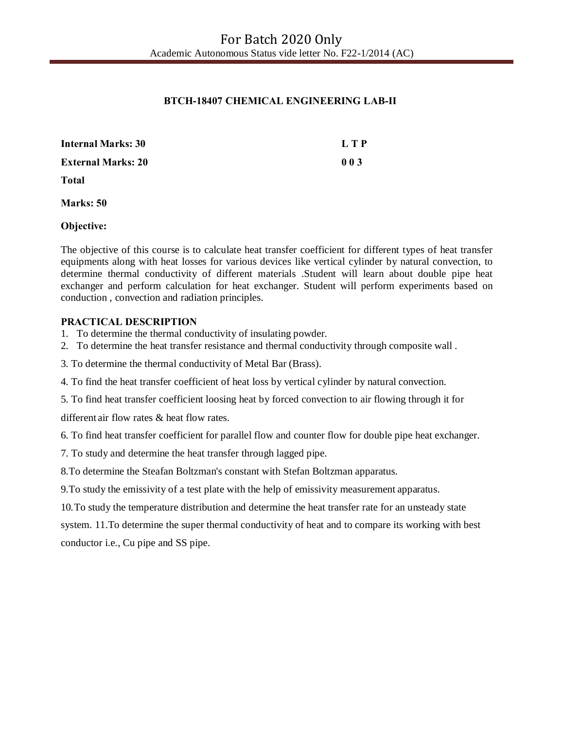## **BTCH-18407 CHEMICAL ENGINEERING LAB-II**

| <b>Internal Marks: 30</b> | L T P |
|---------------------------|-------|
| <b>External Marks: 20</b> | 003   |
| <b>Total</b>              |       |
| Marks: 50                 |       |

**Objective:**

The objective of this course is to calculate heat transfer coefficient for different types of heat transfer equipments along with heat losses for various devices like vertical cylinder by natural convection, to determine thermal conductivity of different materials .Student will learn about double pipe heat exchanger and perform calculation for heat exchanger. Student will perform experiments based on conduction , convection and radiation principles.

#### **PRACTICAL DESCRIPTION**

- 1. To determine the thermal conductivity of insulating powder.
- 2. To determine the heat transfer resistance and thermal conductivity through composite wall .
- 3. To determine the thermal conductivity of Metal Bar (Brass).
- 4. To find the heat transfer coefficient of heat loss by vertical cylinder by natural convection.
- 5. To find heat transfer coefficient loosing heat by forced convection to air flowing through it for

different air flow rates & heat flow rates.

- 6. To find heat transfer coefficient for parallel flow and counter flow for double pipe heat exchanger.
- 7. To study and determine the heat transfer through lagged pipe.
- 8.To determine the Steafan Boltzman's constant with Stefan Boltzman apparatus.
- 9.To study the emissivity of a test plate with the help of emissivity measurement apparatus.
- 10.To study the temperature distribution and determine the heat transfer rate for an unsteady state

system. 11.To determine the super thermal conductivity of heat and to compare its working with best conductor i.e., Cu pipe and SS pipe.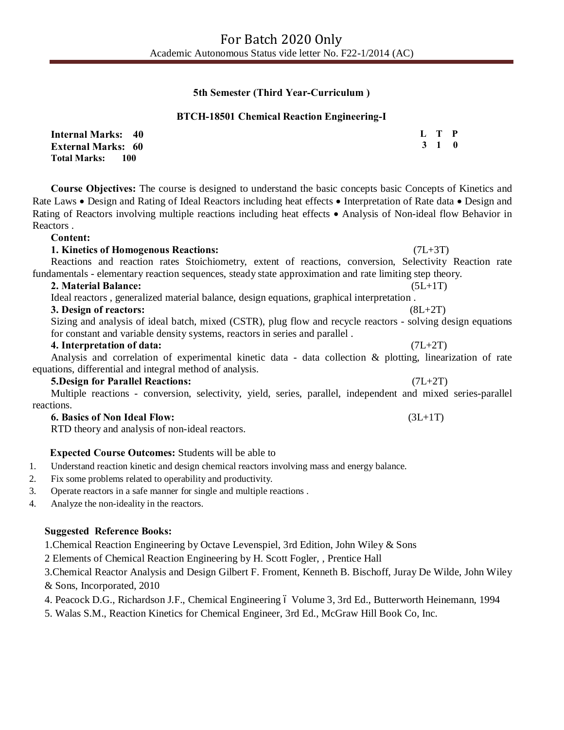#### **5th Semester (Third Year-Curriculum )**

#### **BTCH-18501 Chemical Reaction Engineering-I**

| <b>Internal Marks: 40</b>   | L T P |  |
|-----------------------------|-------|--|
| <b>External Marks: 60</b>   | 3 1 0 |  |
| <b>Total Marks:</b><br>-100 |       |  |

**Course Objectives:** The course is designed to understand the basic concepts basic Concepts of Kinetics and Rate Laws • Design and Rating of Ideal Reactors including heat effects • Interpretation of Rate data • Design and Rating of Reactors involving multiple reactions including heat effects • Analysis of Non-ideal flow Behavior in Reactors .

**Content:**

#### **1. Kinetics of Homogenous Reactions:** (7L+3T)

#### Reactions and reaction rates Stoichiometry, extent of reactions, conversion, Selectivity Reaction rate fundamentals - elementary reaction sequences, steady state approximation and rate limiting step theory.

#### **2. Material Balance:** (5L+1T)

Ideal reactors , generalized material balance, design equations, graphical interpretation .

#### **3. Design of reactors:** (8L+2T)

Sizing and analysis of ideal batch, mixed (CSTR), plug flow and recycle reactors - solving design equations for constant and variable density systems, reactors in series and parallel .

#### **4. Interpretation of data:** (7L+2T)

Analysis and correlation of experimental kinetic data - data collection & plotting, linearization of rate equations, differential and integral method of analysis.

#### **5.Design for Parallel Reactions:** (7L+2T)

Multiple reactions - conversion, selectivity, yield, series, parallel, independent and mixed series-parallel reactions.

#### **6. Basics of Non Ideal Flow:** (3L+1T)

RTD theory and analysis of non-ideal reactors.

#### **Expected Course Outcomes:** Students will be able to

- 1. Understand reaction kinetic and design chemical reactors involving mass and energy balance.
- 2. Fix some problems related to operability and productivity.
- 3. Operate reactors in a safe manner for single and multiple reactions .
- 4. Analyze the non-ideality in the reactors.

#### **Suggested Reference Books:**

1.Chemical Reaction Engineering by Octave Levenspiel, 3rd Edition, John Wiley & Sons

2 Elements of Chemical Reaction Engineering by H. Scott Fogler, , Prentice Hall

3.Chemical Reactor Analysis and Design Gilbert F. Froment, Kenneth B. Bischoff, Juray De Wilde, John Wiley & Sons, Incorporated, 2010

4. Peacock D.G., Richardson J.F., Chemical Engineering 6 Volume 3, 3rd Ed., Butterworth Heinemann, 1994

5. Walas S.M., Reaction Kinetics for Chemical Engineer, 3rd Ed., McGraw Hill Book Co, Inc.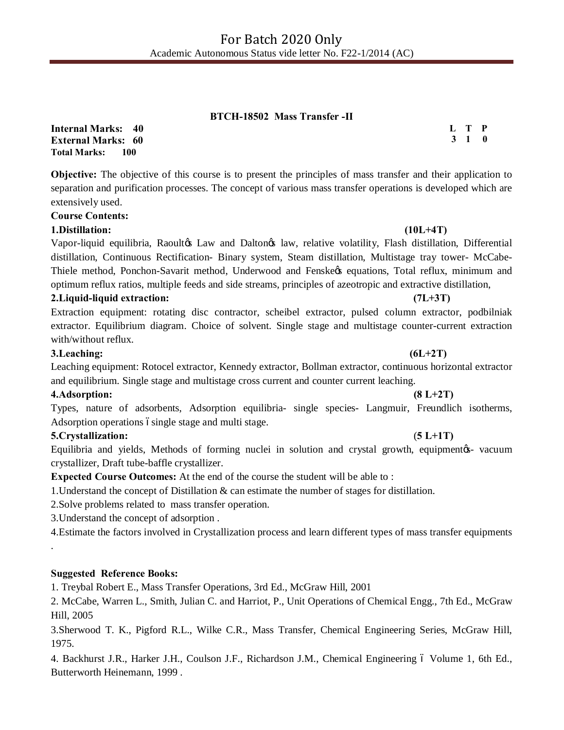#### **BTCH-18502 Mass Transfer -II**

**Internal Marks: 40 External Marks: 60 Total Marks: 100** 

**Objective:** The objective of this course is to present the principles of mass transfer and their application to separation and purification processes. The concept of various mass transfer operations is developed which are extensively used.

#### **Course Contents:**

#### **1.Distillation: (10L+4T)**

Vapor-liquid equilibria, Raoultøs Law and Daltonøs law, relative volatility, Flash distillation, Differential distillation, Continuous Rectification- Binary system, Steam distillation, Multistage tray tower- McCabe-Thiele method, Ponchon-Savarit method, Underwood and Fenske $\alpha$  equations, Total reflux, minimum and optimum reflux ratios, multiple feeds and side streams, principles of azeotropic and extractive distillation,

#### **2.Liquid-liquid extraction: (7L+3T)**

Extraction equipment: rotating disc contractor, scheibel extractor, pulsed column extractor, podbilniak extractor. Equilibrium diagram. Choice of solvent. Single stage and multistage counter-current extraction with/without reflux.

#### **3.Leaching: (6L+2T)**

Leaching equipment: Rotocel extractor, Kennedy extractor, Bollman extractor, continuous horizontal extractor and equilibrium. Single stage and multistage cross current and counter current leaching.

#### **4.Adsorption: (8 L+2T)**

Types, nature of adsorbents, Adsorption equilibria- single species- Langmuir, Freundlich isotherms, Adsorption operations ósingle stage and multi stage.

#### **5.Crystallization:** (**5 L+1T)**

.

Equilibria and yields, Methods of forming nuclei in solution and crystal growth, equipment  $\alpha$ - vacuum crystallizer, Draft tube-baffle crystallizer.

**Expected Course Outcomes:** At the end of the course the student will be able to :

1.Understand the concept of Distillation & can estimate the number of stages for distillation.

2.Solve problems related to mass transfer operation.

3.Understand the concept of adsorption .

4.Estimate the factors involved in Crystallization process and learn different types of mass transfer equipments

#### **Suggested Reference Books:**

1. Treybal Robert E., Mass Transfer Operations, 3rd Ed., McGraw Hill, 2001

2. McCabe, Warren L., Smith, Julian C. and Harriot, P., Unit Operations of Chemical Engg., 7th Ed., McGraw Hill, 2005

3.Sherwood T. K., Pigford R.L., Wilke C.R., Mass Transfer, Chemical Engineering Series, McGraw Hill, 1975.

4. Backhurst J.R., Harker J.H., Coulson J.F., Richardson J.M., Chemical Engineering 6 Volume 1, 6th Ed., Butterworth Heinemann, 1999 .

#### **L T P 3 1 0**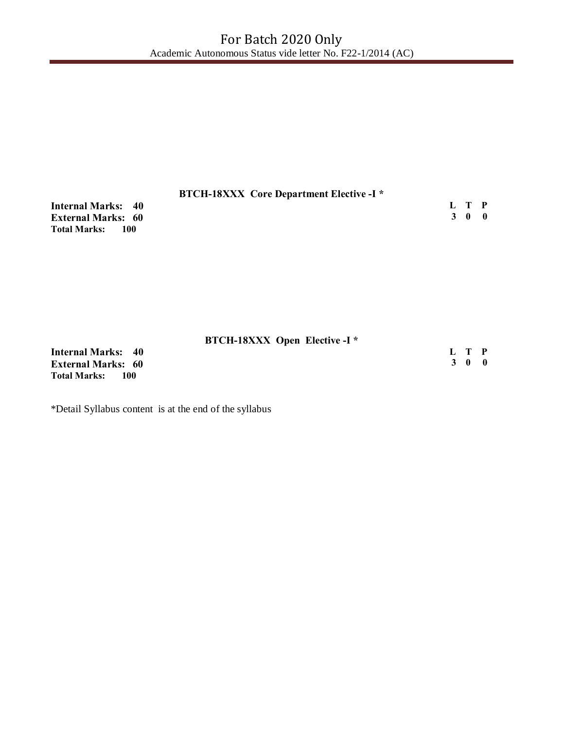| <b>BTCH-18XXX</b> Core Department Elective -I * |       |                 |  |
|-------------------------------------------------|-------|-----------------|--|
| <b>Internal Marks: 40</b>                       | L T P |                 |  |
| <b>External Marks: 60</b>                       |       | 30 <sup>0</sup> |  |
| <b>Total Marks:</b><br>- 100                    |       |                 |  |

| <b>BTCH-18XXX Open Elective -I *</b> |       |       |  |
|--------------------------------------|-------|-------|--|
| <b>Internal Marks: 40</b>            | L T P |       |  |
| <b>External Marks: 60</b>            |       | 3 O O |  |
| <b>Total Marks:</b><br>100           |       |       |  |

\*Detail Syllabus content is at the end of the syllabus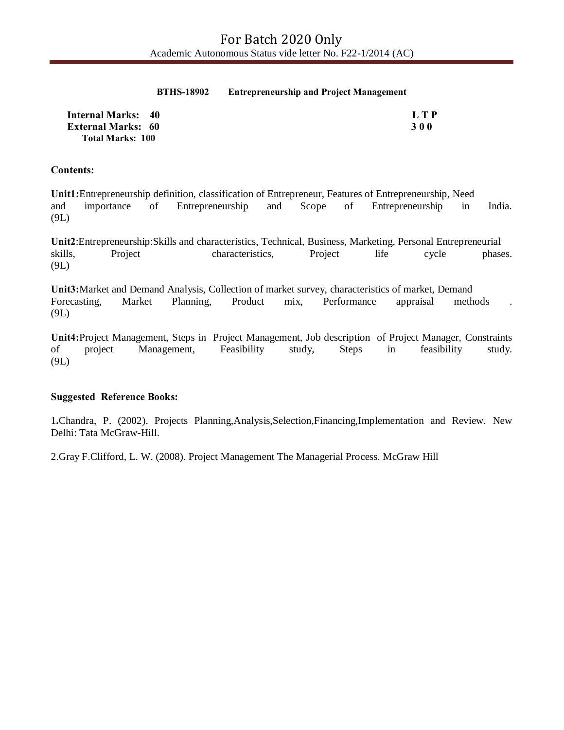#### **BTHS-18902 Entrepreneurship and Project Management**

| <b>Internal Marks: 40</b> | L T P      |
|---------------------------|------------|
| <b>External Marks: 60</b> | <b>300</b> |
| <b>Total Marks: 100</b>   |            |

#### **Contents:**

**Unit1:**Entrepreneurship definition, classification of Entrepreneur, Features of Entrepreneurship, Need and importance of Entrepreneurship and Scope of Entrepreneurship in India. (9L)

**Unit2**:Entrepreneurship:Skills and characteristics, Technical, Business, Marketing, Personal Entrepreneurial skills, Project characteristics, Project life cycle phases. (9L)

**Unit3:**Market and Demand Analysis, Collection of market survey, characteristics of market, Demand Forecasting, Market Planning, Product mix, Performance appraisal methods . (9L)

**Unit4:**Project Management, Steps in Project Management, Job description of Project Manager, Constraints of project Management, Feasibility study, Steps in feasibility study. (9L)

#### **Suggested Reference Books:**

1**.**Chandra, P. (2002). Projects Planning,Analysis,Selection,Financing,Implementation and Review. New Delhi: Tata McGraw-Hill.

2.Gray F.Clifford, L. W. (2008). Project Management The Managerial Process*.* McGraw Hill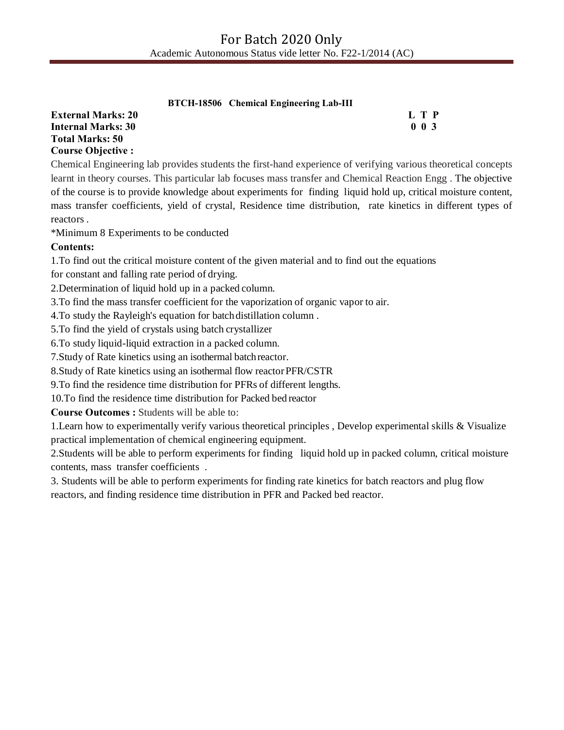|                           | <b>BTCH-18506</b> Chemical Engineering Lab-III |                            |
|---------------------------|------------------------------------------------|----------------------------|
| <b>External Marks: 20</b> |                                                | L T P                      |
| Internal Marks: 30        |                                                | 0 <sub>0<sub>3</sub></sub> |
| Total Marks: 50           |                                                |                            |

#### **Total Course Objective :**

Chemical Engineering lab provides students the first-hand experience of verifying various theoretical concepts learnt in theory courses. This particular lab focuses mass transfer and Chemical Reaction Engg . The objective of the course is to provide knowledge about experiments for finding liquid hold up, critical moisture content, mass transfer coefficients, yield of crystal, Residence time distribution, rate kinetics in different types of reactors .

\*Minimum 8 Experiments to be conducted

## **Contents:**

1.To find out the critical moisture content of the given material and to find out the equations

for constant and falling rate period of drying.

2.Determination of liquid hold up in a packed column.

3.To find the mass transfer coefficient for the vaporization of organic vapor to air.

4.To study the Rayleigh's equation for batchdistillation column .

5.To find the yield of crystals using batch crystallizer

6.To study liquid-liquid extraction in a packed column.

7.Study of Rate kinetics using an isothermal batchreactor.

8.Study of Rate kinetics using an isothermal flow reactorPFR/CSTR

9.To find the residence time distribution for PFRs of different lengths.

10.To find the residence time distribution for Packed bed reactor

**Course Outcomes :** Students will be able to:

1.Learn how to experimentally verify various theoretical principles , Develop experimental skills & Visualize practical implementation of chemical engineering equipment.

2.Students will be able to perform experiments for finding liquid hold up in packed column, critical moisture contents, mass transfer coefficients .

3. Students will be able to perform experiments for finding rate kinetics for batch reactors and plug flow reactors, and finding residence time distribution in PFR and Packed bed reactor.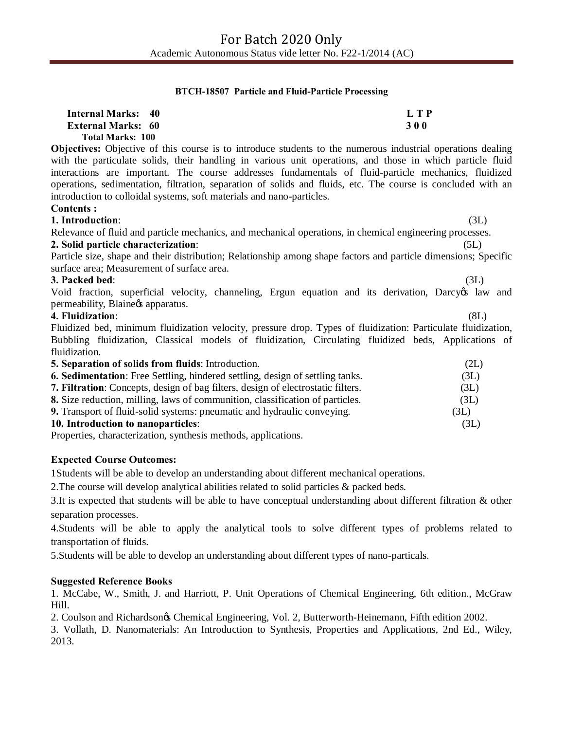#### **BTCH-18507 Particle and Fluid-Particle Processing**

| <b>Internal Marks: 40</b><br><b>External Marks: 60</b><br><b>Total Marks: 100</b>                                                                                                                                                                                                                                                                                                                                                                                                                                                                    | L T P<br>300 |
|------------------------------------------------------------------------------------------------------------------------------------------------------------------------------------------------------------------------------------------------------------------------------------------------------------------------------------------------------------------------------------------------------------------------------------------------------------------------------------------------------------------------------------------------------|--------------|
| <b>Objectives:</b> Objective of this course is to introduce students to the numerous industrial operations dealing<br>with the particulate solids, their handling in various unit operations, and those in which particle fluid<br>interactions are important. The course addresses fundamentals of fluid-particle mechanics, fluidized<br>operations, sedimentation, filtration, separation of solids and fluids, etc. The course is concluded with an<br>introduction to colloidal systems, soft materials and nano-particles.<br><b>Contents:</b> |              |
| 1. Introduction:                                                                                                                                                                                                                                                                                                                                                                                                                                                                                                                                     | (3L)         |
| Relevance of fluid and particle mechanics, and mechanical operations, in chemical engineering processes.                                                                                                                                                                                                                                                                                                                                                                                                                                             |              |
| 2. Solid particle characterization:                                                                                                                                                                                                                                                                                                                                                                                                                                                                                                                  | (5L)         |
| Particle size, shape and their distribution; Relationship among shape factors and particle dimensions; Specific                                                                                                                                                                                                                                                                                                                                                                                                                                      |              |
| surface area; Measurement of surface area.                                                                                                                                                                                                                                                                                                                                                                                                                                                                                                           |              |
| 3. Packed bed:                                                                                                                                                                                                                                                                                                                                                                                                                                                                                                                                       | (3L)         |
| Void fraction, superficial velocity, channeling, Ergun equation and its derivation, Darcy & law and<br>permeability, Blaine & apparatus.                                                                                                                                                                                                                                                                                                                                                                                                             |              |
| 4. Fluidization:                                                                                                                                                                                                                                                                                                                                                                                                                                                                                                                                     | (8L)         |
| Fluidized bed, minimum fluidization velocity, pressure drop. Types of fluidization: Particulate fluidization,                                                                                                                                                                                                                                                                                                                                                                                                                                        |              |
| Bubbling fluidization, Classical models of fluidization, Circulating fluidized beds, Applications of                                                                                                                                                                                                                                                                                                                                                                                                                                                 |              |
| fluidization.                                                                                                                                                                                                                                                                                                                                                                                                                                                                                                                                        |              |
| 5. Separation of solids from fluids: Introduction.                                                                                                                                                                                                                                                                                                                                                                                                                                                                                                   | (2L)         |
| <b>6. Sedimentation:</b> Free Settling, hindered settling, design of settling tanks.                                                                                                                                                                                                                                                                                                                                                                                                                                                                 | (3L)         |
| 7. Filtration: Concepts, design of bag filters, design of electrostatic filters.                                                                                                                                                                                                                                                                                                                                                                                                                                                                     | (3L)         |
| 8. Size reduction, milling, laws of communition, classification of particles.                                                                                                                                                                                                                                                                                                                                                                                                                                                                        | (3L)         |
| 9. Transport of fluid-solid systems: pneumatic and hydraulic conveying.                                                                                                                                                                                                                                                                                                                                                                                                                                                                              | (3L)         |

#### **10. Introduction to nanoparticles**: (3L)

Properties, characterization, synthesis methods, applications.

#### **Expected Course Outcomes:**

1Students will be able to develop an understanding about different mechanical operations.

2.The course will develop analytical abilities related to solid particles & packed beds.

3.It is expected that students will be able to have conceptual understanding about different filtration & other separation processes.

4.Students will be able to apply the analytical tools to solve different types of problems related to transportation of fluids.

5.Students will be able to develop an understanding about different types of nano-particals.

#### **Suggested Reference Books**

1. McCabe, W., Smith, J. and Harriott, P. Unit Operations of Chemical Engineering, 6th edition., McGraw Hill.

2. Coulson and Richardson's Chemical Engineering, Vol. 2, Butterworth-Heinemann, Fifth edition 2002.

3. Vollath, D. Nanomaterials: An Introduction to Synthesis, Properties and Applications, 2nd Ed., Wiley, 2013.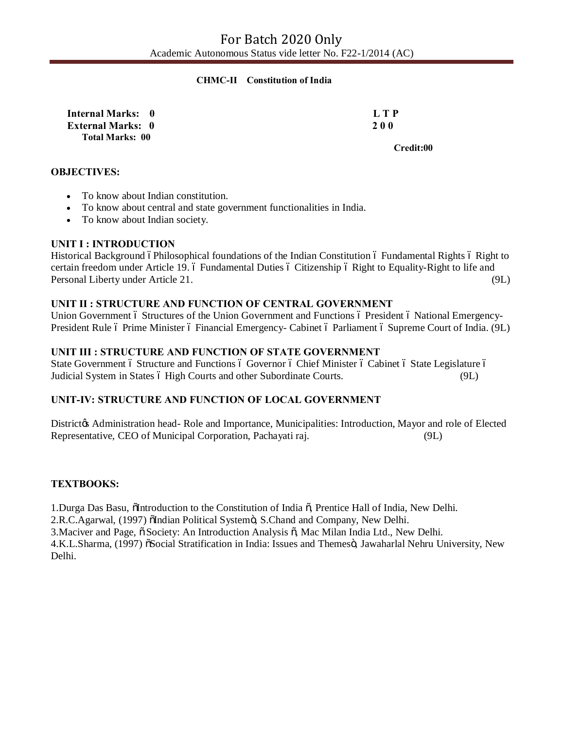#### **CHMC-II Constitution of India**

**Internal Marks: 0 L T P External Marks: 0 2 0 0 Total Marks: 00** 

**Credit:00 Credit:00** 

#### **OBJECTIVES:**

- To know about Indian constitution.
- · To know about central and state government functionalities in India.
- · To know about Indian society.

#### **UNIT I : INTRODUCTION**

Historical Background óPhilosophical foundations of the Indian Constitution ó Fundamental Rights ó Right to certain freedom under Article 19. 6 Fundamental Duties 6 Citizenship 6 Right to Equality-Right to life and Personal Liberty under Article 21. (9L)

### **UNIT II : STRUCTURE AND FUNCTION OF CENTRAL GOVERNMENT**

Union Government 6 Structures of the Union Government and Functions 6 President 6 National Emergency-President Rule 6 Prime Minister 6 Financial Emergency- Cabinet 6 Parliament 6 Supreme Court of India. (9L)

#### **UNIT III : STRUCTURE AND FUNCTION OF STATE GOVERNMENT**

State Government 6 Structure and Functions 6 Governor 6 Chief Minister 6 Cabinet 6 State Legislature 6 Judicial System in States 6 High Courts and other Subordinate Courts. (9L)

### **UNIT-IV: STRUCTURE AND FUNCTION OF LOCAL GOVERNMENT**

District & Administration head- Role and Importance, Municipalities: Introduction, Mayor and role of Elected Representative, CEO of Municipal Corporation, Pachayati raj. (9L)

#### **TEXTBOOKS:**

1.Durga Das Basu, "Introduction to the Constitution of India ", Prentice Hall of India, New Delhi.

2.R.C.Agarwal, (1997) õIndian Political Systemö, S.Chand and Company, New Delhi.

3. Maciver and Page,  $\ddot{\text{o}}$  Society: An Introduction Analysis  $\ddot{\text{o}}$ , Mac Milan India Ltd., New Delhi.

4.K.L.Sharma, (1997) õSocial Stratification in India: Issues and Themesö, Jawaharlal Nehru University, New Delhi.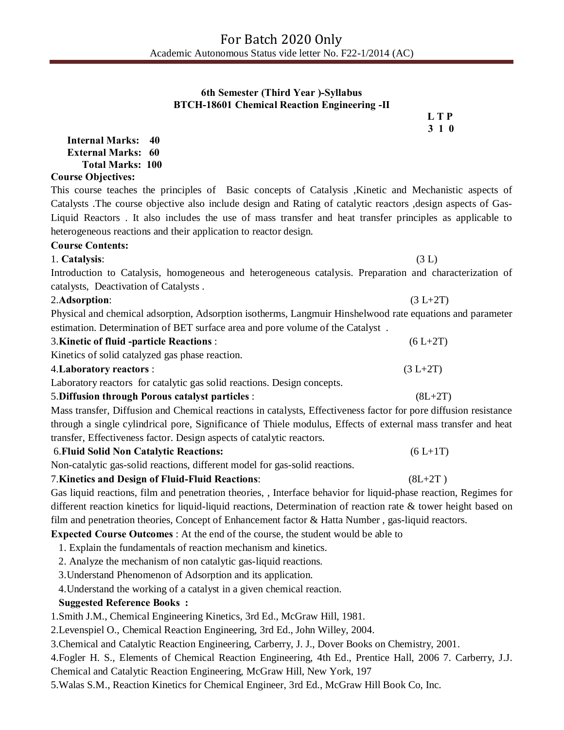## **6th Semester (Third Year )-Syllabus BTCH-18601 Chemical Reaction Engineering -II**

 **L T P 3 1 0**

**Internal Marks: 40 External Marks: 60 Total Marks: 100 Course Objectives:** 

This course teaches the principles of Basic concepts of Catalysis ,Kinetic and Mechanistic aspects of Catalysts .The course objective also include design and Rating of catalytic reactors ,design aspects of Gas-Liquid Reactors . It also includes the use of mass transfer and heat transfer principles as applicable to heterogeneous reactions and their application to reactor design.

## **Course Contents:**

1. **Catalysis**: (3 L)

Introduction to Catalysis, homogeneous and heterogeneous catalysis. Preparation and characterization of catalysts, Deactivation of Catalysts .

## 2.**Adsorption**: (3 L+2T)

Physical and chemical adsorption, Adsorption isotherms, Langmuir Hinshelwood rate equations and parameter estimation. Determination of BET surface area and pore volume of the Catalyst .

| <b>3. Kinetic of fluid -particle Reactions:</b> | $(6 L+2T)$ |
|-------------------------------------------------|------------|
| Kinetics of solid catalyzed gas phase reaction. |            |
| 4. Laboratory reactors :                        | $(3 L+2T)$ |

Laboratory reactorsfor catalytic gas solid reactions. Design concepts.

## 5.**Diffusion through Porous catalyst particles** :(8L+2T)

Mass transfer, Diffusion and Chemical reactions in catalysts, Effectiveness factor for pore diffusion resistance through a single cylindrical pore, Significance of Thiele modulus, Effects of external mass transfer and heat transfer, Effectiveness factor. Design aspects of catalytic reactors.

## 6.**Fluid Solid Non Catalytic Reactions:** (6 L+1T)

Non-catalytic gas-solid reactions, different model for gas-solid reactions.

## 7.**Kinetics and Design of Fluid-Fluid Reactions**: (8L+2T )

Gas liquid reactions, film and penetration theories, , Interface behavior for liquid-phase reaction, Regimes for different reaction kinetics for liquid-liquid reactions, Determination of reaction rate & tower height based on film and penetration theories, Concept of Enhancement factor  $\&$  Hatta Number, gas-liquid reactors.

## **Expected Course Outcomes** : At the end of the course, the student would be able to

1. Explain the fundamentals of reaction mechanism and kinetics.

2. Analyze the mechanism of non catalytic gas-liquid reactions.

3.Understand Phenomenon of Adsorption and its application.

4.Understand the working of a catalyst in a given chemical reaction.

## **Suggested Reference Books :**

1.Smith J.M., Chemical Engineering Kinetics, 3rd Ed., McGraw Hill, 1981.

2.Levenspiel O., Chemical Reaction Engineering, 3rd Ed., John Willey, 2004.

3.Chemical and Catalytic Reaction Engineering, Carberry, J. J., Dover Books on Chemistry, 2001.

4.Fogler H. S., Elements of Chemical Reaction Engineering, 4th Ed., Prentice Hall, 2006 7. Carberry, J.J.

Chemical and Catalytic Reaction Engineering, McGraw Hill, New York, 197

5.Walas S.M., Reaction Kinetics for Chemical Engineer, 3rd Ed., McGraw Hill Book Co, Inc.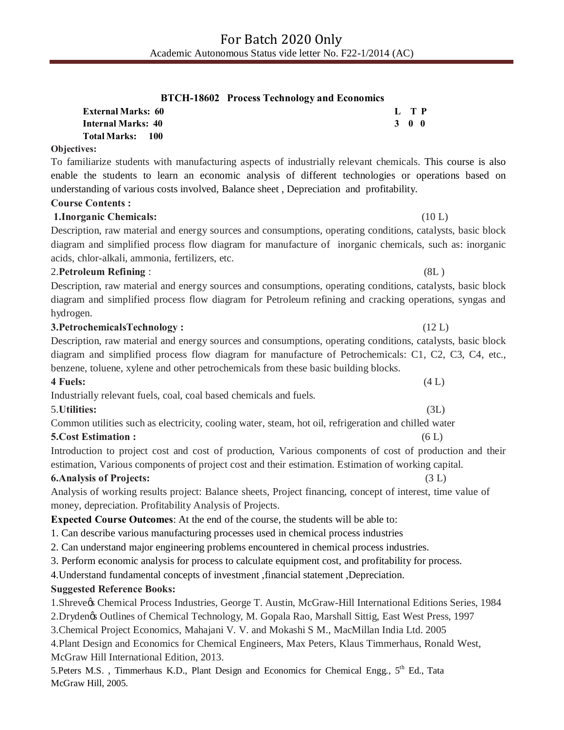|                           | <b>BTCH-18602</b> Process Technology and Economics |       |  |
|---------------------------|----------------------------------------------------|-------|--|
| <b>External Marks: 60</b> |                                                    | L TP  |  |
| <b>Internal Marks: 40</b> |                                                    | 3 O O |  |
| Total Marks: 100          |                                                    |       |  |
| VAC .                     |                                                    |       |  |

# **Objectives:**

To familiarize students with manufacturing aspects of industrially relevant chemicals. This course is also enable the students to learn an economic analysis of different technologies or operations based on understanding of various costs involved, Balance sheet , Depreciation and profitability.

# **Course Contents :**

# **1.Inorganic Chemicals:** (10 L)

Description, raw material and energy sources and consumptions, operating conditions, catalysts, basic block diagram and simplified process flow diagram for manufacture of inorganic chemicals, such as: inorganic acids, chlor-alkali, ammonia, fertilizers, etc.

# 2.**Petroleum Refining** : (8L )

Description, raw material and energy sources and consumptions, operating conditions, catalysts, basic block diagram and simplified process flow diagram for Petroleum refining and cracking operations, syngas and hydrogen.

# **3.PetrochemicalsTechnology :** (12 L)

Description, raw material and energy sources and consumptions, operating conditions, catalysts, basic block diagram and simplified process flow diagram for manufacture of Petrochemicals: C1, C2, C3, C4, etc., benzene, toluene, xylene and other petrochemicals from these basic building blocks. **4 Fuels:** (4 L)

Industrially relevant fuels, coal, coal based chemicals and fuels.

# 5.**Utilities:** (3L)

Common utilities such as electricity, cooling water, steam, hot oil, refrigeration and chilled water **5.Cost Estimation :** (6 L)

Introduction to project cost and cost of production, Various components of cost of production and their estimation, Various components of project cost and their estimation. Estimation of working capital.

# **6.Analysis of Projects:** (3 L)

Analysis of working results project: Balance sheets, Project financing, concept of interest, time value of money, depreciation. Profitability Analysis of Projects.

# **Expected Course Outcomes**: At the end of the course, the students will be able to:

1. Can describe various manufacturing processes used in chemical process industries

2. Can understand major engineering problems encountered in chemical process industries.

3. Perform economic analysis for process to calculate equipment cost, and profitability for process.

4.Understand fundamental concepts of investment ,financial statement ,Depreciation.

# **Suggested Reference Books:**

1.Shreve's Chemical Process Industries, George T. Austin, McGraw-Hill International Editions Series, 1984

2.Dryden's Outlines of Chemical Technology, M. Gopala Rao, Marshall Sittig, East West Press, 1997

3.Chemical Project Economics, Mahajani V. V. and Mokashi S M., MacMillan India Ltd. 2005

4.Plant Design and Economics for Chemical Engineers, Max Peters, Klaus Timmerhaus, Ronald West, McGraw Hill International Edition, 2013.

5.Peters M.S., Timmerhaus K.D., Plant Design and Economics for Chemical Engg., 5<sup>th</sup> Ed., Tata McGraw Hill, 2005.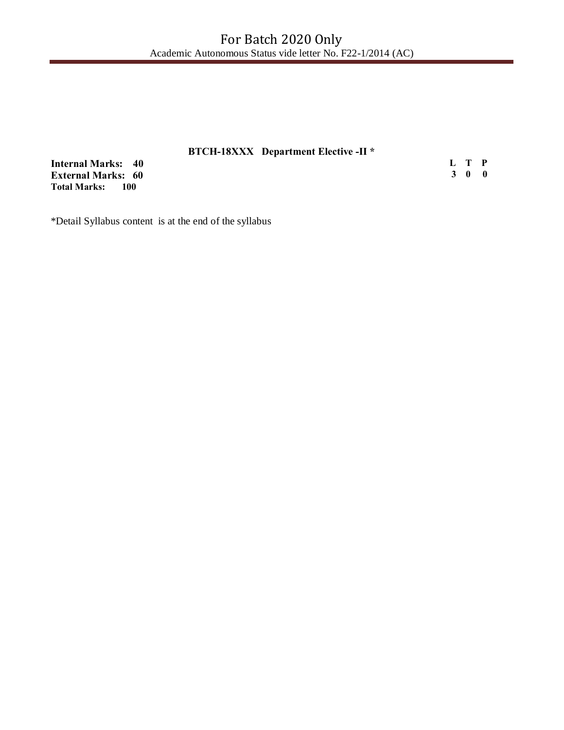# **BTCH-18XXX Department Elective -II \***

**Internal Marks: 40 External Marks: 60 Total Marks: 100** 

**L T P 3 0 0**

\*Detail Syllabus content is at the end of the syllabus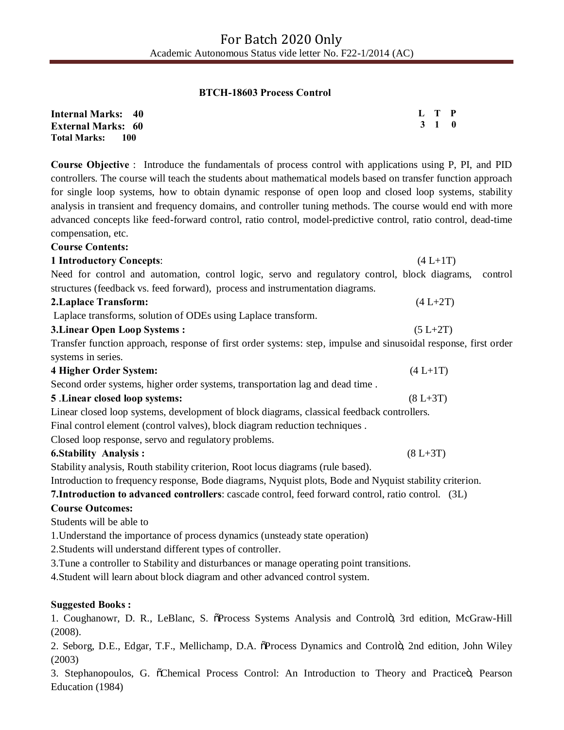#### **BTCH-18603 Process Control**

| <b>Internal Marks: 40</b>   | L T P |  |
|-----------------------------|-------|--|
| <b>External Marks: 60</b>   | 3 1 0 |  |
| <b>Total Marks:</b><br>-100 |       |  |

**Course Objective** : Introduce the fundamentals of process control with applications using P, PI, and PID controllers. The course will teach the students about mathematical models based on transfer function approach for single loop systems, how to obtain dynamic response of open loop and closed loop systems, stability analysis in transient and frequency domains, and controller tuning methods. The course would end with more advanced concepts like feed-forward control, ratio control, model-predictive control, ratio control, dead-time compensation, etc.

| <b>Course Contents:</b>                                                                                         |              |         |
|-----------------------------------------------------------------------------------------------------------------|--------------|---------|
| <b>1 Introductory Concepts:</b>                                                                                 | $(4 L+1T)$   |         |
| Need for control and automation, control logic, servo and regulatory control, block diagrams,                   |              | control |
| structures (feedback vs. feed forward), process and instrumentation diagrams.                                   |              |         |
| 2. Laplace Transform:                                                                                           | $(4 L+2T)$   |         |
| Laplace transforms, solution of ODEs using Laplace transform.                                                   |              |         |
| <b>3. Linear Open Loop Systems:</b>                                                                             | $(5 L+2T)$   |         |
| Transfer function approach, response of first order systems: step, impulse and sinusoidal response, first order |              |         |
| systems in series.                                                                                              |              |         |
| 4 Higher Order System:                                                                                          | $(4 L+1T)$   |         |
| Second order systems, higher order systems, transportation lag and dead time.                                   |              |         |
| 5 .Linear closed loop systems:                                                                                  | $(8 L + 3T)$ |         |
| Linear closed loop systems, development of block diagrams, classical feedback controllers.                      |              |         |
| Final control element (control valves), block diagram reduction techniques.                                     |              |         |
| Closed loop response, servo and regulatory problems.                                                            |              |         |
| <b>6.Stability Analysis:</b>                                                                                    | $(8 L + 3T)$ |         |
| Stability analysis, Routh stability criterion, Root locus diagrams (rule based).                                |              |         |
| Introduction to frequency response, Bode diagrams, Nyquist plots, Bode and Nyquist stability criterion.         |              |         |
| <b>7. Introduction to advanced controllers:</b> cascade control, feed forward control, ratio control. (3L)      |              |         |
| <b>Course Outcomes:</b>                                                                                         |              |         |
| Students will be able to                                                                                        |              |         |
| 1. Understand the importance of process dynamics (unsteady state operation)                                     |              |         |
| 2. Students will understand different types of controller.                                                      |              |         |
| 3. Tune a controller to Stability and disturbances or manage operating point transitions.                       |              |         |
| 4. Student will learn about block diagram and other advanced control system.                                    |              |         |
|                                                                                                                 |              |         |

## **Suggested Books :**

1. Coughanowr, D. R., LeBlanc, S. oProcess Systems Analysis and Controlo, 3rd edition, McGraw-Hill (2008).

2. Seborg, D.E., Edgar, T.F., Mellichamp, D.A. oProcess Dynamics and Controlo, 2nd edition, John Wiley (2003)

3. Stephanopoulos, G. ochemical Process Control: An Introduction to Theory and Practiceo, Pearson Education (1984)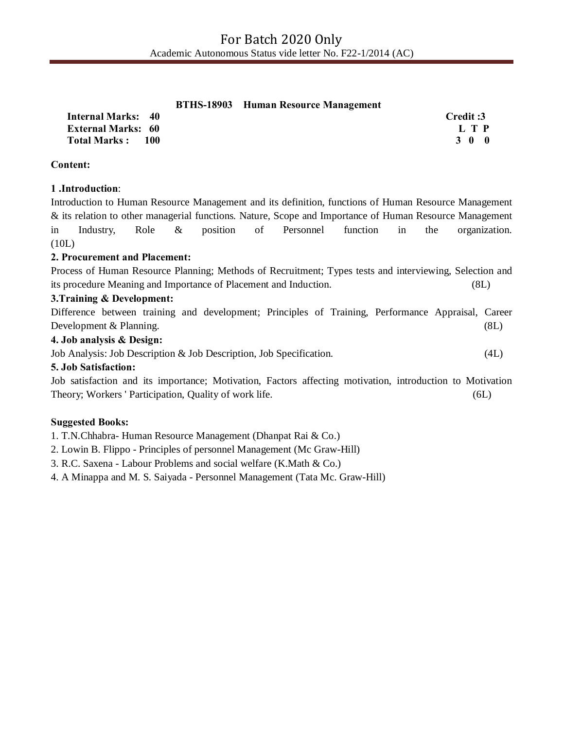|  | <b>BTHS-18903</b> Human Resource Management |
|--|---------------------------------------------|
|  |                                             |

| Internal Marks: 40        | Credit :3   |
|---------------------------|-------------|
| <b>External Marks: 60</b> | L T P       |
| Total Marks: 100          | $3 \t0 \t0$ |

**Content:**

## **1 .Introduction**:

Introduction to Human Resource Management and its definition, functions of Human Resource Management & its relation to other managerial functions. Nature, Scope and Importance of Human Resource Management in Industry, Role & position of Personnel function in the organization. (10L)

## **2. Procurement and Placement:**

Process of Human Resource Planning; Methods of Recruitment; Types tests and interviewing, Selection and its procedure Meaning and Importance of Placement and Induction. (8L)

## **3.Training & Development:**

Difference between training and development; Principles of Training, Performance Appraisal, Career Development & Planning. (8L)

## **4. Job analysis & Design:**

Job Analysis: Job Description & Job Description, Job Specification. (4L)

## **5. Job Satisfaction:**

Job satisfaction and its importance; Motivation, Factors affecting motivation, introduction to Motivation Theory; Workers ' Participation, Quality of work life. (6L)

## **Suggested Books:**

1. T.N.Chhabra- Human Resource Management (Dhanpat Rai & Co.)

2. Lowin B. Flippo - Principles of personnel Management (Mc Graw-Hill)

3. R.C. Saxena - Labour Problems and social welfare (K.Math & Co.)

4. A Minappa and M. S. Saiyada - Personnel Management (Tata Mc. Graw-Hill)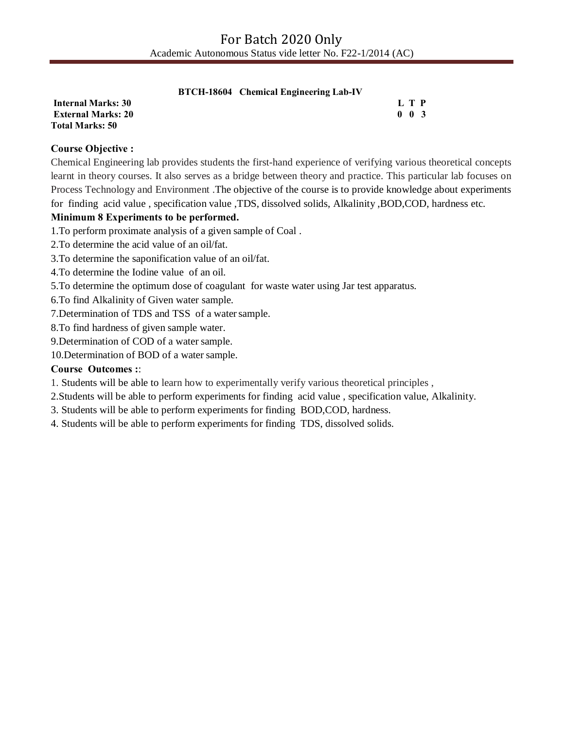**Internal Marks: 30 L T P L T P External Marks: 20 0 0 3 Total Marks: 50**

## **Course Objective :**

Chemical Engineering lab provides students the first-hand experience of verifying various theoretical concepts learnt in theory courses. It also serves as a bridge between theory and practice. This particular lab focuses on Process Technology and Environment .The objective of the course is to provide knowledge about experiments for finding acid value , specification value ,TDS, dissolved solids, Alkalinity ,BOD,COD, hardness etc.

## **Minimum 8 Experiments to be performed.**

1.To perform proximate analysis of a given sample of Coal .

- 2.To determine the acid value of an oil/fat.
- 3.To determine the saponification value of an oil/fat.
- 4.To determine the Iodine value of an oil.
- 5.To determine the optimum dose of coagulant for waste water using Jar test apparatus.
- 6.To find Alkalinity of Given water sample.
- 7.Determination of TDS and TSS of a watersample.
- 8.To find hardness of given sample water.
- 9.Determination of COD of a water sample.
- 10.Determination of BOD of a water sample.

## **Course Outcomes :**:

- 1. Students will be able to learn how to experimentally verify various theoretical principles ,
- 2.Students will be able to perform experiments for finding acid value , specification value, Alkalinity.
- 3. Students will be able to perform experiments for finding BOD,COD, hardness.
- 4. Students will be able to perform experiments for finding TDS, dissolved solids.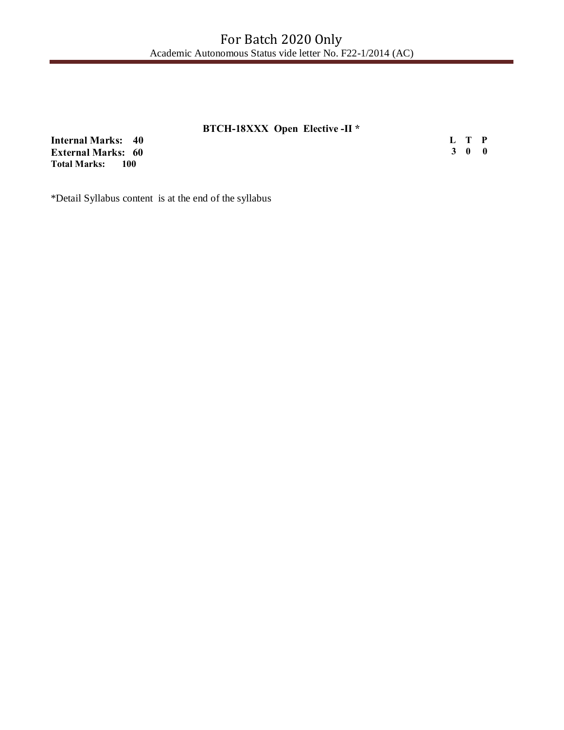# **BTCH-18XXX Open Elective -II \***

**Internal Marks: 40 External Marks: 60 Total Marks: 100** 

**L T P 3 0 0**

\*Detail Syllabus content is at the end of the syllabus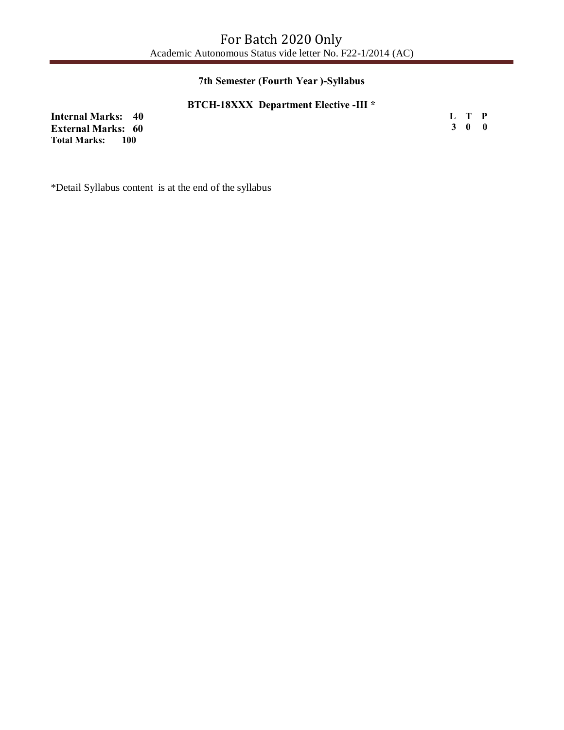## **7th Semester (Fourth Year )-Syllabus**

## **BTCH-18XXX Department Elective -III \***

**Internal Marks: 40 External Marks: 60 Total Marks: L T P 3 0 0**

\*Detail Syllabus content is at the end of the syllabus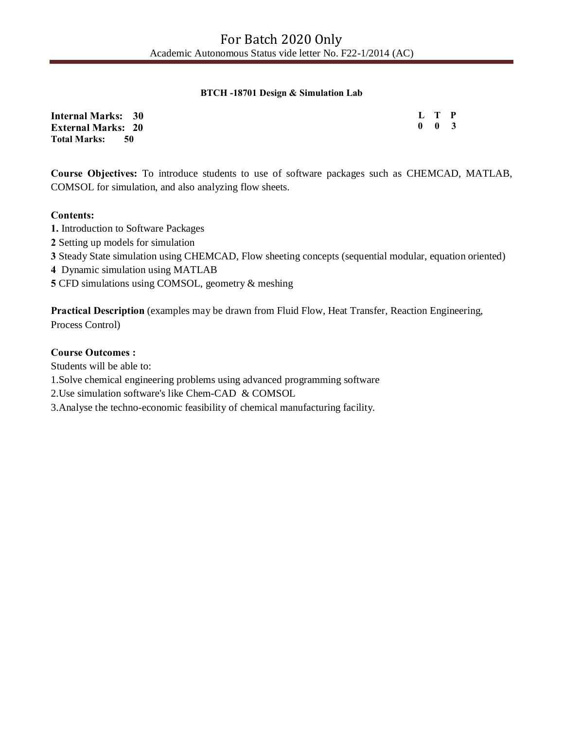#### **BTCH -18701 Design & Simulation Lab**

| <b>Internal Marks: 30</b> | L T P               |  |
|---------------------------|---------------------|--|
| <b>External Marks: 20</b> | $0 \quad 0 \quad 3$ |  |
| <b>Total Marks:</b><br>50 |                     |  |

**Course Objectives:** To introduce students to use of software packages such as CHEMCAD, MATLAB, COMSOL for simulation, and also analyzing flow sheets.

## **Contents:**

- **1.** Introduction to Software Packages
- **2** Setting up models for simulation
- **3** Steady State simulation using CHEMCAD, Flow sheeting concepts (sequential modular, equation oriented)
- **4** Dynamic simulation using MATLAB
- **5** CFD simulations using COMSOL, geometry & meshing

**Practical Description** (examples may be drawn from Fluid Flow, Heat Transfer, Reaction Engineering, Process Control)

## **Course Outcomes :**

Students will be able to:

1.Solve chemical engineering problems using advanced programming software

2.Use simulation software's like Chem-CAD & COMSOL

3.Analyse the techno-economic feasibility of chemical manufacturing facility.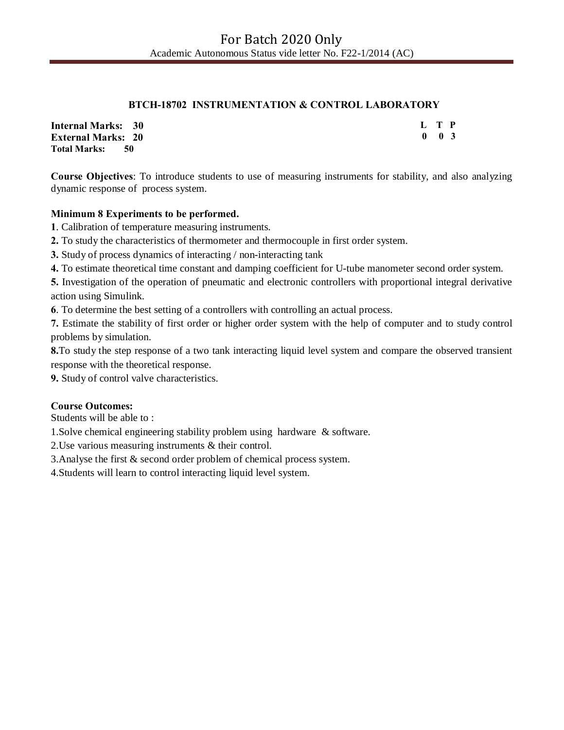## **BTCH-18702 INSTRUMENTATION & CONTROL LABORATORY**

| <b>Internal Marks: 30</b> | L T P |                     |  |
|---------------------------|-------|---------------------|--|
| <b>External Marks: 20</b> |       | $0 \quad 0 \quad 3$ |  |
| <b>Total Marks:</b><br>50 |       |                     |  |

**Course Objectives**: To introduce students to use of measuring instruments for stability, and also analyzing dynamic response of process system.

## **Minimum 8 Experiments to be performed.**

**1**. Calibration of temperature measuring instruments.

**2.** To study the characteristics of thermometer and thermocouple in first order system.

**3.** Study of process dynamics of interacting / non-interacting tank

**4.** To estimate theoretical time constant and damping coefficient for U-tube manometer second order system.

**5.** Investigation of the operation of pneumatic and electronic controllers with proportional integral derivative action using Simulink.

**6**. To determine the best setting of a controllers with controlling an actual process.

**7.** Estimate the stability of first order or higher order system with the help of computer and to study control problems by simulation.

**8.**To study the step response of a two tank interacting liquid level system and compare the observed transient response with the theoretical response.

**9.** Study of control valve characteristics.

## **Course Outcomes:**

Students will be able to :

1.Solve chemical engineering stability problem using hardware & software.

2.Use various measuring instruments & their control.

3.Analyse the first & second order problem of chemical process system.

4.Students will learn to control interacting liquid level system.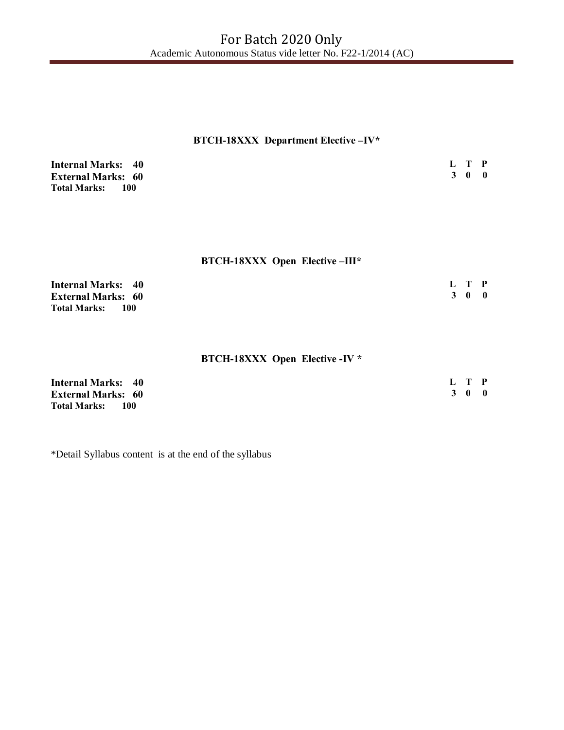# **BTCH-18XXX Department Elective –IV\***

| <b>Internal Marks: 40</b>    | L T P |  |
|------------------------------|-------|--|
| <b>External Marks: 60</b>    | 3 0 0 |  |
| <b>Total Marks:</b><br>- 100 |       |  |

## **BTCH-18XXX Open Elective –III\***

| <b>Internal Marks: 40</b>  | L T P |  |
|----------------------------|-------|--|
| <b>External Marks: 60</b>  | 300   |  |
| <b>Total Marks:</b><br>100 |       |  |

## **BTCH-18XXX Open Elective -IV \***

| <b>Internal Marks: 40</b>  | L T P |  |
|----------------------------|-------|--|
| <b>External Marks: 60</b>  | 3 0 0 |  |
| Total Marks:<br><b>100</b> |       |  |

\*Detail Syllabus content is at the end of the syllabus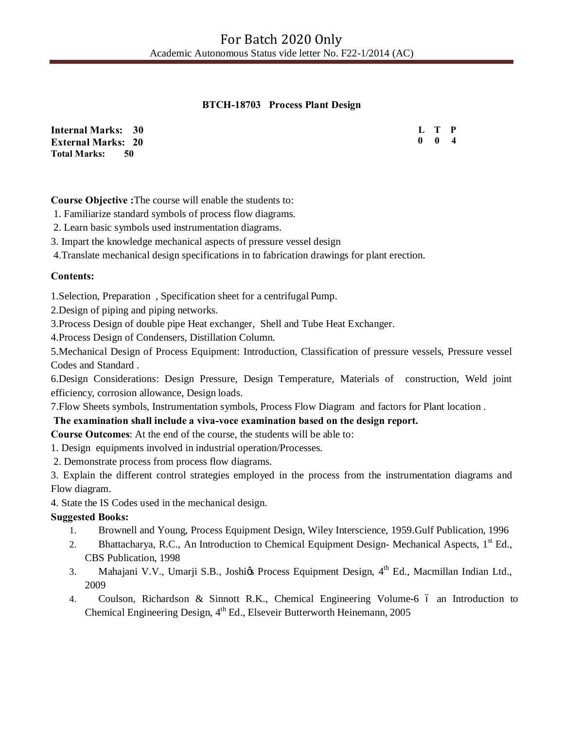## **BTCH-18703 Process Plant Design**

| <b>Internal Marks: 30</b>   | L T P               |  |
|-----------------------------|---------------------|--|
| <b>External Marks: 20</b>   | $0 \quad 0 \quad 4$ |  |
| <b>Total Marks:</b><br>- 50 |                     |  |

**Course Objective :**The course will enable the students to:

1. Familiarize standard symbols of process flow diagrams.

2. Learn basic symbols used instrumentation diagrams.

3. Impart the knowledge mechanical aspects of pressure vessel design

4.Translate mechanical design specifications in to fabrication drawings for plant erection.

## **Contents:**

1.Selection, Preparation , Specification sheet for a centrifugal Pump.

2.Design of piping and piping networks.

3.Process Design of double pipe Heat exchanger, Shell and Tube Heat Exchanger.

4.Process Design of Condensers, Distillation Column.

5.Mechanical Design of Process Equipment: Introduction, Classification of pressure vessels, Pressure vessel Codes and Standard .

6.Design Considerations: Design Pressure, Design Temperature, Materials of construction, Weld joint efficiency, corrosion allowance, Design loads.

7.Flow Sheets symbols, Instrumentation symbols, Process Flow Diagram and factors for Plant location .

## **The examination shall include a viva-voce examination based on the design report.**

**Course Outcomes**: At the end of the course, the students will be able to:

1. Design equipments involved in industrial operation/Processes.

2. Demonstrate process from process flow diagrams.

3. Explain the different control strategies employed in the process from the instrumentation diagrams and Flow diagram.

4. State the IS Codes used in the mechanical design.

#### **Suggested Books:**

- 1. Brownell and Young, Process Equipment Design, Wiley Interscience, 1959.Gulf Publication, 1996
- 2. Bhattacharya, R.C., An Introduction to Chemical Equipment Design-Mechanical Aspects, 1<sup>st</sup> Ed., CBS Publication, 1998
- 3. Mahajani V.V., Umarji S.B., Joshigs Process Equipment Design, 4<sup>th</sup> Ed., Macmillan Indian Ltd., 2009
- 4. Coulson, Richardson & Sinnott R.K., Chemical Engineering Volume-6 6 an Introduction to Chemical Engineering Design, 4<sup>th</sup> Ed., Elseveir Butterworth Heinemann, 2005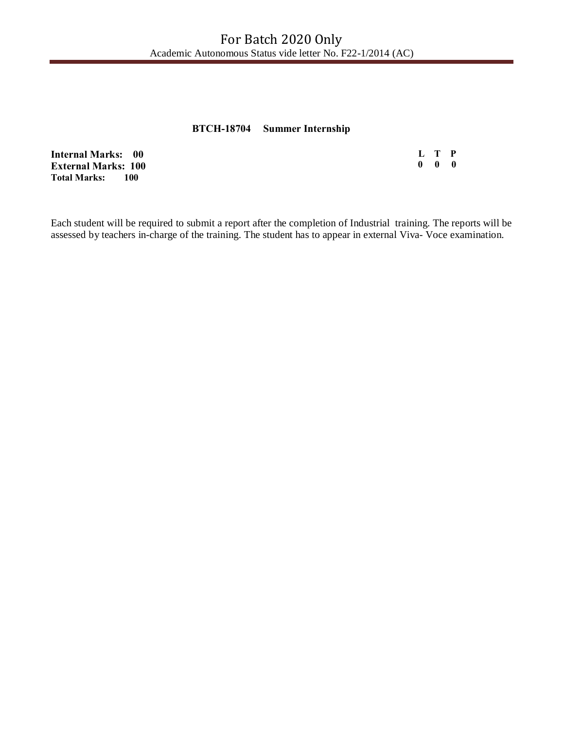## **BTCH-18704 Summer Internship**

|   | L T P                     |  |
|---|---------------------------|--|
| 0 | $\mathbf{0}$ $\mathbf{0}$ |  |

**Internal Marks: 00 External Marks: 100 Total Marks:** 

Each student will be required to submit a report after the completion of Industrial training. The reports will be assessed by teachers in-charge of the training. The student has to appear in external Viva- Voce examination.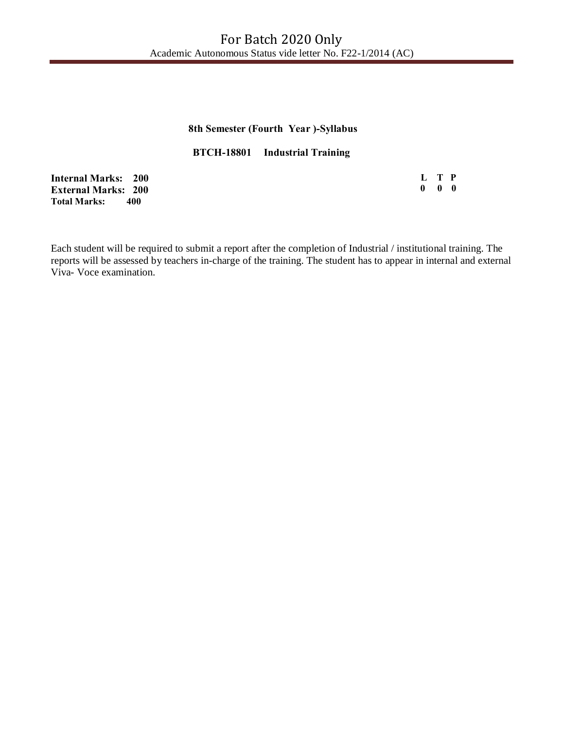## **8th Semester (Fourth Year )-Syllabus**

**BTCH-18801 Industrial Training** 

**Internal Marks: 200 External Marks: 200 Total Marks: 400**

**L T P 0 0 0**

Each student will be required to submit a report after the completion of Industrial / institutional training. The reports will be assessed by teachers in-charge of the training. The student has to appear in internal and external Viva- Voce examination.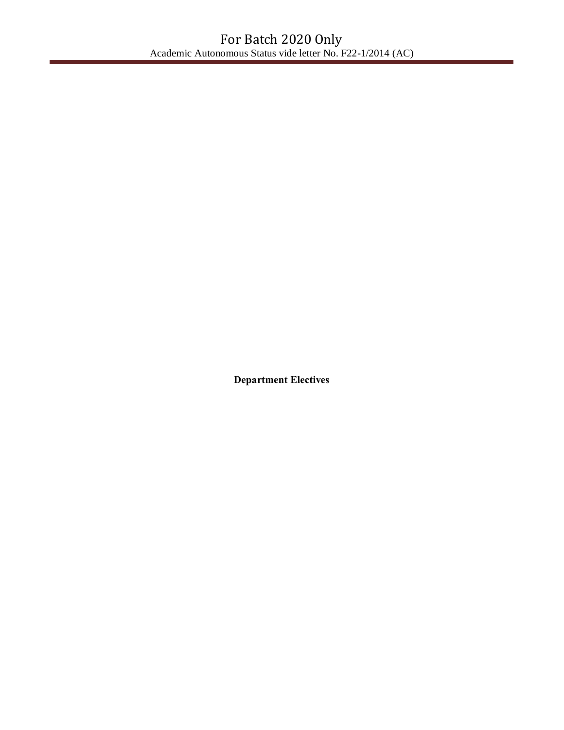**Department Electives**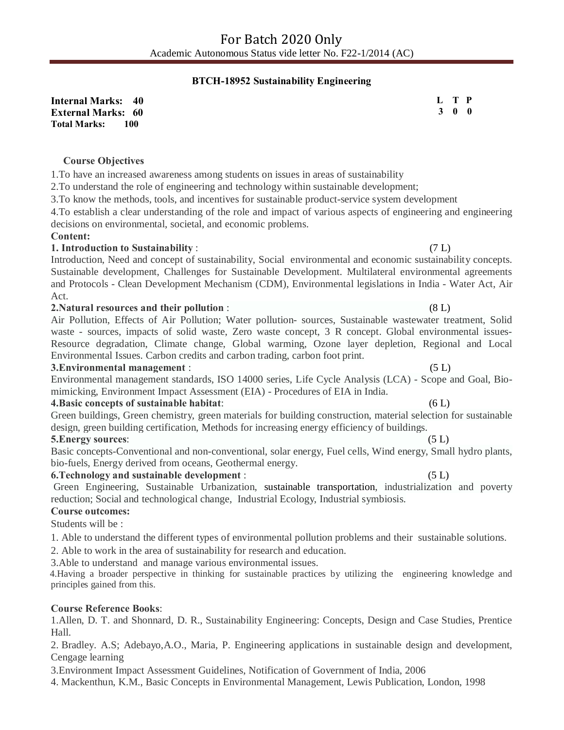## **BTCH-18952 Sustainability Engineering**

**Internal Marks: 40 External Marks: 60 Total Marks: 100** 

#### **Course Objectives**

1.To have an increased awareness among students on issues in areas of sustainability

2.To understand the role of engineering and technology within sustainable development;

3.To know the methods, tools, and incentives for sustainable product-service system development

4.To establish a clear understanding of the role and impact of various aspects of engineering and engineering decisions on environmental, societal, and economic problems.

#### **Content:**

#### **1. Introduction to Sustainability** :(7 L)

Introduction, Need and concept of sustainability, Social environmental and economic sustainability concepts. Sustainable development, Challenges for Sustainable Development. Multilateral environmental agreements and Protocols - Clean Development Mechanism (CDM), Environmental legislations in India - Water Act, Air Act.

#### **2.Natural resources and their pollution** : (8 L)

Air Pollution, Effects of Air Pollution; Water pollution- sources, Sustainable wastewater treatment, Solid waste - sources, impacts of solid waste, Zero waste concept, 3 R concept. Global environmental issues-Resource degradation, Climate change, Global warming, Ozone layer depletion, Regional and Local Environmental Issues. Carbon credits and carbon trading, carbon foot print.

#### **3.Environmental management** :(5 L)

Environmental management standards, ISO 14000 series, Life Cycle Analysis (LCA) - Scope and Goal, Biomimicking, Environment Impact Assessment (EIA) - Procedures of EIA in India.

#### **4.Basic concepts of sustainable habitat**:(6 L)

Green buildings, Green chemistry, green materials for building construction, material selection for sustainable design, green building certification, Methods for increasing energy efficiency of buildings.

#### **5.Energy sources**: (5 L)

Basic concepts-Conventional and non-conventional, solar energy, Fuel cells, Wind energy, Small hydro plants, bio-fuels, Energy derived from oceans, Geothermal energy.

#### **6.Technology and sustainable development** :(5 L)

Green Engineering, Sustainable Urbanization, sustainable transportation, industrialization and poverty reduction; Social and technological change, Industrial Ecology, Industrial symbiosis.

#### **Course outcomes:**

Students will be :

1. Able to understand the different types of environmental pollution problems and their sustainable solutions.

2. Able to work in the area of sustainability for research and education.

3.Able to understand and manage various environmental issues.

 4.Having a broader perspective in thinking for sustainable practices by utilizing the engineering knowledge and principles gained from this.

#### **Course Reference Books**:

1.Allen, D. T. and Shonnard, D. R., Sustainability Engineering: Concepts, Design and Case Studies, Prentice Hall.

2. Bradley. A.S; Adebayo,A.O., Maria, P. Engineering applications in sustainable design and development, Cengage learning

3.Environment Impact Assessment Guidelines, Notification of Government of India, 2006

4. Mackenthun, K.M., Basic Concepts in Environmental Management, Lewis Publication, London, 1998

# **L T P 3 0 0**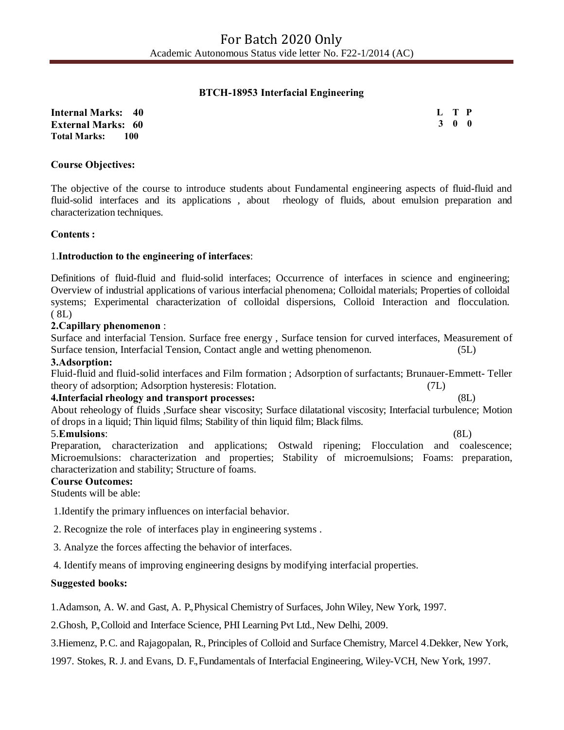## **BTCH-18953 Interfacial Engineering**

**Internal Marks: 40 External Marks: 60 Total Marks: 100** 

**L T P 3 0 0**

#### **Course Objectives:**

The objective of the course to introduce students about Fundamental engineering aspects of fluid-fluid and fluid-solid interfaces and its applications , about rheology of fluids, about emulsion preparation and characterization techniques.

#### **Contents :**

#### 1.**Introduction to the engineering of interfaces**:

Definitions of fluid-fluid and fluid-solid interfaces; Occurrence of interfaces in science and engineering; Overview of industrial applications of various interfacial phenomena; Colloidal materials; Properties of colloidal systems; Experimental characterization of colloidal dispersions, Colloid Interaction and flocculation.  $(8L)$ 

#### **2.Capillary phenomenon** :

Surface and interfacial Tension. Surface free energy , Surface tension for curved interfaces, Measurement of Surface tension, Interfacial Tension, Contact angle and wetting phenomenon. (5L)

#### **3.Adsorption:**

Fluid-fluid and fluid-solid interfaces and Film formation ; Adsorption of surfactants; Brunauer-Emmett- Teller theory of adsorption; Adsorption hysteresis: Flotation. (7L)

#### **4.Interfacial rheology and transport processes:** (8L)

About reheology of fluids ,Surface shear viscosity; Surface dilatational viscosity; Interfacial turbulence; Motion of drops in a liquid; Thin liquid films; Stability of thin liquid film; Black films.

## 5.**Emulsions**: (8L)

Preparation, characterization and applications; Ostwald ripening; Flocculation and coalescence; Microemulsions: characterization and properties; Stability of microemulsions; Foams: preparation, characterization and stability; Structure of foams.

#### **Course Outcomes:**

Students will be able:

1.Identify the primary influences on interfacial behavior.

2. Recognize the role of interfaces play in engineering systems .

3. Analyze the forces affecting the behavior of interfaces.

4. Identify means of improving engineering designs by modifying interfacial properties.

#### **Suggested books:**

1.Adamson, A. W. and Gast, A. P., Physical Chemistry of Surfaces, John Wiley, New York, 1997.

2.Ghosh, P., Colloid and Interface Science, PHI Learning Pvt Ltd., New Delhi, 2009.

3.Hiemenz, P. C. and Rajagopalan, R., Principles of Colloid and Surface Chemistry, Marcel 4.Dekker, New York,

1997. Stokes, R. J. and Evans, D. F., Fundamentals of Interfacial Engineering, Wiley-VCH, New York, 1997.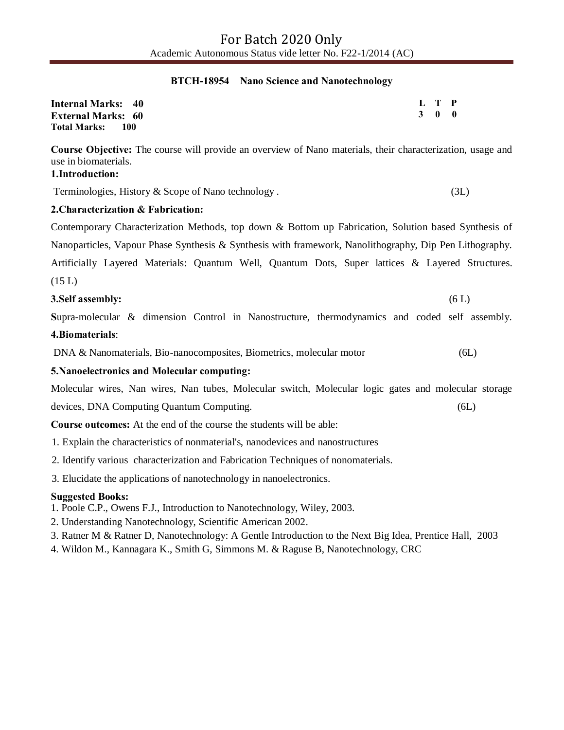#### **BTCH-18954 Nano Science and Nanotechnology**

| <b>Internal Marks: 40</b>    | L T P |  |
|------------------------------|-------|--|
| <b>External Marks: 60</b>    | 3 0 0 |  |
| <b>Total Marks:</b><br>- 100 |       |  |

**Course Objective:** The course will provide an overview of Nano materials, their characterization, usage and use in biomaterials.

## **1.Introduction:**

Terminologies, History & Scope of Nano technology . (3L)

## **2.Characterization & Fabrication:**

Contemporary Characterization Methods, top down & Bottom up Fabrication, Solution based Synthesis of

Nanoparticles, Vapour Phase Synthesis & Synthesis with framework, Nanolithography, Dip Pen Lithography.

Artificially Layered Materials: Quantum Well, Quantum Dots, Super lattices & Layered Structures.  $(15 L)$ 

## **3.Self assembly:** (6 L)

**S**upra-molecular & dimension Control in Nanostructure, thermodynamics and coded self assembly. **4.Biomaterials**:

DNA & Nanomaterials, Bio-nanocomposites, Biometrics, molecular motor (6L)

## **5.Nanoelectronics and Molecular computing:**

Molecular wires, Nan wires, Nan tubes, Molecular switch, Molecular logic gates and molecular storage devices, DNA Computing Quantum Computing. (6L)

**Course outcomes:** At the end of the course the students will be able:

- 1. Explain the characteristics of nonmaterial's, nanodevices and nanostructures
- 2. Identify various characterization and Fabrication Techniques of nonomaterials.
- 3. Elucidate the applications of nanotechnology in nanoelectronics.

## **Suggested Books:**

- 1. Poole C.P., Owens F.J., Introduction to Nanotechnology, Wiley, 2003.
- 2. Understanding Nanotechnology, Scientific American 2002.
- 3. Ratner M & Ratner D, Nanotechnology: A Gentle Introduction to the Next Big Idea, Prentice Hall, 2003
- 4. Wildon M., Kannagara K., Smith G, Simmons M. & Raguse B, Nanotechnology, CRC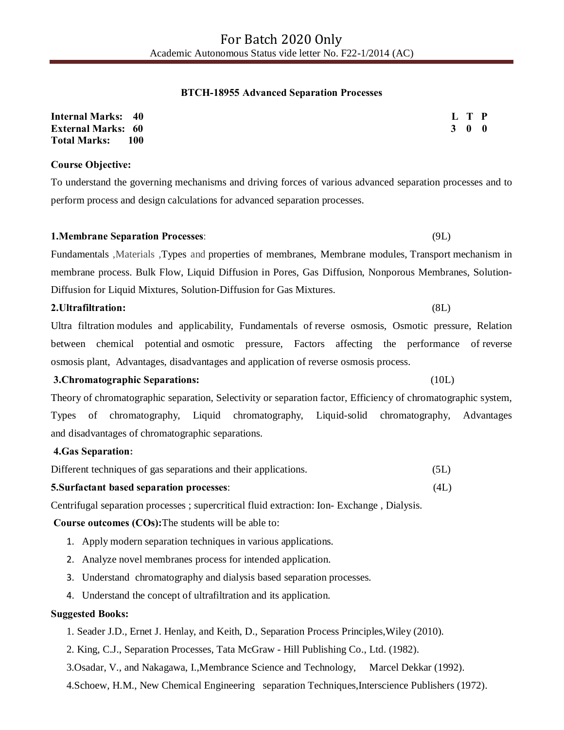#### **BTCH-18955 Advanced Separation Processes**

| <b>Internal Marks: 40</b> |     | L T P               |  |
|---------------------------|-----|---------------------|--|
| <b>External Marks: 60</b> |     | $3 \quad 0 \quad 0$ |  |
| <b>Total Marks:</b>       | 100 |                     |  |

#### **Course Objective:**

To understand the governing mechanisms and driving forces of various advanced separation processes and to perform process and design calculations for advanced separation processes.

# **1.Membrane Separation Processes**: (9L)

Fundamentals ,Materials ,Types and properties of membranes, Membrane modules, Transport mechanism in membrane process. Bulk Flow, Liquid Diffusion in Pores, Gas Diffusion, Nonporous Membranes, Solution-Diffusion for Liquid Mixtures, Solution-Diffusion for Gas Mixtures.

#### **2.Ultrafiltration:** (8L)

Ultra filtration modules and applicability, Fundamentals of reverse osmosis, Osmotic pressure, Relation between chemical potential and osmotic pressure, Factors affecting the performance of reverse osmosis plant, Advantages, disadvantages and application of reverse osmosis process.

#### **3.Chromatographic Separations:** (10L)

Theory of chromatographic separation, Selectivity or separation factor, Efficiency of chromatographic system, Types of chromatography, Liquid chromatography, Liquid-solid chromatography, Advantages and disadvantages of chromatographic separations.

#### **4.Gas Separation:**

| Different techniques of gas separations and their applications. |  | (5L) |  |  |  |  |  |
|-----------------------------------------------------------------|--|------|--|--|--|--|--|
|                                                                 |  |      |  |  |  |  |  |

#### **5.Surfactant based separation processes**: (4L)

Centrifugal separation processes ; supercritical fluid extraction: Ion- Exchange , Dialysis.

#### **Course outcomes (COs):**The students will be able to:

- 1. Apply modern separation techniques in various applications.
- 2. Analyze novel membranes process for intended application.
- 3. Understand chromatography and dialysis based separation processes.
- 4. Understand the concept of ultrafiltration and its application.

#### **Suggested Books:**

- 1. Seader J.D., Ernet J. Henlay, and Keith, D., Separation Process Principles,Wiley (2010).
- 2. King, C.J., Separation Processes, Tata McGraw Hill Publishing Co., Ltd. (1982).
- 3.Osadar, V., and Nakagawa, I.,Membrance Science and Technology, Marcel Dekkar (1992).
- 4.Schoew, H.M., New Chemical Engineering separation Techniques,Interscience Publishers (1972).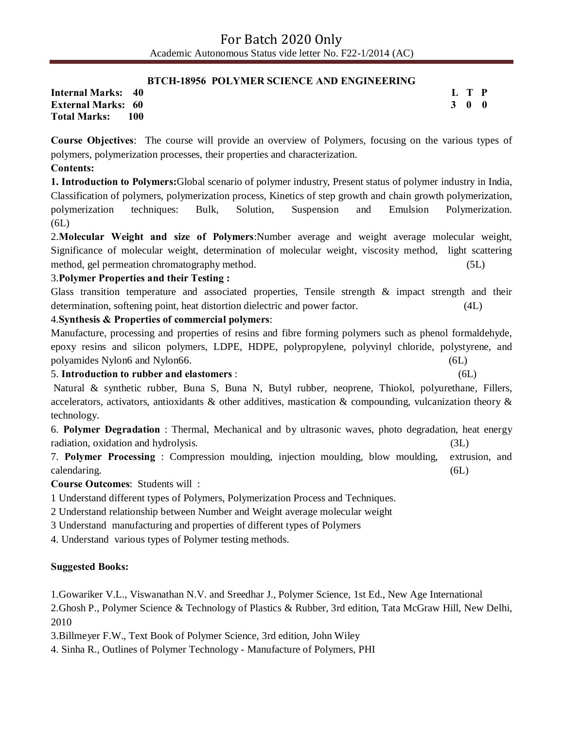### **BTCH-18956 POLYMER SCIENCE AND ENGINEERING**

**Internal Marks: 40 External Marks: 60 Total Marks: 100**  **L T P 3 0 0**

**Course Objectives**: The course will provide an overview of Polymers, focusing on the various types of polymers, polymerization processes, their properties and characterization.

## **Contents:**

**1. Introduction to Polymers:**Global scenario of polymer industry, Present status of polymer industry in India, Classification of polymers, polymerization process, Kinetics of step growth and chain growth polymerization, polymerization techniques: Bulk, Solution, Suspension and Emulsion Polymerization. (6L)

2.**Molecular Weight and size of Polymers**:Number average and weight average molecular weight, Significance of molecular weight, determination of molecular weight, viscosity method, light scattering method, gel permeation chromatography method. (5L)

## 3.**Polymer Properties and their Testing :**

Glass transition temperature and associated properties, Tensile strength & impact strength and their determination, softening point, heat distortion dielectric and power factor. (4L)

## 4.**Synthesis & Properties of commercial polymers**:

Manufacture, processing and properties of resins and fibre forming polymers such as phenol formaldehyde, epoxy resins and silicon polymers, LDPE, HDPE, polypropylene, polyvinyl chloride, polystyrene, and polyamides Nylon6 and Nylon66. (6L)

5. **Introduction to rubber and elastomers** : (6L)

Natural & synthetic rubber, Buna S, Buna N, Butyl rubber, neoprene, Thiokol, polyurethane, Fillers, accelerators, activators, antioxidants & other additives, mastication & compounding, vulcanization theory  $\&$ technology.

6. **Polymer Degradation** : Thermal, Mechanical and by ultrasonic waves, photo degradation, heat energy radiation, oxidation and hydrolysis. (3L)

7. **Polymer Processing** : Compression moulding, injection moulding, blow moulding, extrusion, and calendaring. (6L)

**Course Outcomes**: Students will :

1 Understand different types of Polymers, Polymerization Process and Techniques.

2 Understand relationship between Number and Weight average molecular weight

3 Understand manufacturing and properties of different types of Polymers

4. Understand various types of Polymer testing methods.

## **Suggested Books:**

1.Gowariker V.L., Viswanathan N.V. and Sreedhar J., Polymer Science, 1st Ed., New Age International

2.Ghosh P., Polymer Science & Technology of Plastics & Rubber, 3rd edition, Tata McGraw Hill, New Delhi, 2010

3.Billmeyer F.W., Text Book of Polymer Science, 3rd edition, John Wiley

4. Sinha R., Outlines of Polymer Technology - Manufacture of Polymers, PHI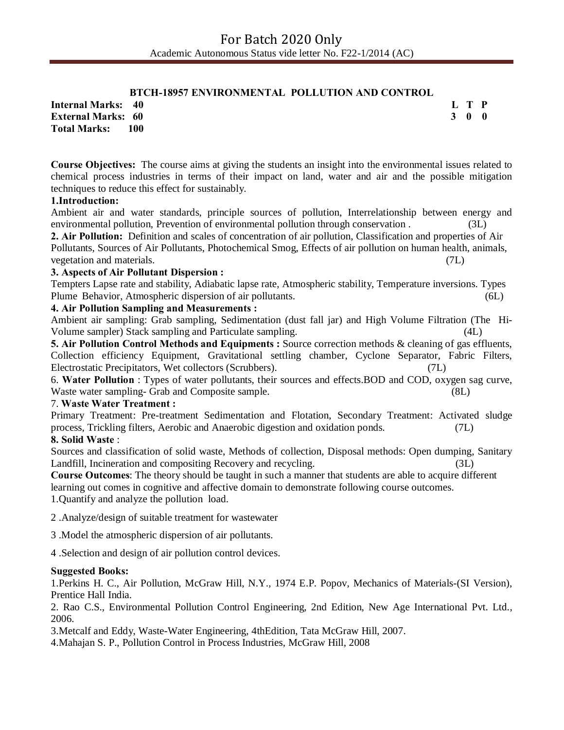## **BTCH-18957 ENVIRONMENTAL POLLUTION AND CONTROL**

**L T P 3 0 0**

**Internal Marks: 40 External Marks: 60 Total Marks: 100** 

**Course Objectives:** The course aims at giving the students an insight into the environmental issues related to chemical process industries in terms of their impact on land, water and air and the possible mitigation techniques to reduce this effect for sustainably.

## **1.Introduction:**

Ambient air and water standards, principle sources of pollution, Interrelationship between energy and environmental pollution, Prevention of environmental pollution through conservation . (3L)

**2. Air Pollution:** Definition and scales of concentration of air pollution, Classification and properties of Air Pollutants, Sources of Air Pollutants, Photochemical Smog, Effects of air pollution on human health, animals, vegetation and materials. (7L)

#### **3. Aspects of Air Pollutant Dispersion :**

Tempters Lapse rate and stability, Adiabatic lapse rate, Atmospheric stability, Temperature inversions. Types Plume Behavior, Atmospheric dispersion of air pollutants. (6L)

#### **4. Air Pollution Sampling and Measurements :**

Ambient air sampling: Grab sampling, Sedimentation (dust fall jar) and High Volume Filtration (The Hi-Volume sampler) Stack sampling and Particulate sampling. (4L)

**5. Air Pollution Control Methods and Equipments :** Source correction methods & cleaning of gas effluents, Collection efficiency Equipment, Gravitational settling chamber, Cyclone Separator, Fabric Filters, Electrostatic Precipitators, Wet collectors (Scrubbers). (7L)

6. **Water Pollution** : Types of water pollutants, their sources and effects.BOD and COD, oxygen sag curve, Waste water sampling- Grab and Composite sample. (8L)

#### 7. **Waste Water Treatment :**

Primary Treatment: Pre-treatment Sedimentation and Flotation, Secondary Treatment: Activated sludge process, Trickling filters, Aerobic and Anaerobic digestion and oxidation ponds. (7L)

## **8. Solid Waste** :

Sources and classification of solid waste, Methods of collection, Disposal methods: Open dumping, Sanitary Landfill, Incineration and compositing Recovery and recycling. (3L)

**Course Outcomes**: The theory should be taught in such a manner that students are able to acquire different learning out comes in cognitive and affective domain to demonstrate following course outcomes. 1.Quantify and analyze the pollution load.

2 .Analyze/design of suitable treatment for wastewater

3 .Model the atmospheric dispersion of air pollutants.

4 .Selection and design of air pollution control devices.

#### **Suggested Books:**

1.Perkins H. C., Air Pollution, McGraw Hill, N.Y., 1974 E.P. Popov, Mechanics of Materials-(SI Version), Prentice Hall India.

2. Rao C.S., Environmental Pollution Control Engineering, 2nd Edition, New Age International Pvt. Ltd., 2006.

3.Metcalf and Eddy, Waste-Water Engineering, 4thEdition, Tata McGraw Hill, 2007.

4.Mahajan S. P., Pollution Control in Process Industries, McGraw Hill, 2008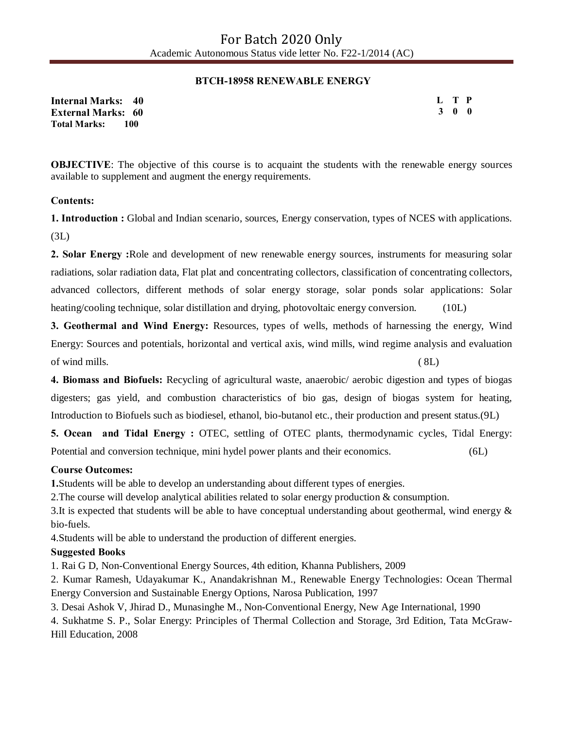### **BTCH-18958 RENEWABLE ENERGY**

**Internal Marks: 40 External Marks: 60 Total Marks: 100** 

**L T P 3 0 0**

**OBJECTIVE:** The objective of this course is to acquaint the students with the renewable energy sources available to supplement and augment the energy requirements.

#### **Contents:**

**1. Introduction :** Global and Indian scenario, sources, Energy conservation, types of NCES with applications. (3L)

**2. Solar Energy :**Role and development of new renewable energy sources, instruments for measuring solar radiations, solar radiation data, Flat plat and concentrating collectors, classification of concentrating collectors, advanced collectors, different methods of solar energy storage, solar ponds solar applications: Solar heating/cooling technique, solar distillation and drying, photovoltaic energy conversion. (10L)

**3. Geothermal and Wind Energy:** Resources, types of wells, methods of harnessing the energy, Wind Energy: Sources and potentials, horizontal and vertical axis, wind mills, wind regime analysis and evaluation of wind mills. ( 8L)

**4. Biomass and Biofuels:** Recycling of agricultural waste, anaerobic/ aerobic digestion and types of biogas digesters; gas yield, and combustion characteristics of bio gas, design of biogas system for heating, Introduction to Biofuels such as biodiesel, ethanol, bio-butanol etc., their production and present status.(9L)

**5. Ocean and Tidal Energy :** OTEC, settling of OTEC plants, thermodynamic cycles, Tidal Energy: Potential and conversion technique, mini hydel power plants and their economics. (6L)

## **Course Outcomes:**

**1.**Students will be able to develop an understanding about different types of energies.

2.The course will develop analytical abilities related to solar energy production & consumption.

3.It is expected that students will be able to have conceptual understanding about geothermal, wind energy & bio-fuels.

4.Students will be able to understand the production of different energies.

#### **Suggested Books**

1. Rai G D, Non-Conventional Energy Sources, 4th edition, Khanna Publishers, 2009

2. Kumar Ramesh, Udayakumar K., Anandakrishnan M., Renewable Energy Technologies: Ocean Thermal Energy Conversion and Sustainable Energy Options, Narosa Publication, 1997

3. Desai Ashok V, Jhirad D., Munasinghe M., Non-Conventional Energy, New Age International, 1990

4. Sukhatme S. P., Solar Energy: Principles of Thermal Collection and Storage, 3rd Edition, Tata McGraw-Hill Education, 2008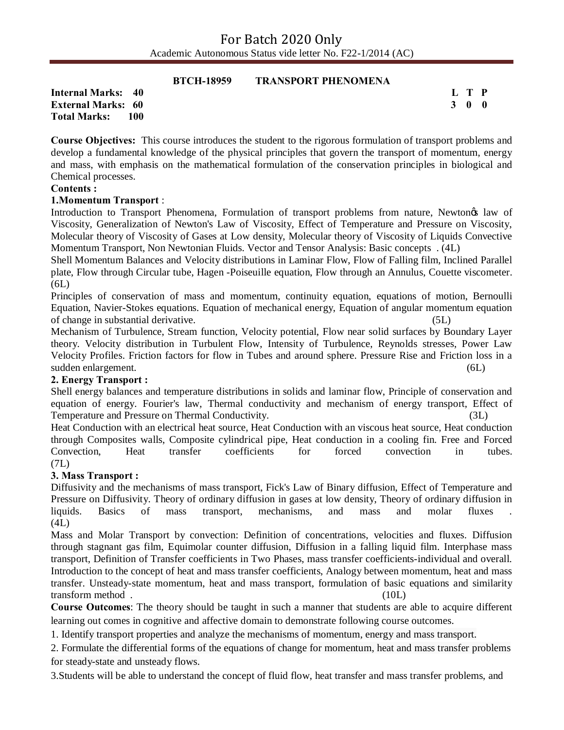|                            | <b>BTCH-18959</b> | <b>TRANSPORT PHENOMENA</b> |       |
|----------------------------|-------------------|----------------------------|-------|
| <b>Internal Marks: 40</b>  |                   |                            | L T P |
| <b>External Marks: 60</b>  |                   |                            | 3 O O |
| <b>Total Marks:</b><br>100 |                   |                            |       |

**Course Objectives:** This course introduces the student to the rigorous formulation of transport problems and develop a fundamental knowledge of the physical principles that govern the transport of momentum, energy and mass, with emphasis on the mathematical formulation of the conservation principles in biological and Chemical processes.

#### **Contents :**

## **1.Momentum Transport** :

Introduction to Transport Phenomena, Formulation of transport problems from nature, Newtongs law of Viscosity, Generalization of Newton's Law of Viscosity, Effect of Temperature and Pressure on Viscosity, Molecular theory of Viscosity of Gases at Low density, Molecular theory of Viscosity of Liquids Convective Momentum Transport, Non Newtonian Fluids. Vector and Tensor Analysis: Basic concepts . (4L)

Shell Momentum Balances and Velocity distributions in Laminar Flow, Flow of Falling film, Inclined Parallel plate, Flow through Circular tube, Hagen -Poiseuille equation, Flow through an Annulus, Couette viscometer. (6L)

Principles of conservation of mass and momentum, continuity equation, equations of motion, Bernoulli Equation, Navier-Stokes equations. Equation of mechanical energy, Equation of angular momentum equation of change in substantial derivative. (5L)

Mechanism of Turbulence, Stream function, Velocity potential, Flow near solid surfaces by Boundary Layer theory. Velocity distribution in Turbulent Flow, Intensity of Turbulence, Reynolds stresses, Power Law Velocity Profiles. Friction factors for flow in Tubes and around sphere. Pressure Rise and Friction loss in a sudden enlargement. (6L)

#### **2. Energy Transport :**

Shell energy balances and temperature distributions in solids and laminar flow, Principle of conservation and equation of energy. Fourier's law, Thermal conductivity and mechanism of energy transport, Effect of Temperature and Pressure on Thermal Conductivity. (3L)

Heat Conduction with an electrical heat source, Heat Conduction with an viscous heat source, Heat conduction through Composites walls, Composite cylindrical pipe, Heat conduction in a cooling fin. Free and Forced Convection, Heat transfer coefficients for forced convection in tubes. (7L)

## **3. Mass Transport :**

Diffusivity and the mechanisms of mass transport, Fick's Law of Binary diffusion, Effect of Temperature and Pressure on Diffusivity. Theory of ordinary diffusion in gases at low density, Theory of ordinary diffusion in liquids. Basics of mass transport, mechanisms, and mass and molar fluxes  $(4L)$ 

Mass and Molar Transport by convection: Definition of concentrations, velocities and fluxes. Diffusion through stagnant gas film, Equimolar counter diffusion, Diffusion in a falling liquid film. Interphase mass transport, Definition of Transfer coefficients in Two Phases, mass transfer coefficients-individual and overall. Introduction to the concept of heat and mass transfer coefficients, Analogy between momentum, heat and mass transfer. Unsteady-state momentum, heat and mass transport, formulation of basic equations and similarity transform method . (10L)

**Course Outcomes**: The theory should be taught in such a manner that students are able to acquire different learning out comes in cognitive and affective domain to demonstrate following course outcomes.

1. Identify transport properties and analyze the mechanisms of momentum, energy and mass transport.

2. Formulate the differential forms of the equations of change for momentum, heat and mass transfer problems for steady-state and unsteady flows.

3.Students will be able to understand the concept of fluid flow, heat transfer and mass transfer problems, and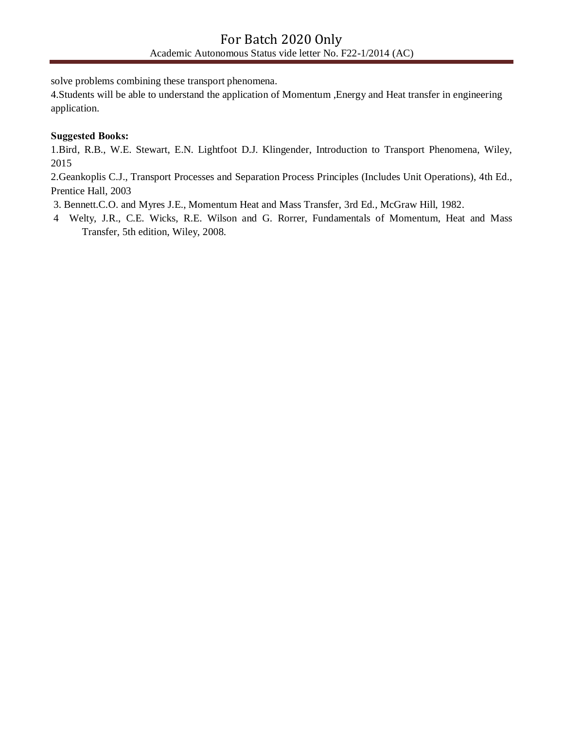solve problems combining these transport phenomena.

4.Students will be able to understand the application of Momentum ,Energy and Heat transfer in engineering application.

## **Suggested Books:**

1.Bird, R.B., W.E. Stewart, E.N. Lightfoot D.J. Klingender, Introduction to Transport Phenomena, Wiley, 2015

2.Geankoplis C.J., Transport Processes and Separation Process Principles (Includes Unit Operations), 4th Ed., Prentice Hall, 2003

3. Bennett.C.O. and Myres J.E., Momentum Heat and Mass Transfer, 3rd Ed., McGraw Hill, 1982.

4 Welty, J.R., C.E. Wicks, R.E. Wilson and G. Rorrer, Fundamentals of Momentum, Heat and Mass Transfer, 5th edition, Wiley, 2008.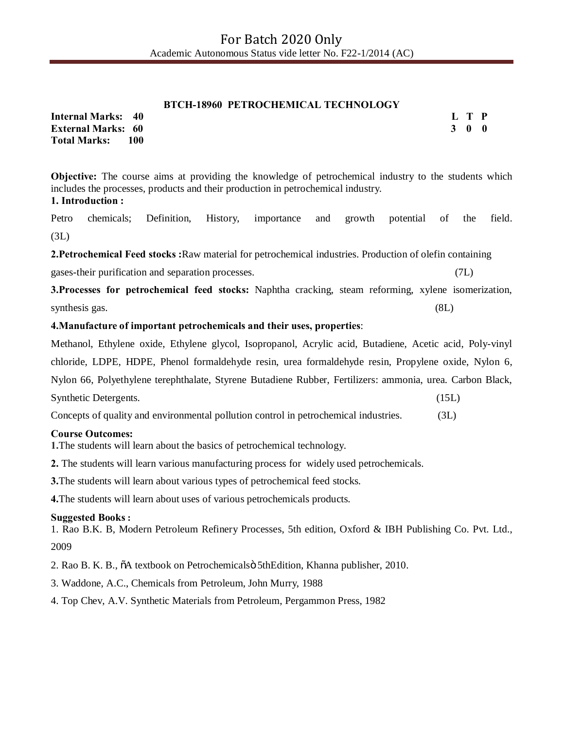#### **BTCH-18960 PETROCHEMICAL TECHNOLOGY**

**Internal Marks: 40 External Marks: 60 Total Marks: 100**  **L T P 3 0 0**

**Objective:** The course aims at providing the knowledge of petrochemical industry to the students which includes the processes, products and their production in petrochemical industry. **1. Introduction :**

Petro chemicals; Definition, History, importance and growth potential of the field. (3L)

**2.Petrochemical Feed stocks :**Raw material for petrochemical industries. Production of olefin containing

gases-their purification and separation processes. (7L)

**3.Processes for petrochemical feed stocks:** Naphtha cracking, steam reforming, xylene isomerization, synthesis gas. (8L) (8L)

## **4.Manufacture of important petrochemicals and their uses, properties**:

Methanol, Ethylene oxide, Ethylene glycol, Isopropanol, Acrylic acid, Butadiene, Acetic acid, Poly-vinyl chloride, LDPE, HDPE, Phenol formaldehyde resin, urea formaldehyde resin, Propylene oxide, Nylon 6, Nylon 66, Polyethylene terephthalate, Styrene Butadiene Rubber, Fertilizers: ammonia, urea. Carbon Black, Synthetic Detergents. (15L)

Concepts of quality and environmental pollution control in petrochemical industries. (3L)

## **Course Outcomes:**

**1.**The students will learn about the basics of petrochemical technology.

**2.** The students will learn various manufacturing process for widely used petrochemicals.

**3.**The students will learn about various types of petrochemical feed stocks.

**4.**The students will learn about uses of various petrochemicals products.

## **Suggested Books :**

1. Rao B.K. B, Modern Petroleum Refinery Processes, 5th edition, Oxford & IBH Publishing Co. Pvt. Ltd., 2009

2. Rao B. K. B., "A textbook on Petrochemicals" 5thEdition, Khanna publisher, 2010.

3. Waddone, A.C., Chemicals from Petroleum, John Murry, 1988

4. Top Chev, A.V. Synthetic Materials from Petroleum, Pergammon Press, 1982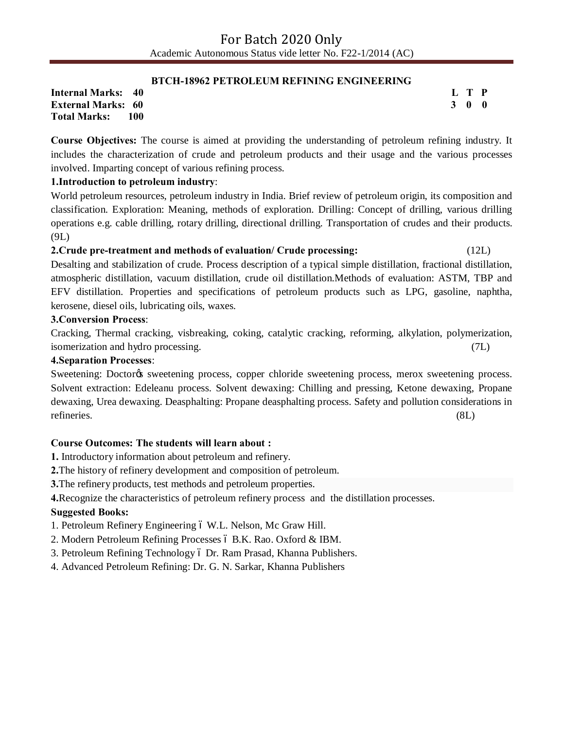#### **BTCH-18962 PETROLEUM REFINING ENGINEERING**

**Internal Marks: 40 External Marks: 60 Total Marks: 100**  **L T P 3 0 0**

**Course Objectives:** The course is aimed at providing the understanding of petroleum refining industry. It includes the characterization of crude and petroleum products and their usage and the various processes involved. Imparting concept of various refining process.

## **1.Introduction to petroleum industry**:

World petroleum resources, petroleum industry in India. Brief review of petroleum origin, its composition and classification. Exploration: Meaning, methods of exploration. Drilling: Concept of drilling, various drilling operations e.g. cable drilling, rotary drilling, directional drilling. Transportation of crudes and their products. (9L)

## **2.Crude pre-treatment and methods of evaluation/ Crude processing:** (12L)

Desalting and stabilization of crude. Process description of a typical simple distillation, fractional distillation, atmospheric distillation, vacuum distillation, crude oil distillation.Methods of evaluation: ASTM, TBP and EFV distillation. Properties and specifications of petroleum products such as LPG, gasoline, naphtha, kerosene, diesel oils, lubricating oils, waxes.

## **3.Conversion Process**:

Cracking, Thermal cracking, visbreaking, coking, catalytic cracking, reforming, alkylation, polymerization, isomerization and hydro processing. (7L)

## **4.Separation Processes**:

Sweetening: Doctor<sub>of</sub> sweetening process, copper chloride sweetening process, merox sweetening process. Solvent extraction: Edeleanu process. Solvent dewaxing: Chilling and pressing, Ketone dewaxing, Propane dewaxing, Urea dewaxing. Deasphalting: Propane deasphalting process. Safety and pollution considerations in refineries. (8L)

## **Course Outcomes: The students will learn about :**

- **1.** Introductory information about petroleum and refinery.
- **2.**The history of refinery development and composition of petroleum.

**3.**The refinery products, test methods and petroleum properties.

**4.**Recognize the characteristics of petroleum refinery process and the distillation processes.

## **Suggested Books:**

1. Petroleum Refinery Engineering 6 W.L. Nelson, Mc Graw Hill.

- 2. Modern Petroleum Refining Processes ó B.K. Rao. Oxford & IBM.
- 3. Petroleum Refining Technology ó Dr. Ram Prasad, Khanna Publishers.

4. Advanced Petroleum Refining: Dr. G. N. Sarkar, Khanna Publishers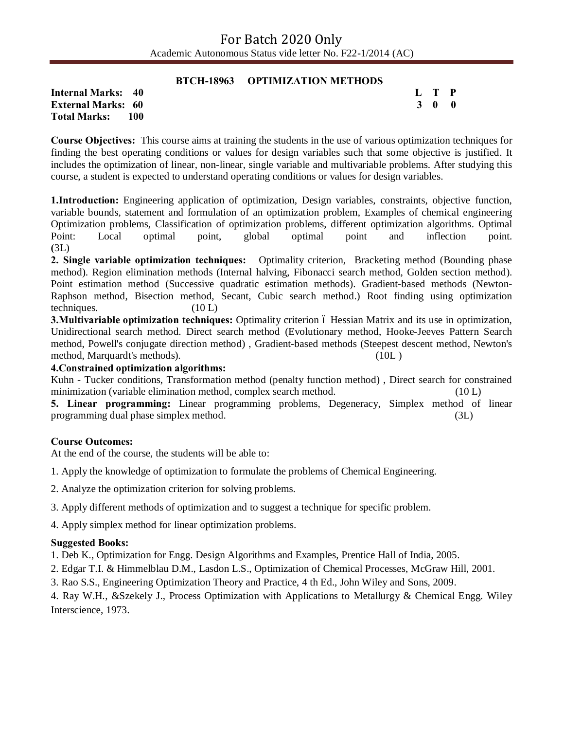#### **BTCH-18963 OPTIMIZATION METHODS**

**Internal Marks: 40 External Marks: 60 Total Marks: 100**  **L T P 3 0 0**

**Course Objectives:** This course aims at training the students in the use of various optimization techniques for finding the best operating conditions or values for design variables such that some objective is justified. It includes the optimization of linear, non-linear, single variable and multivariable problems. After studying this course, a student is expected to understand operating conditions or values for design variables.

**1.Introduction:** Engineering application of optimization, Design variables, constraints, objective function, variable bounds, statement and formulation of an optimization problem, Examples of chemical engineering Optimization problems, Classification of optimization problems, different optimization algorithms. Optimal Point: Local optimal point, global optimal point and inflection point. **(**3L)

**2. Single variable optimization techniques:** Optimality criterion, Bracketing method (Bounding phase method). Region elimination methods (Internal halving, Fibonacci search method, Golden section method). Point estimation method (Successive quadratic estimation methods). Gradient-based methods (Newton-Raphson method, Bisection method, Secant, Cubic search method.) Root finding using optimization techniques.  $(10 L)$ 

**3. Multivariable optimization techniques:** Optimality criterion 6 Hessian Matrix and its use in optimization, Unidirectional search method. Direct search method (Evolutionary method, Hooke-Jeeves Pattern Search method, Powell's conjugate direction method) , Gradient-based methods (Steepest descent method, Newton's method, Marquardt's methods). (10L )

#### **4.Constrained optimization algorithms:**

Kuhn - Tucker conditions, Transformation method (penalty function method) , Direct search for constrained minimization (variable elimination method, complex search method. (10 L)

**5. Linear programming:** Linear programming problems, Degeneracy, Simplex method of linear programming dual phase simplex method. (3L)

#### **Course Outcomes:**

At the end of the course, the students will be able to:

1. Apply the knowledge of optimization to formulate the problems of Chemical Engineering.

2. Analyze the optimization criterion for solving problems.

3. Apply different methods of optimization and to suggest a technique for specific problem.

4. Apply simplex method for linear optimization problems.

#### **Suggested Books:**

1. Deb K., Optimization for Engg. Design Algorithms and Examples, Prentice Hall of India, 2005.

2. Edgar T.I. & Himmelblau D.M., Lasdon L.S., Optimization of Chemical Processes, McGraw Hill, 2001.

3. Rao S.S., Engineering Optimization Theory and Practice, 4 th Ed., John Wiley and Sons, 2009.

4. Ray W.H., &Szekely J., Process Optimization with Applications to Metallurgy & Chemical Engg. Wiley Interscience, 1973.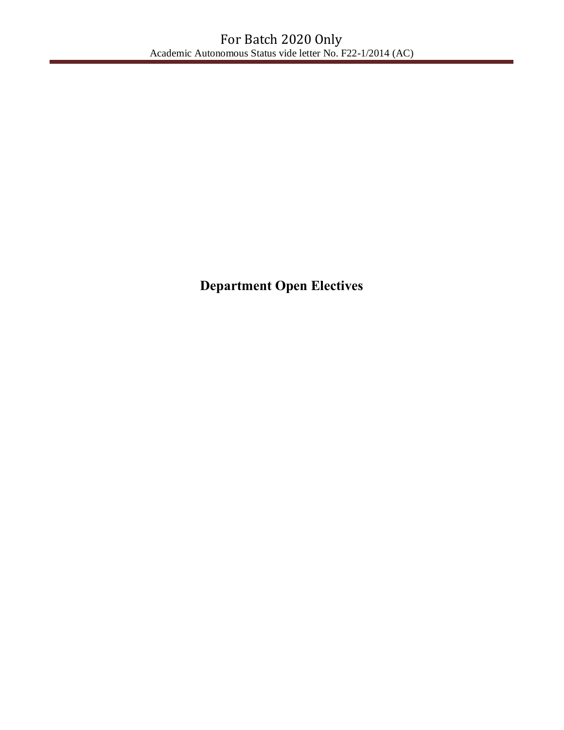**Department Open Electives**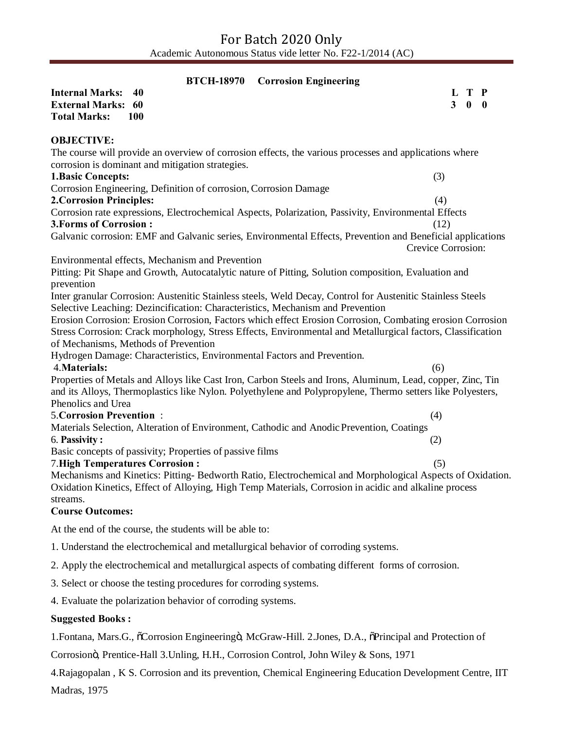| <b>Corrosion Engineering</b><br><b>BTCH-18970</b>                                                                                                                                                                             |                    |                                    |  |
|-------------------------------------------------------------------------------------------------------------------------------------------------------------------------------------------------------------------------------|--------------------|------------------------------------|--|
| <b>Internal Marks:</b><br>40<br><b>External Marks:</b><br>60                                                                                                                                                                  | 3 <sup>1</sup>     | L T P<br>$\mathbf{0}$ $\mathbf{0}$ |  |
| <b>Total Marks:</b><br><b>100</b>                                                                                                                                                                                             |                    |                                    |  |
| <b>OBJECTIVE:</b>                                                                                                                                                                                                             |                    |                                    |  |
| The course will provide an overview of corrosion effects, the various processes and applications where                                                                                                                        |                    |                                    |  |
| corrosion is dominant and mitigation strategies.                                                                                                                                                                              |                    |                                    |  |
| <b>1.Basic Concepts:</b>                                                                                                                                                                                                      | (3)                |                                    |  |
| Corrosion Engineering, Definition of corrosion, Corrosion Damage<br><b>2. Corrosion Principles:</b>                                                                                                                           | (4)                |                                    |  |
| Corrosion rate expressions, Electrochemical Aspects, Polarization, Passivity, Environmental Effects                                                                                                                           |                    |                                    |  |
| <b>3. Forms of Corrosion:</b>                                                                                                                                                                                                 | (12)               |                                    |  |
| Galvanic corrosion: EMF and Galvanic series, Environmental Effects, Prevention and Beneficial applications                                                                                                                    | Crevice Corrosion: |                                    |  |
| Environmental effects, Mechanism and Prevention                                                                                                                                                                               |                    |                                    |  |
| Pitting: Pit Shape and Growth, Autocatalytic nature of Pitting, Solution composition, Evaluation and<br>prevention                                                                                                            |                    |                                    |  |
| Inter granular Corrosion: Austenitic Stainless steels, Weld Decay, Control for Austenitic Stainless Steels<br>Selective Leaching: Dezincification: Characteristics, Mechanism and Prevention                                  |                    |                                    |  |
| Erosion Corrosion: Erosion Corrosion, Factors which effect Erosion Corrosion, Combating erosion Corrosion                                                                                                                     |                    |                                    |  |
| Stress Corrosion: Crack morphology, Stress Effects, Environmental and Metallurgical factors, Classification                                                                                                                   |                    |                                    |  |
| of Mechanisms, Methods of Prevention                                                                                                                                                                                          |                    |                                    |  |
| Hydrogen Damage: Characteristics, Environmental Factors and Prevention.<br>4. Materials:                                                                                                                                      | (6)                |                                    |  |
| Properties of Metals and Alloys like Cast Iron, Carbon Steels and Irons, Aluminum, Lead, copper, Zinc, Tin                                                                                                                    |                    |                                    |  |
| and its Alloys, Thermoplastics like Nylon. Polyethylene and Polypropylene, Thermo setters like Polyesters,<br>Phenolics and Urea                                                                                              |                    |                                    |  |
| <b>5. Corrosion Prevention:</b>                                                                                                                                                                                               | (4)                |                                    |  |
| Materials Selection, Alteration of Environment, Cathodic and Anodic Prevention, Coatings                                                                                                                                      |                    |                                    |  |
| 6. Passivity:                                                                                                                                                                                                                 | (2)                |                                    |  |
| Basic concepts of passivity; Properties of passive films                                                                                                                                                                      |                    |                                    |  |
| <b>7. High Temperatures Corrosion:</b>                                                                                                                                                                                        | (5)                |                                    |  |
| Mechanisms and Kinetics: Pitting-Bedworth Ratio, Electrochemical and Morphological Aspects of Oxidation.<br>Oxidation Kinetics, Effect of Alloying, High Temp Materials, Corrosion in acidic and alkaline process<br>streams. |                    |                                    |  |
| <b>Course Outcomes:</b>                                                                                                                                                                                                       |                    |                                    |  |
| At the end of the course, the students will be able to:                                                                                                                                                                       |                    |                                    |  |
| 1. Understand the electrochemical and metallurgical behavior of corroding systems.                                                                                                                                            |                    |                                    |  |
| 2. Apply the electrochemical and metallurgical aspects of combating different forms of corrosion.                                                                                                                             |                    |                                    |  |
| 3. Select or choose the testing procedures for corroding systems.                                                                                                                                                             |                    |                                    |  |
| 4. Evaluate the polarization behavior of corroding systems.                                                                                                                                                                   |                    |                                    |  |
| <b>Suggested Books:</b>                                                                                                                                                                                                       |                    |                                    |  |

1.Fontana, Mars.G.,  $\tilde{o}$ Corrosion Engineeringö, McGraw-Hill. 2.Jones, D.A.,  $\tilde{o}$ Principal and Protection of

Corrosion", Prentice-Hall 3.Unling, H.H., Corrosion Control, John Wiley & Sons, 1971

4.Rajagopalan , K S. Corrosion and its prevention, Chemical Engineering Education Development Centre, IIT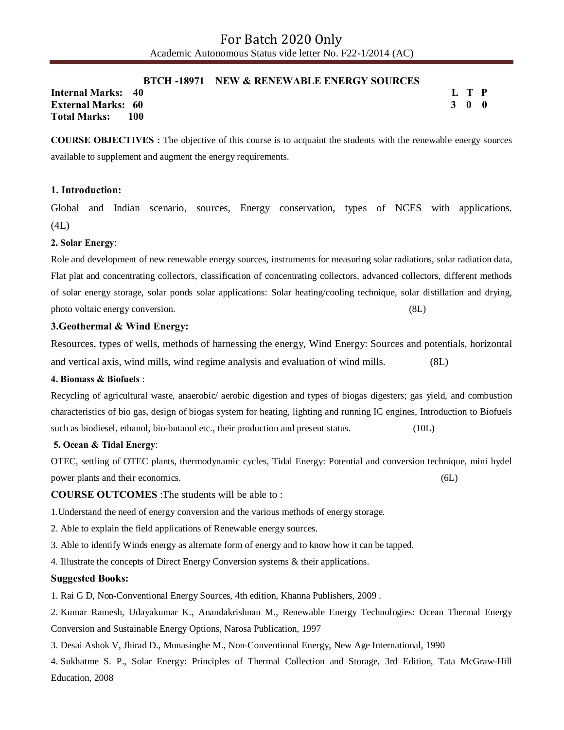#### **BTCH -18971 NEW & RENEWABLE ENERGY SOURCES**

**Internal Marks: 40 External Marks: 60 Total Marks: 100** 

**L T P 3 0 0**

**COURSE OBJECTIVES :** The objective of this course is to acquaint the students with the renewable energy sources available to supplement and augment the energy requirements.

#### **1. Introduction:**

Global and Indian scenario, sources, Energy conservation, types of NCES with applications.  $(4L)$ 

#### **2. Solar Energy**:

Role and development of new renewable energy sources, instruments for measuring solar radiations, solar radiation data, Flat plat and concentrating collectors, classification of concentrating collectors, advanced collectors, different methods of solar energy storage, solar ponds solar applications: Solar heating/cooling technique, solar distillation and drying, photo voltaic energy conversion. (8L)  $(8L)$ 

#### **3.Geothermal & Wind Energy:**

Resources, types of wells, methods of harnessing the energy, Wind Energy: Sources and potentials, horizontal and vertical axis, wind mills, wind regime analysis and evaluation of wind mills. (8L)

#### **4. Biomass & Biofuels** :

Recycling of agricultural waste, anaerobic/ aerobic digestion and types of biogas digesters; gas yield, and combustion characteristics of bio gas, design of biogas system for heating, lighting and running IC engines, Introduction to Biofuels such as biodiesel, ethanol, bio-butanol etc., their production and present status. (10L)

#### **5. Ocean & Tidal Energy**:

OTEC, settling of OTEC plants, thermodynamic cycles, Tidal Energy: Potential and conversion technique, mini hydel power plants and their economics. (6L)

**COURSE OUTCOMES** :The students will be able to :

1.Understand the need of energy conversion and the various methods of energy storage.

- 2. Able to explain the field applications of Renewable energy sources.
- 3. Able to identify Winds energy as alternate form of energy and to know how it can be tapped.

4. Illustrate the concepts of Direct Energy Conversion systems & their applications.

#### **Suggested Books:**

1. Rai G D, Non-Conventional Energy Sources, 4th edition, Khanna Publishers, 2009 .

2. Kumar Ramesh, Udayakumar K., Anandakrishnan M., Renewable Energy Technologies: Ocean Thermal Energy Conversion and Sustainable Energy Options, Narosa Publication, 1997

3. Desai Ashok V, Jhirad D., Munasinghe M., Non-Conventional Energy, New Age International, 1990

4. Sukhatme S. P., Solar Energy: Principles of Thermal Collection and Storage, 3rd Edition, Tata McGraw-Hill Education, 2008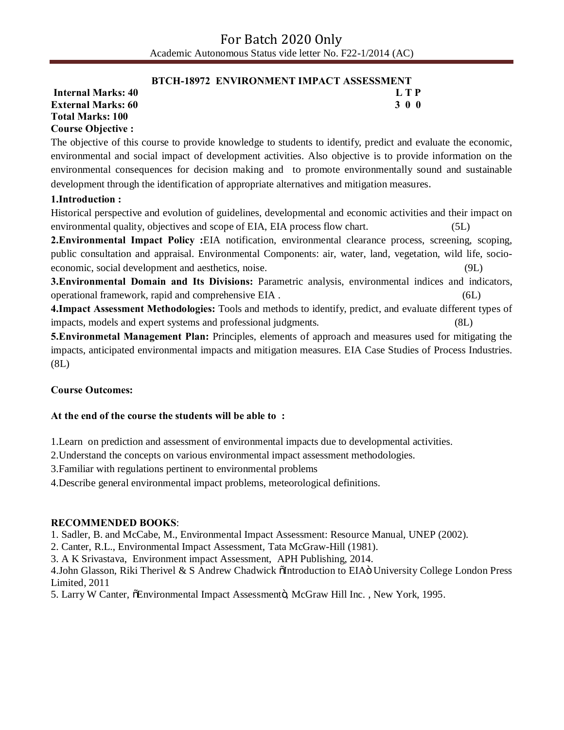#### **BTCH-18972 ENVIRONMENT IMPACT ASSESSMENT**

**Internal Marks: 40 L T P L T P External Marks: 60 3 0 0 Total Marks: 100 Course Objective :**

The objective of this course to provide knowledge to students to identify, predict and evaluate the economic, environmental and social impact of development activities. Also objective is to provide information on the environmental consequences for decision making and to promote environmentally sound and sustainable development through the identification of appropriate alternatives and mitigation measures.

## **1.Introduction :**

Historical perspective and evolution of guidelines, developmental and economic activities and their impact on environmental quality, objectives and scope of EIA, EIA process flow chart.

**2.Environmental Impact Policy :**EIA notification, environmental clearance process, screening, scoping, public consultation and appraisal. Environmental Components: air, water, land, vegetation, wild life, socioeconomic, social development and aesthetics, noise. (9L)

**3.Environmental Domain and Its Divisions:** Parametric analysis, environmental indices and indicators, operational framework, rapid and comprehensive EIA . (6L)

**4.Impact Assessment Methodologies:** Tools and methods to identify, predict, and evaluate different types of impacts, models and expert systems and professional judgments. (8L)

**5.Environmetal Management Plan:** Principles, elements of approach and measures used for mitigating the impacts, anticipated environmental impacts and mitigation measures. EIA Case Studies of Process Industries. (8L)

## **Course Outcomes:**

## **At the end of the course the students will be able to :**

1.Learn on prediction and assessment of environmental impacts due to developmental activities.

2.Understand the concepts on various environmental impact assessment methodologies.

3.Familiar with regulations pertinent to environmental problems

4.Describe general environmental impact problems, meteorological definitions.

#### **RECOMMENDED BOOKS**:

1. Sadler, B. and McCabe, M., Environmental Impact Assessment: Resource Manual, UNEP (2002).

2. Canter, R.L., Environmental Impact Assessment, Tata McGraw-Hill (1981).

3. A K Srivastava, Environment impact Assessment, APH Publishing, 2014.

4.John Glasson, Riki Therivel & S Andrew Chadwick õIntroduction to EIAö University College London Press Limited, 2011

5. Larry W Canter,  $\delta$ Environmental Impact Assessmentö, McGraw Hill Inc., New York, 1995.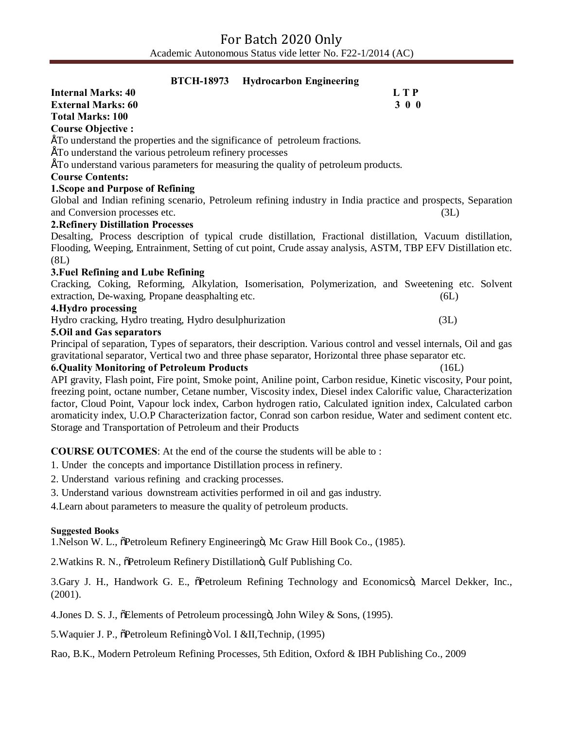| <b>BTCH-18973</b><br><b>Hydrocarbon Engineering</b>                                                                |      |
|--------------------------------------------------------------------------------------------------------------------|------|
| <b>Internal Marks: 40</b><br>L T P                                                                                 |      |
| 300<br><b>External Marks: 60</b>                                                                                   |      |
| <b>Total Marks: 100</b>                                                                                            |      |
| <b>Course Objective:</b>                                                                                           |      |
| ETo understand the properties and the significance of petroleum fractions.                                         |      |
| ETo understand the various petroleum refinery processes                                                            |      |
| ETo understand various parameters for measuring the quality of petroleum products.                                 |      |
| <b>Course Contents:</b>                                                                                            |      |
| <b>1. Scope and Purpose of Refining</b>                                                                            |      |
| Global and Indian refining scenario, Petroleum refining industry in India practice and prospects, Separation       |      |
| and Conversion processes etc.                                                                                      | (3L) |
| <b>2. Refinery Distillation Processes</b>                                                                          |      |
| Desalting, Process description of typical crude distillation, Fractional distillation, Vacuum distillation,        |      |
| Flooding, Weeping, Entrainment, Setting of cut point, Crude assay analysis, ASTM, TBP EFV Distillation etc.        |      |
| (8L)                                                                                                               |      |
| 3. Fuel Refining and Lube Refining                                                                                 |      |
| Cracking, Coking, Reforming, Alkylation, Isomerisation, Polymerization, and Sweetening etc. Solvent                |      |
| extraction, De-waxing, Propane deasphalting etc.                                                                   | (6L) |
| 4. Hydro processing                                                                                                |      |
| Hydro cracking, Hydro treating, Hydro desulphurization                                                             | (3L) |
| 5. Oil and Gas separators                                                                                          |      |
| Principal of separation, Types of separators, their description. Various control and vessel internals, Oil and gas |      |
| gravitational separator, Vertical two and three phase separator, Horizontal three phase separator etc.             |      |

#### **6.Quality Monitoring of Petroleum Products** (16L)

API gravity, Flash point, Fire point, Smoke point, Aniline point, Carbon residue, Kinetic viscosity, Pour point, freezing point, octane number, Cetane number, Viscosity index, Diesel index Calorific value, Characterization factor, Cloud Point, Vapour lock index, Carbon hydrogen ratio, Calculated ignition index, Calculated carbon aromaticity index, U.O.P Characterization factor, Conrad son carbon residue, Water and sediment content etc. Storage and Transportation of Petroleum and their Products

#### **COURSE OUTCOMES**: At the end of the course the students will be able to :

1. Under the concepts and importance Distillation process in refinery.

- 2. Understand various refining and cracking processes.
- 3. Understand various downstream activities performed in oil and gas industry.

4.Learn about parameters to measure the quality of petroleum products.

#### **Suggested Books**

1. Nelson W. L.,  $\delta$ Petroleum Refinery Engineeringö, Mc Graw Hill Book Co., (1985).

2. Watkins R. N.,  $\delta$ Petroleum Refinery Distillationö, Gulf Publishing Co.

3.Gary J. H., Handwork G. E.,  $\delta$ Petroleum Refining Technology and Economicsö, Marcel Dekker, Inc., (2001).

4. Jones D. S. J.,  $\delta$ Elements of Petroleum processing ö, John Wiley & Sons, (1995).

5. Waquier J. P.,  $\delta$ Petroleum Refiningö Vol. I &II, Technip, (1995)

Rao, B.K., Modern Petroleum Refining Processes, 5th Edition, Oxford & IBH Publishing Co., 2009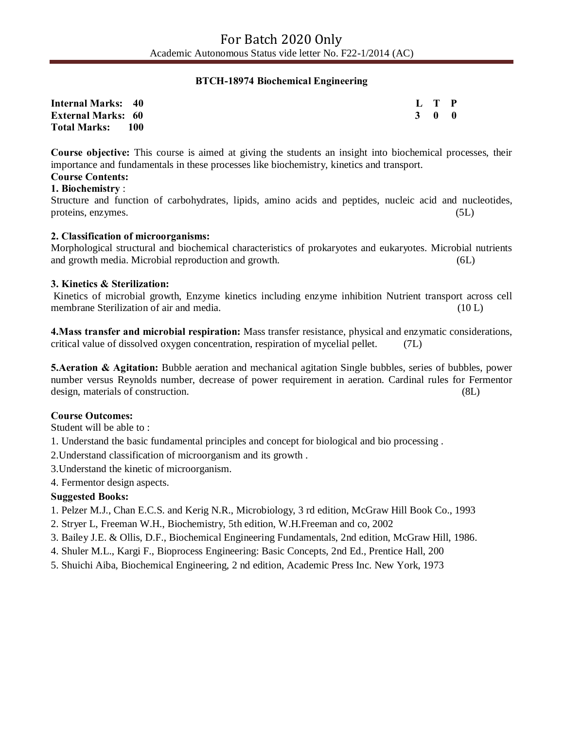## **BTCH-18974 Biochemical Engineering**

| <b>Internal Marks: 40</b> |  | L T P |  |
|---------------------------|--|-------|--|
| <b>External Marks: 60</b> |  | 3 0 0 |  |
| <b>Total Marks:</b> 100   |  |       |  |

**Course objective:** This course is aimed at giving the students an insight into biochemical processes, their importance and fundamentals in these processes like biochemistry, kinetics and transport.

#### **Course Contents:**

## **1. Biochemistry** :

Structure and function of carbohydrates, lipids, amino acids and peptides, nucleic acid and nucleotides, proteins, enzymes. (5L)

## **2. Classification of microorganisms:**

Morphological structural and biochemical characteristics of prokaryotes and eukaryotes. Microbial nutrients and growth media. Microbial reproduction and growth. (6L)

#### **3. Kinetics & Sterilization:**

Kinetics of microbial growth, Enzyme kinetics including enzyme inhibition Nutrient transport across cell membrane Sterilization of air and media. (10 L)

**4.Mass transfer and microbial respiration:** Mass transfer resistance, physical and enzymatic considerations, critical value of dissolved oxygen concentration, respiration of mycelial pellet. (7L)

**5.Aeration & Agitation:** Bubble aeration and mechanical agitation Single bubbles, series of bubbles, power number versus Reynolds number, decrease of power requirement in aeration. Cardinal rules for Fermentor design, materials of construction. (8L)

## **Course Outcomes:**

Student will be able to :

1. Understand the basic fundamental principles and concept for biological and bio processing .

2.Understand classification of microorganism and its growth .

3.Understand the kinetic of microorganism.

4. Fermentor design aspects.

## **Suggested Books:**

- 1. Pelzer M.J., Chan E.C.S. and Kerig N.R., Microbiology, 3 rd edition, McGraw Hill Book Co., 1993
- 2. Stryer L, Freeman W.H., Biochemistry, 5th edition, W.H.Freeman and co, 2002
- 3. Bailey J.E. & Ollis, D.F., Biochemical Engineering Fundamentals, 2nd edition, McGraw Hill, 1986.
- 4. Shuler M.L., Kargi F., Bioprocess Engineering: Basic Concepts, 2nd Ed., Prentice Hall, 200
- 5. Shuichi Aiba, Biochemical Engineering, 2 nd edition, Academic Press Inc. New York, 1973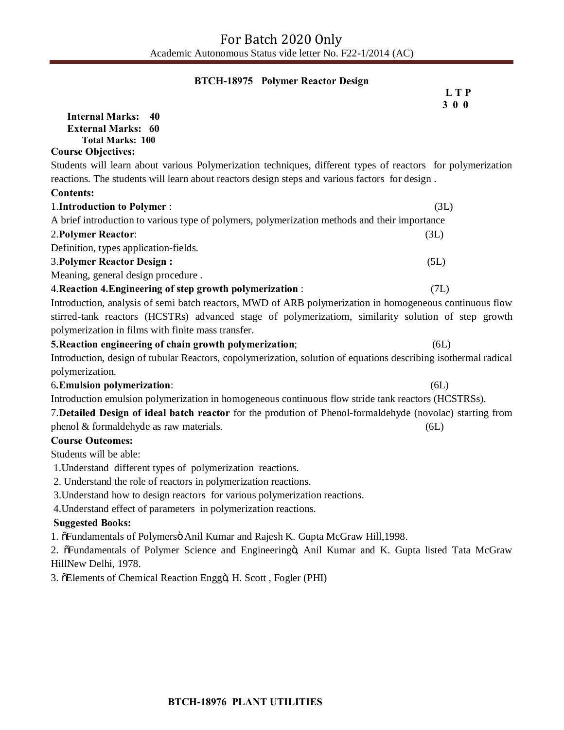## **BTCH-18975 Polymer Reactor Design**

|                                                                                                                 | L T P<br>300 |
|-----------------------------------------------------------------------------------------------------------------|--------------|
| <b>Internal Marks:</b><br>40                                                                                    |              |
| <b>External Marks: 60</b>                                                                                       |              |
| <b>Total Marks: 100</b>                                                                                         |              |
| <b>Course Objectives:</b>                                                                                       |              |
| Students will learn about various Polymerization techniques, different types of reactors for polymerization     |              |
| reactions. The students will learn about reactors design steps and various factors for design.                  |              |
| <b>Contents:</b>                                                                                                |              |
| 1. Introduction to Polymer :                                                                                    | (3L)         |
| A brief introduction to various type of polymers, polymerization methods and their importance                   |              |
| 2. Polymer Reactor:                                                                                             | (3L)         |
| Definition, types application-fields.                                                                           |              |
| <b>3. Polymer Reactor Design:</b>                                                                               | (5L)         |
| Meaning, general design procedure.                                                                              |              |
| 4. Reaction 4. Engineering of step growth polymerization:                                                       | (7L)         |
| Introduction, analysis of semi batch reactors, MWD of ARB polymerization in homogeneous continuous flow         |              |
| stirred-tank reactors (HCSTRs) advanced stage of polymerizatiom, similarity solution of step growth             |              |
| polymerization in films with finite mass transfer.                                                              |              |
| 5. Reaction engineering of chain growth polymerization;                                                         | (6L)         |
| Introduction, design of tubular Reactors, copolymerization, solution of equations describing isothermal radical |              |
| polymerization.                                                                                                 |              |
| 6. Emulsion polymerization:                                                                                     | (6L)         |
| Introduction emulsion polymerization in homogeneous continuous flow stride tank reactors (HCSTRSs).             |              |
| 7. Detailed Design of ideal batch reactor for the prodution of Phenol-formaldehyde (novolac) starting from      |              |
| phenol & formaldehyde as raw materials.                                                                         | (6L)         |
| <b>Course Outcomes:</b>                                                                                         |              |
| Students will be able:                                                                                          |              |
| 1. Understand different types of polymerization reactions.                                                      |              |
| 2. Understand the role of reactors in polymerization reactions.                                                 |              |
| 3. Understand how to design reactors for various polymerization reactions.                                      |              |
| 4. Understand effect of parameters in polymerization reactions.                                                 |              |
| <b>Suggested Books:</b>                                                                                         |              |
| 1. õFundamentals of Polymersö Anil Kumar and Rajesh K. Gupta McGraw Hill, 1998.                                 |              |

2. õFundamentals of Polymer Science and Engineeringö, Anil Kumar and K. Gupta listed Tata McGraw HillNew Delhi, 1978.

3. õElements of Chemical Reaction Enggö, H. Scott, Fogler (PHI)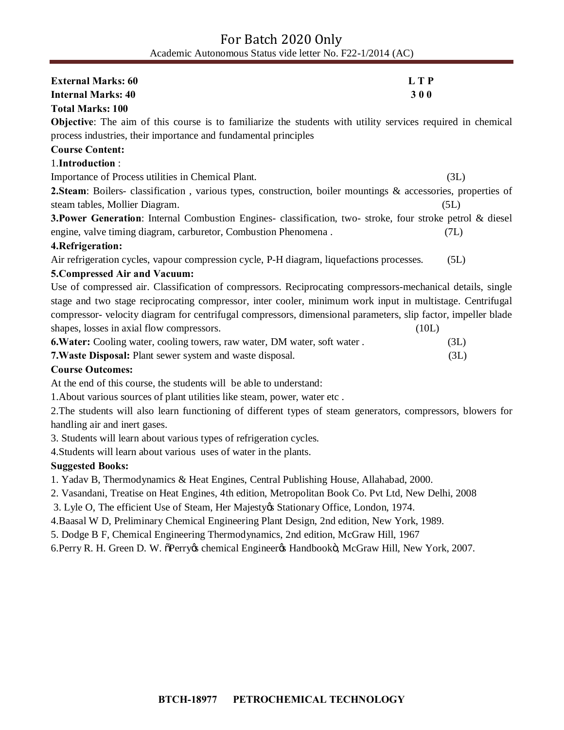# For Batch 2020 Only Academic Autonomous Status vide letter No. F22-1/2014 (AC)

| <b>External Marks: 60</b>                                                                                          | <b>LTP</b> |
|--------------------------------------------------------------------------------------------------------------------|------------|
| <b>Internal Marks: 40</b>                                                                                          | 300        |
| <b>Total Marks: 100</b>                                                                                            |            |
| <b>Objective:</b> The aim of this course is to familiarize the students with utility services required in chemical |            |
| process industries, their importance and fundamental principles                                                    |            |
| <b>Course Content:</b>                                                                                             |            |
| 1.Introduction:                                                                                                    |            |
| Importance of Process utilities in Chemical Plant.                                                                 | (3L)       |
| 2. Steam: Boilers- classification, various types, construction, boiler mountings & accessories, properties of      |            |
| steam tables, Mollier Diagram.                                                                                     | (5L)       |
| <b>3. Power Generation</b> : Internal Combustion Engines- classification, two- stroke, four stroke petrol & diesel |            |
| engine, valve timing diagram, carburetor, Combustion Phenomena.                                                    | (7L)       |
| 4. Refrigeration:                                                                                                  |            |
| Air refrigeration cycles, vapour compression cycle, P-H diagram, liquefactions processes.                          | (5L)       |
| 5. Compressed Air and Vacuum:                                                                                      |            |
| Use of compressed air. Classification of compressors. Reciprocating compressors-mechanical details, single         |            |
| stage and two stage reciprocating compressor, inter cooler, minimum work input in multistage. Centrifugal          |            |
| compressor- velocity diagram for centrifugal compressors, dimensional parameters, slip factor, impeller blade      |            |
| shapes, losses in axial flow compressors.                                                                          | (10L)      |
| 6. Water: Cooling water, cooling towers, raw water, DM water, soft water.                                          | (3L)       |
| 7. Waste Disposal: Plant sewer system and waste disposal.                                                          | (3L)       |
| <b>Course Outcomes:</b>                                                                                            |            |
| At the end of this course, the students will be able to understand:                                                |            |
| 1. About various sources of plant utilities like steam, power, water etc.                                          |            |
| 2 The students will also learn functioning of different types of steam generators, compressors, blowers for        |            |

2.The students will also learn functioning of different types of steam generators, compressors, blowers for handling air and inert gases.

3. Students will learn about various types of refrigeration cycles.

4.Students will learn about various uses of water in the plants.

## **Suggested Books:**

1. Yadav B, Thermodynamics & Heat Engines, Central Publishing House, Allahabad, 2000.

2. Vasandani, Treatise on Heat Engines, 4th edition, Metropolitan Book Co. Pvt Ltd, New Delhi, 2008

3. Lyle O, The efficient Use of Steam, Her Majesty & Stationary Office, London, 1974.

4.Baasal W D, Preliminary Chemical Engineering Plant Design, 2nd edition, New York, 1989.

5. Dodge B F, Chemical Engineering Thermodynamics, 2nd edition, McGraw Hill, 1967

6.Perry R. H. Green D. W. õPerryøs chemical Engineerøs Handbookö, McGraw Hill, New York, 2007.